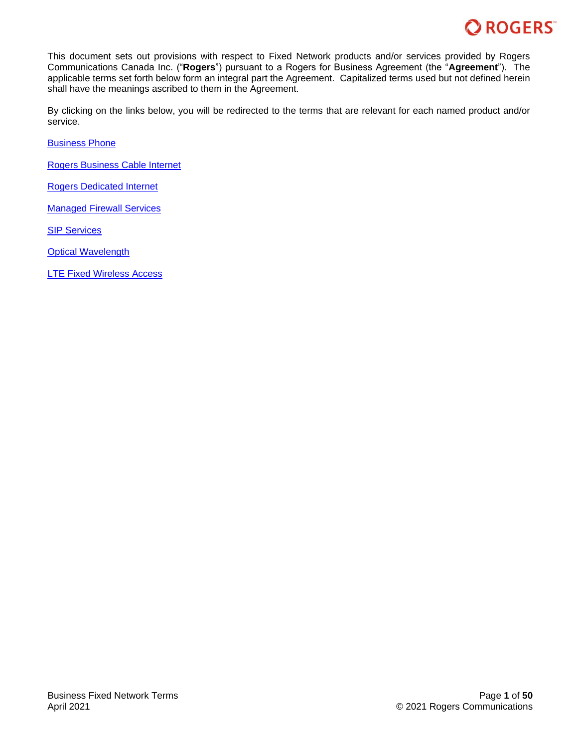

This document sets out provisions with respect to Fixed Network products and/or services provided by Rogers Communications Canada Inc. ("**Rogers**") pursuant to a Rogers for Business Agreement (the "**Agreement**"). The applicable terms set forth below form an integral part the Agreement. Capitalized terms used but not defined herein shall have the meanings ascribed to them in the Agreement.

By clicking on the links below, you will be redirected to the terms that are relevant for each named product and/or service.

[Business Phone](#page-1-0)

[Rogers Business Cable Internet](#page-5-0)

[Rogers Dedicated Internet](#page-11-0)

[Managed Firewall](#page-18-0) Services

**[SIP Services](#page-25-0)** 

**[Optical Wavelength](#page-36-0)** 

[LTE Fixed Wireless Access](#page-44-0)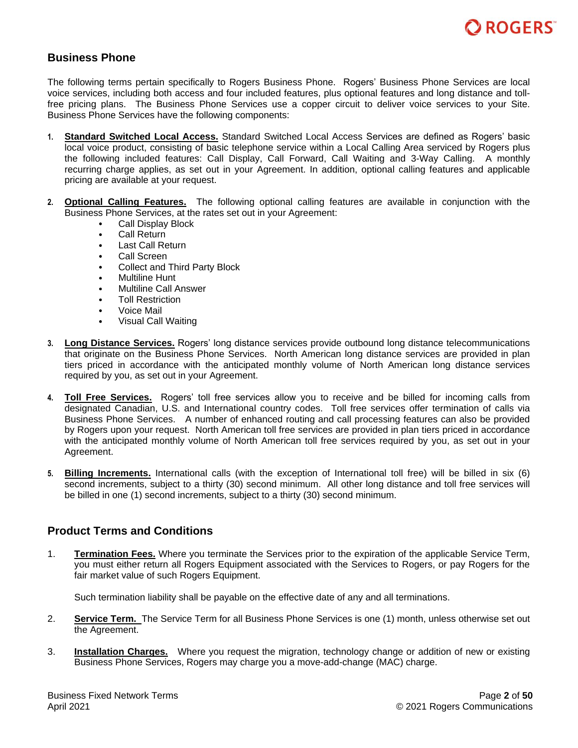

# <span id="page-1-0"></span>**Business Phone**

The following terms pertain specifically to Rogers Business Phone.Rogers' Business Phone Services are local voice services, including both access and four included features, plus optional features and long distance and tollfree pricing plans. The Business Phone Services use a copper circuit to deliver voice services to your Site. Business Phone Services have the following components:

- **1. Standard Switched Local Access.** Standard Switched Local Access Services are defined as Rogers' basic local voice product, consisting of basic telephone service within a Local Calling Area serviced by Rogers plus the following included features: Call Display, Call Forward, Call Waiting and 3-Way Calling. A monthly recurring charge applies, as set out in your Agreement. In addition, optional calling features and applicable pricing are available at your request.
- **2. Optional Calling Features.** The following optional calling features are available in conjunction with the Business Phone Services, at the rates set out in your Agreement:
	- Call Display Block
	- Call Return
	- Last Call Return
	- Call Screen
	- Collect and Third Party Block
	- Multiline Hunt
	- Multiline Call Answer
	- Toll Restriction
	- Voice Mail
	- Visual Call Waiting
- **3. Long Distance Services.** Rogers' long distance services provide outbound long distance telecommunications that originate on the Business Phone Services. North American long distance services are provided in plan tiers priced in accordance with the anticipated monthly volume of North American long distance services required by you, as set out in your Agreement.
- **4. Toll Free Services.** Rogers' toll free services allow you to receive and be billed for incoming calls from designated Canadian, U.S. and International country codes. Toll free services offer termination of calls via Business Phone Services. A number of enhanced routing and call processing features can also be provided by Rogers upon your request. North American toll free services are provided in plan tiers priced in accordance with the anticipated monthly volume of North American toll free services required by you, as set out in your Agreement.
- **5. Billing Increments.** International calls (with the exception of International toll free) will be billed in six (6) second increments, subject to a thirty (30) second minimum. All other long distance and toll free services will be billed in one (1) second increments, subject to a thirty (30) second minimum.

# **Product Terms and Conditions**

1. **Termination Fees.** Where you terminate the Services prior to the expiration of the applicable Service Term, you must either return all Rogers Equipment associated with the Services to Rogers, or pay Rogers for the fair market value of such Rogers Equipment.

Such termination liability shall be payable on the effective date of any and all terminations.

- 2. **Service Term.** The Service Term for all Business Phone Services is one (1) month, unless otherwise set out the Agreement.
- 3. **Installation Charges.** Where you request the migration, technology change or addition of new or existing Business Phone Services, Rogers may charge you a move-add-change (MAC) charge.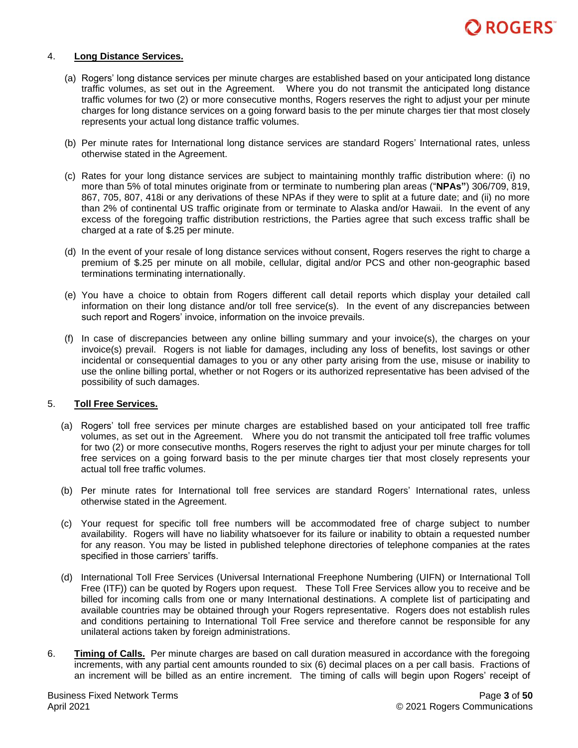

#### 4. **Long Distance Services.**

- (a) Rogers' long distance services per minute charges are established based on your anticipated long distance traffic volumes, as set out in the Agreement. Where you do not transmit the anticipated long distance traffic volumes for two (2) or more consecutive months, Rogers reserves the right to adjust your per minute charges for long distance services on a going forward basis to the per minute charges tier that most closely represents your actual long distance traffic volumes.
- (b) Per minute rates for International long distance services are standard Rogers' International rates, unless otherwise stated in the Agreement.
- (c) Rates for your long distance services are subject to maintaining monthly traffic distribution where: (i) no more than 5% of total minutes originate from or terminate to numbering plan areas ("**NPAs"**) 306/709, 819, 867, 705, 807, 418i or any derivations of these NPAs if they were to split at a future date; and (ii) no more than 2% of continental US traffic originate from or terminate to Alaska and/or Hawaii. In the event of any excess of the foregoing traffic distribution restrictions, the Parties agree that such excess traffic shall be charged at a rate of \$.25 per minute.
- (d) In the event of your resale of long distance services without consent, Rogers reserves the right to charge a premium of \$.25 per minute on all mobile, cellular, digital and/or PCS and other non-geographic based terminations terminating internationally.
- (e) You have a choice to obtain from Rogers different call detail reports which display your detailed call information on their long distance and/or toll free service(s). In the event of any discrepancies between such report and Rogers' invoice, information on the invoice prevails.
- (f) In case of discrepancies between any online billing summary and your invoice(s), the charges on your invoice(s) prevail. Rogers is not liable for damages, including any loss of benefits, lost savings or other incidental or consequential damages to you or any other party arising from the use, misuse or inability to use the online billing portal, whether or not Rogers or its authorized representative has been advised of the possibility of such damages.

#### 5. **Toll Free Services.**

- (a) Rogers' toll free services per minute charges are established based on your anticipated toll free traffic volumes, as set out in the Agreement. Where you do not transmit the anticipated toll free traffic volumes for two (2) or more consecutive months, Rogers reserves the right to adjust your per minute charges for toll free services on a going forward basis to the per minute charges tier that most closely represents your actual toll free traffic volumes.
- (b) Per minute rates for International toll free services are standard Rogers' International rates, unless otherwise stated in the Agreement.
- (c) Your request for specific toll free numbers will be accommodated free of charge subject to number availability. Rogers will have no liability whatsoever for its failure or inability to obtain a requested number for any reason. You may be listed in published telephone directories of telephone companies at the rates specified in those carriers' tariffs.
- (d) International Toll Free Services (Universal International Freephone Numbering (UIFN) or International Toll Free (ITF)) can be quoted by Rogers upon request. These Toll Free Services allow you to receive and be billed for incoming calls from one or many International destinations. A complete list of participating and available countries may be obtained through your Rogers representative. Rogers does not establish rules and conditions pertaining to International Toll Free service and therefore cannot be responsible for any unilateral actions taken by foreign administrations.
- 6. **Timing of Calls.** Per minute charges are based on call duration measured in accordance with the foregoing increments, with any partial cent amounts rounded to six (6) decimal places on a per call basis. Fractions of an increment will be billed as an entire increment. The timing of calls will begin upon Rogers' receipt of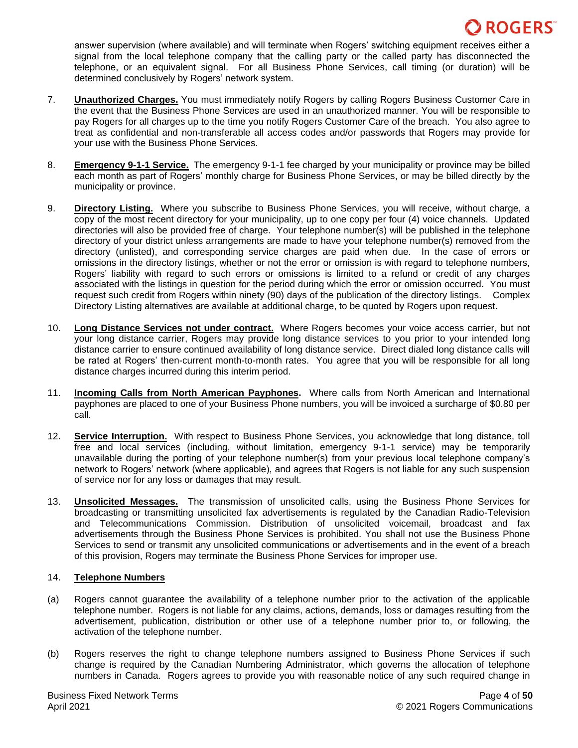answer supervision (where available) and will terminate when Rogers' switching equipment receives either a signal from the local telephone company that the calling party or the called party has disconnected the telephone, or an equivalent signal. For all Business Phone Services, call timing (or duration) will be determined conclusively by Rogers' network system.

- 7. **Unauthorized Charges.** You must immediately notify Rogers by calling Rogers Business Customer Care in the event that the Business Phone Services are used in an unauthorized manner. You will be responsible to pay Rogers for all charges up to the time you notify Rogers Customer Care of the breach. You also agree to treat as confidential and non-transferable all access codes and/or passwords that Rogers may provide for your use with the Business Phone Services.
- 8. **Emergency 9-1-1 Service.** The emergency 9-1-1 fee charged by your municipality or province may be billed each month as part of Rogers' monthly charge for Business Phone Services, or may be billed directly by the municipality or province.
- 9. **Directory Listing.** Where you subscribe to Business Phone Services, you will receive, without charge, a copy of the most recent directory for your municipality, up to one copy per four (4) voice channels. Updated directories will also be provided free of charge. Your telephone number(s) will be published in the telephone directory of your district unless arrangements are made to have your telephone number(s) removed from the directory (unlisted), and corresponding service charges are paid when due. In the case of errors or omissions in the directory listings, whether or not the error or omission is with regard to telephone numbers, Rogers' liability with regard to such errors or omissions is limited to a refund or credit of any charges associated with the listings in question for the period during which the error or omission occurred. You must request such credit from Rogers within ninety (90) days of the publication of the directory listings. Complex Directory Listing alternatives are available at additional charge, to be quoted by Rogers upon request.
- 10. **Long Distance Services not under contract.** Where Rogers becomes your voice access carrier, but not your long distance carrier, Rogers may provide long distance services to you prior to your intended long distance carrier to ensure continued availability of long distance service. Direct dialed long distance calls will be rated at Rogers' then-current month-to-month rates. You agree that you will be responsible for all long distance charges incurred during this interim period.
- 11. **Incoming Calls from North American Payphones.** Where calls from North American and International payphones are placed to one of your Business Phone numbers, you will be invoiced a surcharge of \$0.80 per call.
- 12. **Service Interruption.** With respect to Business Phone Services, you acknowledge that long distance, toll free and local services (including, without limitation, emergency 9-1-1 service) may be temporarily unavailable during the porting of your telephone number(s) from your previous local telephone company's network to Rogers' network (where applicable), and agrees that Rogers is not liable for any such suspension of service nor for any loss or damages that may result.
- 13. **Unsolicited Messages.** The transmission of unsolicited calls, using the Business Phone Services for broadcasting or transmitting unsolicited fax advertisements is regulated by the Canadian Radio-Television and Telecommunications Commission. Distribution of unsolicited voicemail, broadcast and fax advertisements through the Business Phone Services is prohibited. You shall not use the Business Phone Services to send or transmit any unsolicited communications or advertisements and in the event of a breach of this provision, Rogers may terminate the Business Phone Services for improper use.

### 14. **Telephone Numbers**

- (a) Rogers cannot guarantee the availability of a telephone number prior to the activation of the applicable telephone number. Rogers is not liable for any claims, actions, demands, loss or damages resulting from the advertisement, publication, distribution or other use of a telephone number prior to, or following, the activation of the telephone number.
- (b) Rogers reserves the right to change telephone numbers assigned to Business Phone Services if such change is required by the Canadian Numbering Administrator, which governs the allocation of telephone numbers in Canada. Rogers agrees to provide you with reasonable notice of any such required change in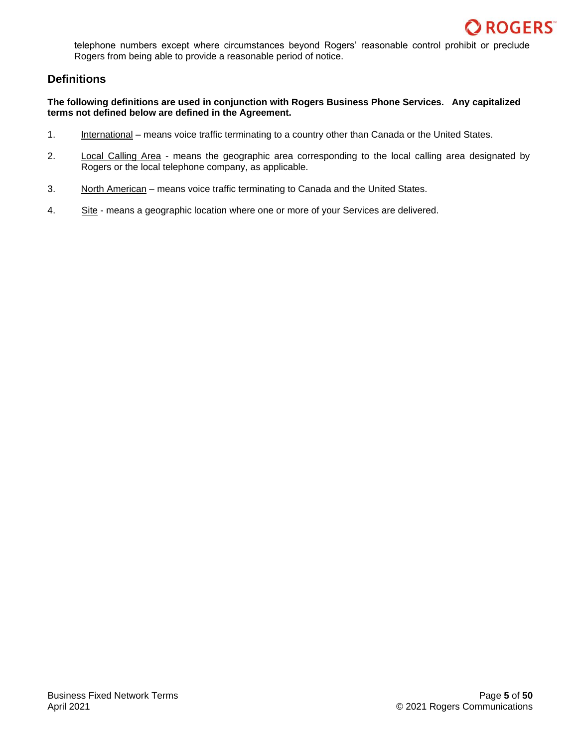

telephone numbers except where circumstances beyond Rogers' reasonable control prohibit or preclude Rogers from being able to provide a reasonable period of notice.

# **Definitions**

**The following definitions are used in conjunction with Rogers Business Phone Services. Any capitalized terms not defined below are defined in the Agreement.**

- 1. International means voice traffic terminating to a country other than Canada or the United States.
- 2. Local Calling Area means the geographic area corresponding to the local calling area designated by Rogers or the local telephone company, as applicable.
- 3. North American means voice traffic terminating to Canada and the United States.
- 4. Site means a geographic location where one or more of your Services are delivered.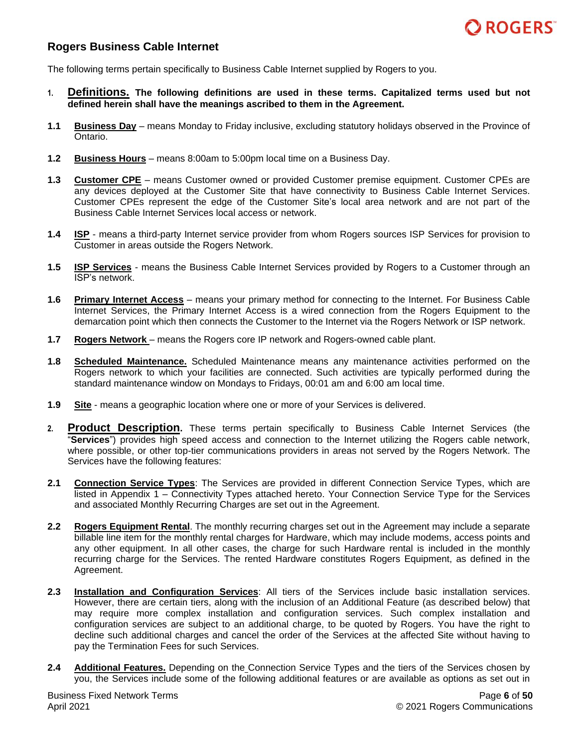

# <span id="page-5-0"></span>**Rogers Business Cable Internet**

The following terms pertain specifically to Business Cable Internet supplied by Rogers to you.

- **1. Definitions. The following definitions are used in these terms. Capitalized terms used but not defined herein shall have the meanings ascribed to them in the Agreement.**
- **1.1 Business Day** means Monday to Friday inclusive, excluding statutory holidays observed in the Province of Ontario.
- **1.2 Business Hours** means 8:00am to 5:00pm local time on a Business Day.
- **1.3 Customer CPE** means Customer owned or provided Customer premise equipment. Customer CPEs are any devices deployed at the Customer Site that have connectivity to Business Cable Internet Services. Customer CPEs represent the edge of the Customer Site's local area network and are not part of the Business Cable Internet Services local access or network.
- **1.4 ISP** means a third-party Internet service provider from whom Rogers sources ISP Services for provision to Customer in areas outside the Rogers Network.
- **1.5 ISP Services** means the Business Cable Internet Services provided by Rogers to a Customer through an ISP's network.
- **1.6 Primary Internet Access** means your primary method for connecting to the Internet. For Business Cable Internet Services, the Primary Internet Access is a wired connection from the Rogers Equipment to the demarcation point which then connects the Customer to the Internet via the Rogers Network or ISP network.
- **1.7 Rogers Network** means the Rogers core IP network and Rogers-owned cable plant.
- **1.8 Scheduled Maintenance.** Scheduled Maintenance means any maintenance activities performed on the Rogers network to which your facilities are connected. Such activities are typically performed during the standard maintenance window on Mondays to Fridays, 00:01 am and 6:00 am local time.
- **1.9 Site** means a geographic location where one or more of your Services is delivered.
- **2. Product Description.** These terms pertain specifically to Business Cable Internet Services (the "**Services**") provides high speed access and connection to the Internet utilizing the Rogers cable network, where possible, or other top-tier communications providers in areas not served by the Rogers Network. The Services have the following features:
- **2.1 Connection Service Types**: The Services are provided in different Connection Service Types, which are listed in Appendix 1 – Connectivity Types attached hereto. Your Connection Service Type for the Services and associated Monthly Recurring Charges are set out in the Agreement.
- **2.2 Rogers Equipment Rental**. The monthly recurring charges set out in the Agreement may include a separate billable line item for the monthly rental charges for Hardware, which may include modems, access points and any other equipment. In all other cases, the charge for such Hardware rental is included in the monthly recurring charge for the Services. The rented Hardware constitutes Rogers Equipment, as defined in the Agreement.
- **2.3 Installation and Configuration Services**: All tiers of the Services include basic installation services. However, there are certain tiers, along with the inclusion of an Additional Feature (as described below) that may require more complex installation and configuration services. Such complex installation and configuration services are subject to an additional charge, to be quoted by Rogers. You have the right to decline such additional charges and cancel the order of the Services at the affected Site without having to pay the Termination Fees for such Services.
- **2.4 Additional Features.** Depending on the Connection Service Types and the tiers of the Services chosen by you, the Services include some of the following additional features or are available as options as set out in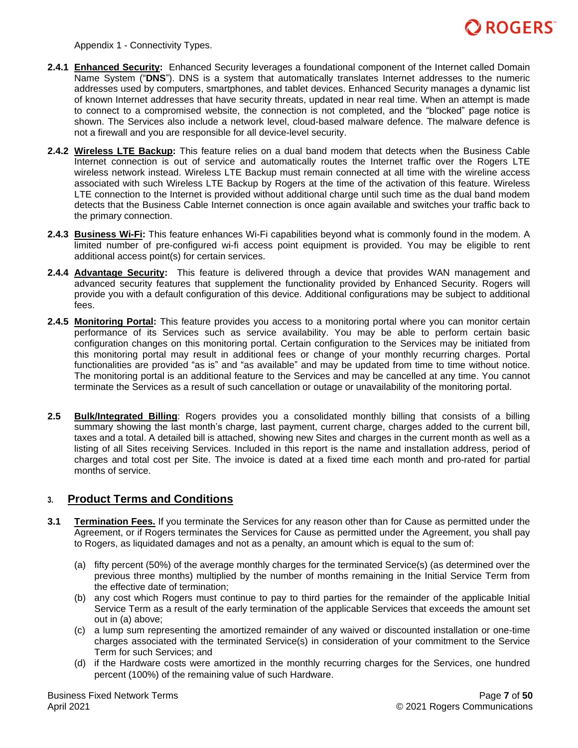

Appendix 1 - Connectivity Types.

- **2.4.1 Enhanced Security:** Enhanced Security leverages a foundational component of the Internet called Domain Name System ("**DNS**"). DNS is a system that automatically translates Internet addresses to the numeric addresses used by computers, smartphones, and tablet devices. Enhanced Security manages a dynamic list of known Internet addresses that have security threats, updated in near real time. When an attempt is made to connect to a compromised website, the connection is not completed, and the "blocked" page notice is shown. The Services also include a network level, cloud-based malware defence. The malware defence is not a firewall and you are responsible for all device-level security.
- **2.4.2 Wireless LTE Backup:** This feature relies on a dual band modem that detects when the Business Cable Internet connection is out of service and automatically routes the Internet traffic over the Rogers LTE wireless network instead. Wireless LTE Backup must remain connected at all time with the wireline access associated with such Wireless LTE Backup by Rogers at the time of the activation of this feature. Wireless LTE connection to the Internet is provided without additional charge until such time as the dual band modem detects that the Business Cable Internet connection is once again available and switches your traffic back to the primary connection.
- **2.4.3 Business Wi-Fi:** This feature enhances Wi-Fi capabilities beyond what is commonly found in the modem. A limited number of pre-configured wi-fi access point equipment is provided. You may be eligible to rent additional access point(s) for certain services.
- **2.4.4 Advantage Security:** This feature is delivered through a device that provides WAN management and advanced security features that supplement the functionality provided by Enhanced Security. Rogers will provide you with a default configuration of this device. Additional configurations may be subject to additional fees.
- **2.4.5 Monitoring Portal:** This feature provides you access to a monitoring portal where you can monitor certain performance of its Services such as service availability. You may be able to perform certain basic configuration changes on this monitoring portal. Certain configuration to the Services may be initiated from this monitoring portal may result in additional fees or change of your monthly recurring charges. Portal functionalities are provided "as is" and "as available" and may be updated from time to time without notice. The monitoring portal is an additional feature to the Services and may be cancelled at any time. You cannot terminate the Services as a result of such cancellation or outage or unavailability of the monitoring portal.
- **2.5 Bulk/Integrated Billing**: Rogers provides you a consolidated monthly billing that consists of a billing summary showing the last month's charge, last payment, current charge, charges added to the current bill, taxes and a total. A detailed bill is attached, showing new Sites and charges in the current month as well as a listing of all Sites receiving Services. Included in this report is the name and installation address, period of charges and total cost per Site. The invoice is dated at a fixed time each month and pro-rated for partial months of service.

## **3. Product Terms and Conditions**

- **3.1 Termination Fees.** If you terminate the Services for any reason other than for Cause as permitted under the Agreement, or if Rogers terminates the Services for Cause as permitted under the Agreement, you shall pay to Rogers, as liquidated damages and not as a penalty, an amount which is equal to the sum of:
	- (a) fifty percent (50%) of the average monthly charges for the terminated Service(s) (as determined over the previous three months) multiplied by the number of months remaining in the Initial Service Term from the effective date of termination;
	- (b) any cost which Rogers must continue to pay to third parties for the remainder of the applicable Initial Service Term as a result of the early termination of the applicable Services that exceeds the amount set out in (a) above;
	- (c) a lump sum representing the amortized remainder of any waived or discounted installation or one-time charges associated with the terminated Service(s) in consideration of your commitment to the Service Term for such Services; and
	- (d) if the Hardware costs were amortized in the monthly recurring charges for the Services, one hundred percent (100%) of the remaining value of such Hardware.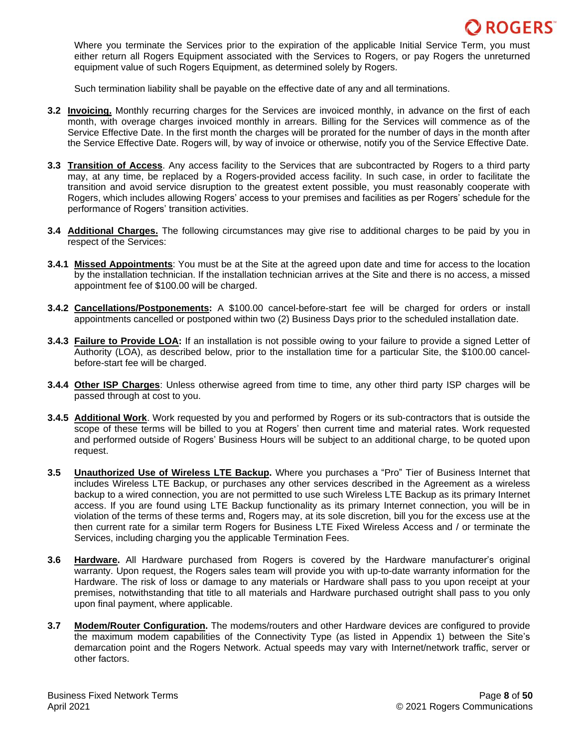

Where you terminate the Services prior to the expiration of the applicable Initial Service Term, you must either return all Rogers Equipment associated with the Services to Rogers, or pay Rogers the unreturned equipment value of such Rogers Equipment, as determined solely by Rogers.

Such termination liability shall be payable on the effective date of any and all terminations.

- **3.2 Invoicing.** Monthly recurring charges for the Services are invoiced monthly, in advance on the first of each month, with overage charges invoiced monthly in arrears. Billing for the Services will commence as of the Service Effective Date. In the first month the charges will be prorated for the number of days in the month after the Service Effective Date. Rogers will, by way of invoice or otherwise, notify you of the Service Effective Date.
- **3.3 Transition of Access**. Any access facility to the Services that are subcontracted by Rogers to a third party may, at any time, be replaced by a Rogers-provided access facility. In such case, in order to facilitate the transition and avoid service disruption to the greatest extent possible, you must reasonably cooperate with Rogers, which includes allowing Rogers' access to your premises and facilities as per Rogers' schedule for the performance of Rogers' transition activities.
- **3.4 Additional Charges.** The following circumstances may give rise to additional charges to be paid by you in respect of the Services:
- **3.4.1 Missed Appointments**: You must be at the Site at the agreed upon date and time for access to the location by the installation technician. If the installation technician arrives at the Site and there is no access, a missed appointment fee of \$100.00 will be charged.
- **3.4.2 Cancellations/Postponements:** A \$100.00 cancel-before-start fee will be charged for orders or install appointments cancelled or postponed within two (2) Business Days prior to the scheduled installation date.
- **3.4.3 Failure to Provide LOA:** If an installation is not possible owing to your failure to provide a signed Letter of Authority (LOA), as described below, prior to the installation time for a particular Site, the \$100.00 cancelbefore-start fee will be charged.
- **3.4.4 Other ISP Charges**: Unless otherwise agreed from time to time, any other third party ISP charges will be passed through at cost to you.
- **3.4.5 Additional Work**. Work requested by you and performed by Rogers or its sub-contractors that is outside the scope of these terms will be billed to you at Rogers' then current time and material rates. Work requested and performed outside of Rogers' Business Hours will be subject to an additional charge, to be quoted upon request.
- **3.5 Unauthorized Use of Wireless LTE Backup.** Where you purchases a "Pro" Tier of Business Internet that includes Wireless LTE Backup, or purchases any other services described in the Agreement as a wireless backup to a wired connection, you are not permitted to use such Wireless LTE Backup as its primary Internet access. If you are found using LTE Backup functionality as its primary Internet connection, you will be in violation of the terms of these terms and, Rogers may, at its sole discretion, bill you for the excess use at the then current rate for a similar term Rogers for Business LTE Fixed Wireless Access and / or terminate the Services, including charging you the applicable Termination Fees.
- **3.6 Hardware.** All Hardware purchased from Rogers is covered by the Hardware manufacturer's original warranty. Upon request, the Rogers sales team will provide you with up-to-date warranty information for the Hardware. The risk of loss or damage to any materials or Hardware shall pass to you upon receipt at your premises, notwithstanding that title to all materials and Hardware purchased outright shall pass to you only upon final payment, where applicable.
- **3.7 Modem/Router Configuration.** The modems/routers and other Hardware devices are configured to provide the maximum modem capabilities of the Connectivity Type (as listed in Appendix 1) between the Site's demarcation point and the Rogers Network. Actual speeds may vary with Internet/network traffic, server or other factors.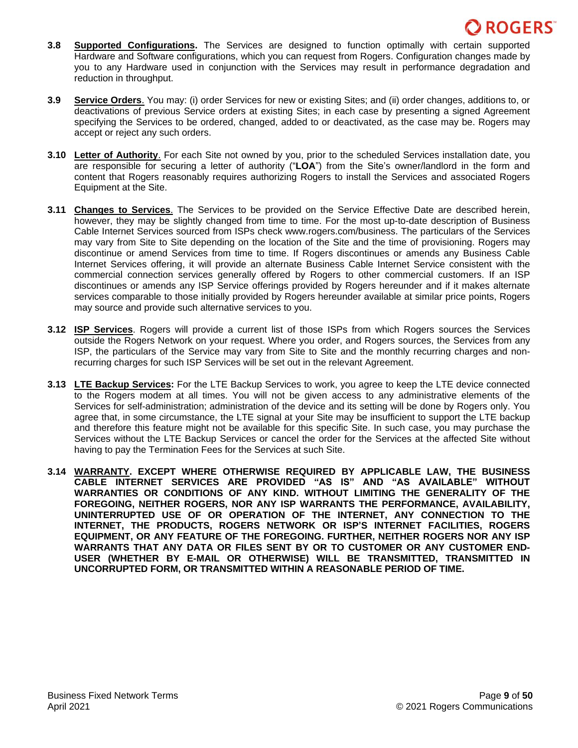- **3.8 Supported Configurations.** The Services are designed to function optimally with certain supported Hardware and Software configurations, which you can request from Rogers. Configuration changes made by you to any Hardware used in conjunction with the Services may result in performance degradation and reduction in throughput.
- **3.9 Service Orders**. You may: (i) order Services for new or existing Sites; and (ii) order changes, additions to, or deactivations of previous Service orders at existing Sites; in each case by presenting a signed Agreement specifying the Services to be ordered, changed, added to or deactivated, as the case may be. Rogers may accept or reject any such orders.
- **3.10 Letter of Authority**. For each Site not owned by you, prior to the scheduled Services installation date, you are responsible for securing a letter of authority ("**LOA**") from the Site's owner/landlord in the form and content that Rogers reasonably requires authorizing Rogers to install the Services and associated Rogers Equipment at the Site.
- **3.11 Changes to Services**. The Services to be provided on the Service Effective Date are described herein, however, they may be slightly changed from time to time. For the most up-to-date description of Business Cable Internet Services sourced from ISPs check www.rogers.com/business. The particulars of the Services may vary from Site to Site depending on the location of the Site and the time of provisioning. Rogers may discontinue or amend Services from time to time. If Rogers discontinues or amends any Business Cable Internet Services offering, it will provide an alternate Business Cable Internet Service consistent with the commercial connection services generally offered by Rogers to other commercial customers. If an ISP discontinues or amends any ISP Service offerings provided by Rogers hereunder and if it makes alternate services comparable to those initially provided by Rogers hereunder available at similar price points, Rogers may source and provide such alternative services to you.
- **3.12 ISP Services**. Rogers will provide a current list of those ISPs from which Rogers sources the Services outside the Rogers Network on your request. Where you order, and Rogers sources, the Services from any ISP, the particulars of the Service may vary from Site to Site and the monthly recurring charges and nonrecurring charges for such ISP Services will be set out in the relevant Agreement.
- **3.13 LTE Backup Services:** For the LTE Backup Services to work, you agree to keep the LTE device connected to the Rogers modem at all times. You will not be given access to any administrative elements of the Services for self-administration; administration of the device and its setting will be done by Rogers only. You agree that, in some circumstance, the LTE signal at your Site may be insufficient to support the LTE backup and therefore this feature might not be available for this specific Site. In such case, you may purchase the Services without the LTE Backup Services or cancel the order for the Services at the affected Site without having to pay the Termination Fees for the Services at such Site.
- **3.14 WARRANTY. EXCEPT WHERE OTHERWISE REQUIRED BY APPLICABLE LAW, THE BUSINESS CABLE INTERNET SERVICES ARE PROVIDED "AS IS" AND "AS AVAILABLE" WITHOUT WARRANTIES OR CONDITIONS OF ANY KIND. WITHOUT LIMITING THE GENERALITY OF THE FOREGOING, NEITHER ROGERS, NOR ANY ISP WARRANTS THE PERFORMANCE, AVAILABILITY, UNINTERRUPTED USE OF OR OPERATION OF THE INTERNET, ANY CONNECTION TO THE INTERNET, THE PRODUCTS, ROGERS NETWORK OR ISP'S INTERNET FACILITIES, ROGERS EQUIPMENT, OR ANY FEATURE OF THE FOREGOING. FURTHER, NEITHER ROGERS NOR ANY ISP WARRANTS THAT ANY DATA OR FILES SENT BY OR TO CUSTOMER OR ANY CUSTOMER END-USER (WHETHER BY E-MAIL OR OTHERWISE) WILL BE TRANSMITTED, TRANSMITTED IN UNCORRUPTED FORM, OR TRANSMITTED WITHIN A REASONABLE PERIOD OF TIME.**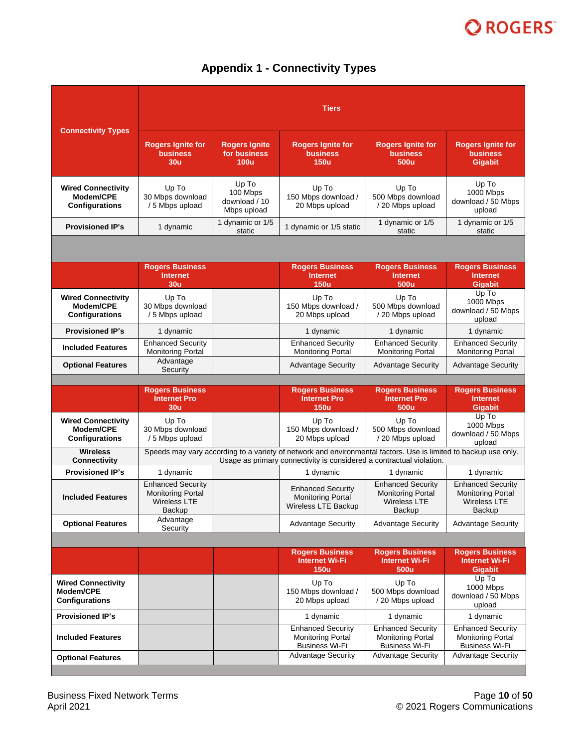# **Appendix 1 - Connectivity Types**

| <b>Connectivity Types</b>                                       | <b>Tiers</b>                                                                                                                                                                            |                                                   |                                                                               |                                                                                       |                                                                                       |
|-----------------------------------------------------------------|-----------------------------------------------------------------------------------------------------------------------------------------------------------------------------------------|---------------------------------------------------|-------------------------------------------------------------------------------|---------------------------------------------------------------------------------------|---------------------------------------------------------------------------------------|
|                                                                 | <b>Rogers Ignite for</b><br><b>business</b><br>30 <sub>u</sub>                                                                                                                          | <b>Rogers Ignite</b><br>for business<br>100u      | <b>Rogers Ignite for</b><br><b>business</b><br><b>150u</b>                    | <b>Rogers Ignite for</b><br><b>business</b><br>500u                                   | <b>Rogers lgnite for</b><br><b>business</b><br><b>Gigabit</b>                         |
| <b>Wired Connectivity</b><br>Modem/CPE<br>Configurations        | Up To<br>30 Mbps download<br>/ 5 Mbps upload                                                                                                                                            | Up To<br>100 Mbps<br>download / 10<br>Mbps upload | Up To<br>150 Mbps download /<br>20 Mbps upload                                | Up To<br>500 Mbps download<br>/20 Mbps upload                                         | Up To<br>1000 Mbps<br>download / 50 Mbps<br>upload                                    |
| <b>Provisioned IP's</b>                                         | 1 dynamic                                                                                                                                                                               | 1 dynamic or 1/5<br>static                        | 1 dynamic or 1/5 static                                                       | 1 dynamic or 1/5<br>static                                                            | 1 dynamic or 1/5<br>static                                                            |
|                                                                 |                                                                                                                                                                                         |                                                   |                                                                               |                                                                                       |                                                                                       |
|                                                                 | <b>Rogers Business</b><br><b>Internet</b>                                                                                                                                               |                                                   | <b>Rogers Business</b><br><b>Internet</b>                                     | <b>Rogers Business</b><br><b>Internet</b>                                             | <b>Rogers Business</b><br><b>Internet</b>                                             |
|                                                                 | 30 <sub>u</sub>                                                                                                                                                                         |                                                   | <b>150u</b>                                                                   | 500u                                                                                  | <b>Gigabit</b>                                                                        |
| <b>Wired Connectivity</b><br>Modem/CPE<br><b>Configurations</b> | Up To<br>30 Mbps download<br>/ 5 Mbps upload                                                                                                                                            |                                                   | Up To<br>150 Mbps download /<br>20 Mbps upload                                | Up To<br>500 Mbps download<br>/20 Mbps upload                                         | Up To<br>1000 Mbps<br>download / 50 Mbps<br>upload                                    |
| <b>Provisioned IP's</b>                                         | 1 dynamic                                                                                                                                                                               |                                                   | 1 dynamic                                                                     | 1 dynamic                                                                             | 1 dynamic                                                                             |
| <b>Included Features</b>                                        | <b>Enhanced Security</b><br><b>Monitoring Portal</b>                                                                                                                                    |                                                   | <b>Enhanced Security</b><br><b>Monitoring Portal</b>                          | <b>Enhanced Security</b><br><b>Monitoring Portal</b>                                  | <b>Enhanced Security</b><br><b>Monitoring Portal</b>                                  |
| <b>Optional Features</b>                                        | Advantage<br>Security                                                                                                                                                                   |                                                   | <b>Advantage Security</b>                                                     | <b>Advantage Security</b>                                                             | <b>Advantage Security</b>                                                             |
|                                                                 | <b>Rogers Business</b>                                                                                                                                                                  |                                                   | <b>Rogers Business</b>                                                        | <b>Rogers Business</b>                                                                | <b>Rogers Business</b>                                                                |
|                                                                 | <b>Internet Pro</b><br>30 <sub>u</sub>                                                                                                                                                  |                                                   | <b>Internet Pro</b><br><b>150u</b>                                            | <b>Internet Pro</b><br>500u                                                           | <b>Internet</b><br>Gigabit                                                            |
| <b>Wired Connectivity</b><br>Modem/CPE<br>Configurations        | Up To<br>30 Mbps download<br>/ 5 Mbps upload                                                                                                                                            |                                                   | Up To<br>150 Mbps download /<br>20 Mbps upload                                | Up To<br>500 Mbps download<br>/20 Mbps upload                                         | Up To<br>1000 Mbps<br>download / 50 Mbps<br>upload                                    |
| <b>Wireless</b><br>Connectivity                                 | Speeds may vary according to a variety of network and environmental factors. Use is limited to backup use only.<br>Usage as primary connectivity is considered a contractual violation. |                                                   |                                                                               |                                                                                       |                                                                                       |
| <b>Provisioned IP's</b>                                         | 1 dynamic                                                                                                                                                                               |                                                   | 1 dynamic                                                                     | 1 dynamic                                                                             | 1 dynamic                                                                             |
| <b>Included Features</b>                                        | <b>Enhanced Security</b><br><b>Monitoring Portal</b><br>Wireless LTE<br>Backup                                                                                                          |                                                   | <b>Enhanced Security</b><br><b>Monitoring Portal</b><br>Wireless LTE Backup   | <b>Enhanced Security</b><br><b>Monitoring Portal</b><br><b>Wireless LTE</b><br>Backup | <b>Enhanced Security</b><br><b>Monitoring Portal</b><br><b>Wireless LTE</b><br>Backup |
| <b>Optional Features</b>                                        | Advantage<br>Security                                                                                                                                                                   |                                                   | <b>Advantage Security</b>                                                     | <b>Advantage Security</b>                                                             | <b>Advantage Security</b>                                                             |
|                                                                 |                                                                                                                                                                                         |                                                   |                                                                               |                                                                                       |                                                                                       |
|                                                                 |                                                                                                                                                                                         |                                                   | <b>Rogers Business</b><br><b>Internet Wi-Fi</b><br><b>150u</b>                | <b>Rogers Business</b><br>Internet Wi-Fi<br>500u                                      | <b>Rogers Business</b><br><b>Internet Wi-Fi</b><br>Gigabit                            |
| <b>Wired Connectivity</b><br>Modem/CPE<br><b>Configurations</b> |                                                                                                                                                                                         |                                                   | Up To<br>150 Mbps download /<br>20 Mbps upload                                | Up To<br>500 Mbps download<br>/ 20 Mbps upload                                        | Up To<br>1000 Mbps<br>download / 50 Mbps<br>upload                                    |
| <b>Provisioned IP's</b>                                         |                                                                                                                                                                                         |                                                   | 1 dynamic                                                                     | 1 dynamic                                                                             | 1 dynamic                                                                             |
| <b>Included Features</b>                                        |                                                                                                                                                                                         |                                                   | <b>Enhanced Security</b><br><b>Monitoring Portal</b><br><b>Business Wi-Fi</b> | <b>Enhanced Security</b><br><b>Monitoring Portal</b><br><b>Business Wi-Fi</b>         | <b>Enhanced Security</b><br><b>Monitoring Portal</b><br><b>Business Wi-Fi</b>         |
| <b>Optional Features</b>                                        |                                                                                                                                                                                         |                                                   | <b>Advantage Security</b>                                                     | <b>Advantage Security</b>                                                             | <b>Advantage Security</b>                                                             |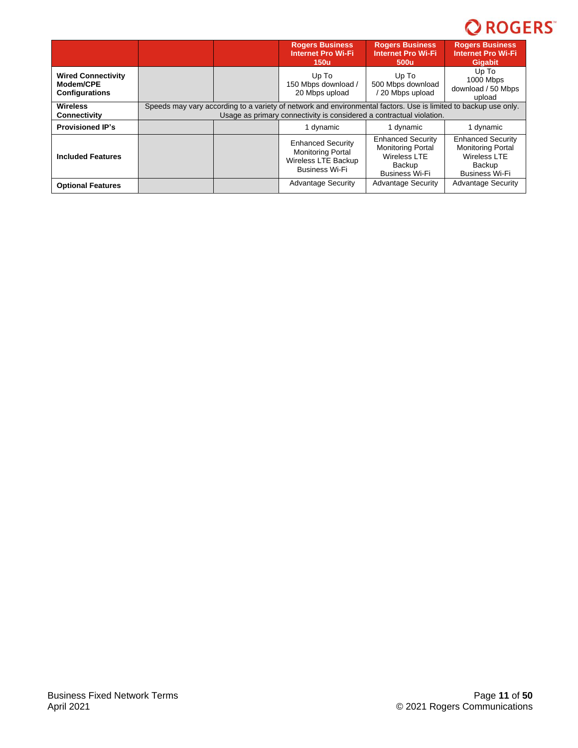|                                                                 |                                                                                                                                                                                         |  | <b>Rogers Business</b><br><b>Internet Pro Wi-Fi</b><br><b>150u</b>                                   | <b>Rogers Business</b><br><b>Internet Pro Wi-Fi</b><br>500u                                                           | <b>Rogers Business</b><br><b>Internet Pro Wi-Fi</b><br><b>Gigabit</b>                                          |
|-----------------------------------------------------------------|-----------------------------------------------------------------------------------------------------------------------------------------------------------------------------------------|--|------------------------------------------------------------------------------------------------------|-----------------------------------------------------------------------------------------------------------------------|----------------------------------------------------------------------------------------------------------------|
| <b>Wired Connectivity</b><br>Modem/CPE<br><b>Configurations</b> |                                                                                                                                                                                         |  | Up To<br>150 Mbps download /<br>20 Mbps upload                                                       | Up To<br>500 Mbps download<br>20 Mbps upload                                                                          | Up To<br>1000 Mbps<br>download / 50 Mbps<br>upload                                                             |
| <b>Wireless</b><br><b>Connectivity</b>                          | Speeds may vary according to a variety of network and environmental factors. Use is limited to backup use only.<br>Usage as primary connectivity is considered a contractual violation. |  |                                                                                                      |                                                                                                                       |                                                                                                                |
| <b>Provisioned IP's</b>                                         |                                                                                                                                                                                         |  | 1 dynamic                                                                                            | 1 dynamic                                                                                                             | 1 dynamic                                                                                                      |
| <b>Included Features</b>                                        |                                                                                                                                                                                         |  | <b>Enhanced Security</b><br><b>Monitoring Portal</b><br>Wireless LTE Backup<br><b>Business Wi-Fi</b> | <b>Enhanced Security</b><br><b>Monitoring Portal</b><br><b>Wireless LTE</b><br><b>Backup</b><br><b>Business Wi-Fi</b> | <b>Enhanced Security</b><br><b>Monitoring Portal</b><br><b>Wireless LTE</b><br>Backup<br><b>Business Wi-Fi</b> |
| <b>Optional Features</b>                                        |                                                                                                                                                                                         |  | <b>Advantage Security</b>                                                                            | <b>Advantage Security</b>                                                                                             | <b>Advantage Security</b>                                                                                      |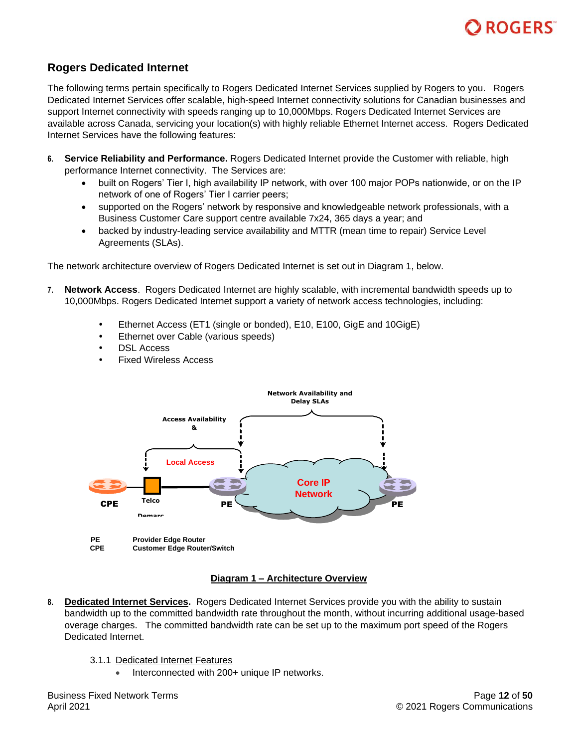

# <span id="page-11-0"></span>**Rogers Dedicated Internet**

The following terms pertain specifically to Rogers Dedicated Internet Services supplied by Rogers to you. Rogers Dedicated Internet Services offer scalable, high-speed Internet connectivity solutions for Canadian businesses and support Internet connectivity with speeds ranging up to 10,000Mbps. Rogers Dedicated Internet Services are available across Canada, servicing your location(s) with highly reliable Ethernet Internet access. Rogers Dedicated Internet Services have the following features:

- **6. Service Reliability and Performance.** Rogers Dedicated Internet provide the Customer with reliable, high performance Internet connectivity. The Services are:
	- built on Rogers' Tier I, high availability IP network, with over 100 major POPs nationwide, or on the IP network of one of Rogers' Tier I carrier peers;
	- supported on the Rogers' network by responsive and knowledgeable network professionals, with a Business Customer Care support centre available 7x24, 365 days a year; and
	- backed by industry-leading service availability and MTTR (mean time to repair) Service Level Agreements (SLAs).

The network architecture overview of Rogers Dedicated Internet is set out in Diagram 1, below.

- **7. Network Access**. Rogers Dedicated Internet are highly scalable, with incremental bandwidth speeds up to 10,000Mbps. Rogers Dedicated Internet support a variety of network access technologies, including:
	- Ethernet Access (ET1 (single or bonded), E10, E100, GigE and 10GigE)
	- Ethernet over Cable (various speeds)
	- DSL Access
	- Fixed Wireless Access



### **Diagram 1 – Architecture Overview**

- **8. Dedicated Internet Services.** Rogers Dedicated Internet Services provide you with the ability to sustain bandwidth up to the committed bandwidth rate throughout the month, without incurring additional usage-based overage charges. The committed bandwidth rate can be set up to the maximum port speed of the Rogers Dedicated Internet.
	- 3.1.1 Dedicated Internet Features
		- Interconnected with 200+ unique IP networks.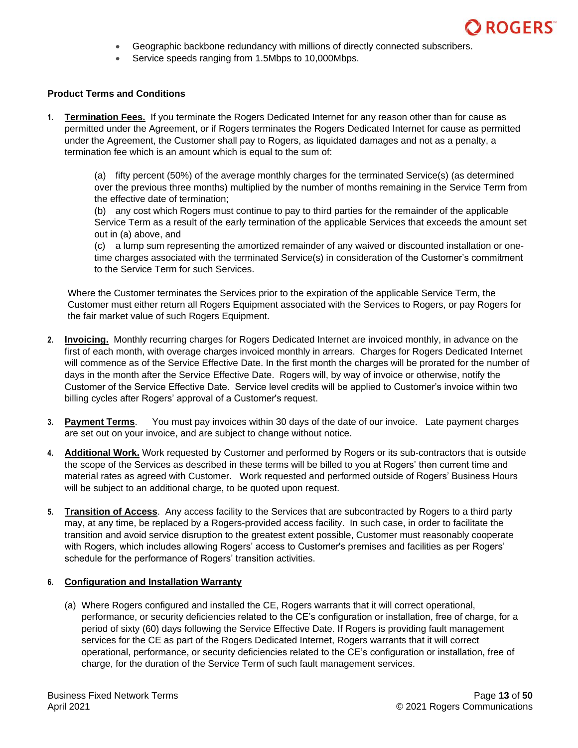

- Geographic backbone redundancy with millions of directly connected subscribers.
- Service speeds ranging from 1.5Mbps to 10,000Mbps.

### **Product Terms and Conditions**

**1. Termination Fees.** If you terminate the Rogers Dedicated Internet for any reason other than for cause as permitted under the Agreement, or if Rogers terminates the Rogers Dedicated Internet for cause as permitted under the Agreement, the Customer shall pay to Rogers, as liquidated damages and not as a penalty, a termination fee which is an amount which is equal to the sum of:

(a) fifty percent (50%) of the average monthly charges for the terminated Service(s) (as determined over the previous three months) multiplied by the number of months remaining in the Service Term from the effective date of termination;

(b) any cost which Rogers must continue to pay to third parties for the remainder of the applicable Service Term as a result of the early termination of the applicable Services that exceeds the amount set out in (a) above, and

(c) a lump sum representing the amortized remainder of any waived or discounted installation or onetime charges associated with the terminated Service(s) in consideration of the Customer's commitment to the Service Term for such Services.

Where the Customer terminates the Services prior to the expiration of the applicable Service Term, the Customer must either return all Rogers Equipment associated with the Services to Rogers, or pay Rogers for the fair market value of such Rogers Equipment.

- **2. Invoicing.** Monthly recurring charges for Rogers Dedicated Internet are invoiced monthly, in advance on the first of each month, with overage charges invoiced monthly in arrears. Charges for Rogers Dedicated Internet will commence as of the Service Effective Date. In the first month the charges will be prorated for the number of days in the month after the Service Effective Date. Rogers will, by way of invoice or otherwise, notify the Customer of the Service Effective Date. Service level credits will be applied to Customer's invoice within two billing cycles after Rogers' approval of a Customer's request.
- **3. Payment Terms**. You must pay invoices within 30 days of the date of our invoice. Late payment charges are set out on your invoice, and are subject to change without notice.
- **4. Additional Work.** Work requested by Customer and performed by Rogers or its sub-contractors that is outside the scope of the Services as described in these terms will be billed to you at Rogers' then current time and material rates as agreed with Customer. Work requested and performed outside of Rogers' Business Hours will be subject to an additional charge, to be quoted upon request.
- **5. Transition of Access**. Any access facility to the Services that are subcontracted by Rogers to a third party may, at any time, be replaced by a Rogers-provided access facility. In such case, in order to facilitate the transition and avoid service disruption to the greatest extent possible, Customer must reasonably cooperate with Rogers, which includes allowing Rogers' access to Customer's premises and facilities as per Rogers' schedule for the performance of Rogers' transition activities.

### **6. Configuration and Installation Warranty**

(a) Where Rogers configured and installed the CE, Rogers warrants that it will correct operational, performance, or security deficiencies related to the CE's configuration or installation, free of charge, for a period of sixty (60) days following the Service Effective Date. If Rogers is providing fault management services for the CE as part of the Rogers Dedicated Internet, Rogers warrants that it will correct operational, performance, or security deficiencies related to the CE's configuration or installation, free of charge, for the duration of the Service Term of such fault management services.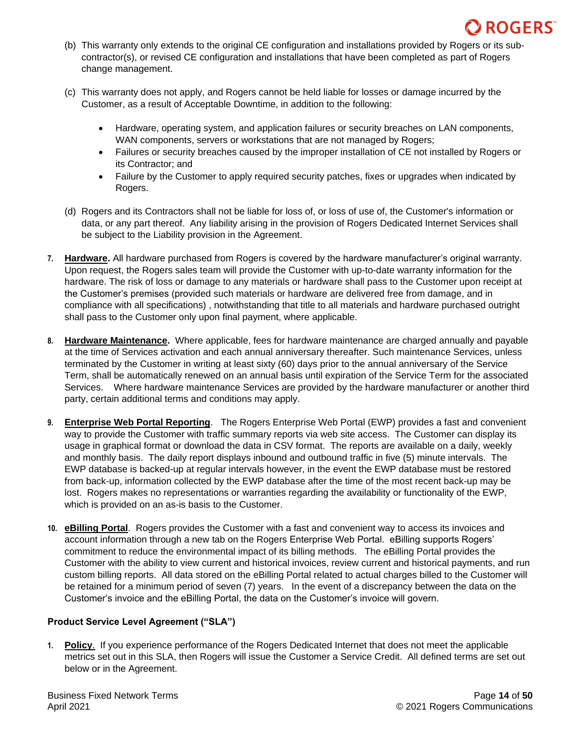

- (b) This warranty only extends to the original CE configuration and installations provided by Rogers or its subcontractor(s), or revised CE configuration and installations that have been completed as part of Rogers change management.
- (c) This warranty does not apply, and Rogers cannot be held liable for losses or damage incurred by the Customer, as a result of Acceptable Downtime, in addition to the following:
	- Hardware, operating system, and application failures or security breaches on LAN components, WAN components, servers or workstations that are not managed by Rogers;
	- Failures or security breaches caused by the improper installation of CE not installed by Rogers or its Contractor; and
	- Failure by the Customer to apply required security patches, fixes or upgrades when indicated by Rogers.
- (d) Rogers and its Contractors shall not be liable for loss of, or loss of use of, the Customer's information or data, or any part thereof. Any liability arising in the provision of Rogers Dedicated Internet Services shall be subject to the Liability provision in the Agreement.
- **7. Hardware.** All hardware purchased from Rogers is covered by the hardware manufacturer's original warranty. Upon request, the Rogers sales team will provide the Customer with up-to-date warranty information for the hardware. The risk of loss or damage to any materials or hardware shall pass to the Customer upon receipt at the Customer's premises (provided such materials or hardware are delivered free from damage, and in compliance with all specifications) , notwithstanding that title to all materials and hardware purchased outright shall pass to the Customer only upon final payment, where applicable.
- **8. Hardware Maintenance.** Where applicable, fees for hardware maintenance are charged annually and payable at the time of Services activation and each annual anniversary thereafter. Such maintenance Services, unless terminated by the Customer in writing at least sixty (60) days prior to the annual anniversary of the Service Term, shall be automatically renewed on an annual basis until expiration of the Service Term for the associated Services. Where hardware maintenance Services are provided by the hardware manufacturer or another third party, certain additional terms and conditions may apply.
- **9. Enterprise Web Portal Reporting**. The Rogers Enterprise Web Portal (EWP) provides a fast and convenient way to provide the Customer with traffic summary reports via web site access. The Customer can display its usage in graphical format or download the data in CSV format. The reports are available on a daily, weekly and monthly basis. The daily report displays inbound and outbound traffic in five (5) minute intervals. The EWP database is backed-up at regular intervals however, in the event the EWP database must be restored from back-up, information collected by the EWP database after the time of the most recent back-up may be lost. Rogers makes no representations or warranties regarding the availability or functionality of the EWP, which is provided on an as-is basis to the Customer.
- **10. eBilling Portal**. Rogers provides the Customer with a fast and convenient way to access its invoices and account information through a new tab on the Rogers Enterprise Web Portal. eBilling supports Rogers' commitment to reduce the environmental impact of its billing methods. The eBilling Portal provides the Customer with the ability to view current and historical invoices, review current and historical payments, and run custom billing reports. All data stored on the eBilling Portal related to actual charges billed to the Customer will be retained for a minimum period of seven (7) years. In the event of a discrepancy between the data on the Customer's invoice and the eBilling Portal, the data on the Customer's invoice will govern.

## **Product Service Level Agreement ("SLA")**

**1. Policy**. If you experience performance of the Rogers Dedicated Internet that does not meet the applicable metrics set out in this SLA, then Rogers will issue the Customer a Service Credit. All defined terms are set out below or in the Agreement.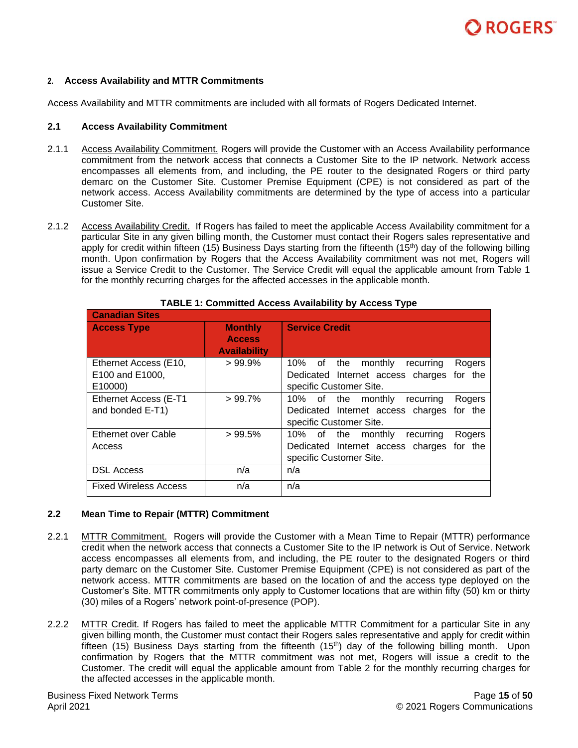### **2. Access Availability and MTTR Commitments**

Access Availability and MTTR commitments are included with all formats of Rogers Dedicated Internet.

### **2.1 Access Availability Commitment**

- 2.1.1 Access Availability Commitment. Rogers will provide the Customer with an Access Availability performance commitment from the network access that connects a Customer Site to the IP network. Network access encompasses all elements from, and including, the PE router to the designated Rogers or third party demarc on the Customer Site. Customer Premise Equipment (CPE) is not considered as part of the network access. Access Availability commitments are determined by the type of access into a particular Customer Site.
- 2.1.2 Access Availability Credit. If Rogers has failed to meet the applicable Access Availability commitment for a particular Site in any given billing month, the Customer must contact their Rogers sales representative and apply for credit within fifteen (15) Business Days starting from the fifteenth (15<sup>th</sup>) day of the following billing month. Upon confirmation by Rogers that the Access Availability commitment was not met, Rogers will issue a Service Credit to the Customer. The Service Credit will equal the applicable amount from Table 1 for the monthly recurring charges for the affected accesses in the applicable month.

| <b>Canadian Sites</b>        |                     |                                                 |
|------------------------------|---------------------|-------------------------------------------------|
| <b>Access Type</b>           | <b>Monthly</b>      | <b>Service Credit</b>                           |
|                              | <b>Access</b>       |                                                 |
|                              | <b>Availability</b> |                                                 |
| Ethernet Access (E10,        | $>99.9\%$           | 10% of the<br>monthly<br>recurring<br>Rogers    |
| E100 and E1000,              |                     | Dedicated Internet access charges for the       |
| E10000)                      |                     | specific Customer Site.                         |
| Ethernet Access (E-T1        | $>99.7\%$           | of the<br>monthly<br>10%<br>Rogers<br>recurring |
| and bonded E-T1)             |                     | Dedicated Internet access charges for the       |
|                              |                     | specific Customer Site.                         |
| <b>Ethernet over Cable</b>   | >99.5%              | of the monthly<br>10%<br>Rogers<br>recurring    |
| Access                       |                     | Dedicated Internet access charges for the       |
|                              |                     | specific Customer Site.                         |
| <b>DSL Access</b>            | n/a                 | n/a                                             |
| <b>Fixed Wireless Access</b> | n/a                 | n/a                                             |

#### **TABLE 1: Committed Access Availability by Access Type**

### **2.2 Mean Time to Repair (MTTR) Commitment**

- 2.2.1 MTTR Commitment. Rogers will provide the Customer with a Mean Time to Repair (MTTR) performance credit when the network access that connects a Customer Site to the IP network is Out of Service. Network access encompasses all elements from, and including, the PE router to the designated Rogers or third party demarc on the Customer Site. Customer Premise Equipment (CPE) is not considered as part of the network access. MTTR commitments are based on the location of and the access type deployed on the Customer's Site. MTTR commitments only apply to Customer locations that are within fifty (50) km or thirty (30) miles of a Rogers' network point-of-presence (POP).
- 2.2.2 MTTR Credit. If Rogers has failed to meet the applicable MTTR Commitment for a particular Site in any given billing month, the Customer must contact their Rogers sales representative and apply for credit within fifteen (15) Business Days starting from the fifteenth (15<sup>th</sup>) day of the following billing month. Upon confirmation by Rogers that the MTTR commitment was not met, Rogers will issue a credit to the Customer. The credit will equal the applicable amount from Table 2 for the monthly recurring charges for the affected accesses in the applicable month.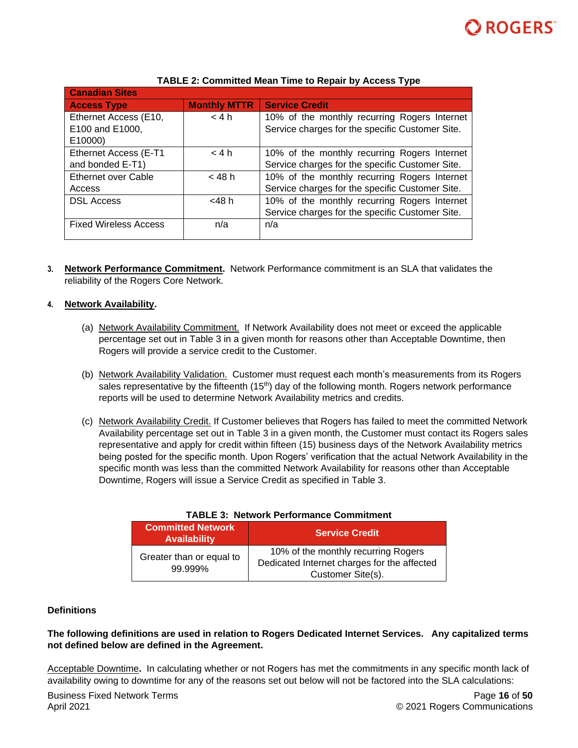

| <b>Canadian Sites</b>        |                     |                                                 |
|------------------------------|---------------------|-------------------------------------------------|
| <b>Access Type</b>           | <b>Monthly MTTR</b> | <b>Service Credit</b>                           |
| Ethernet Access (E10,        | < 4 h               | 10% of the monthly recurring Rogers Internet    |
| E100 and E1000,              |                     | Service charges for the specific Customer Site. |
| E10000)                      |                     |                                                 |
| Ethernet Access (E-T1        | < 4 h               | 10% of the monthly recurring Rogers Internet    |
| and bonded E-T1)             |                     | Service charges for the specific Customer Site. |
| <b>Ethernet over Cable</b>   | $<$ 48 h            | 10% of the monthly recurring Rogers Internet    |
| Access                       |                     | Service charges for the specific Customer Site. |
| <b>DSL Access</b>            | <48 h               | 10% of the monthly recurring Rogers Internet    |
|                              |                     | Service charges for the specific Customer Site. |
| <b>Fixed Wireless Access</b> | n/a                 | n/a                                             |
|                              |                     |                                                 |

### **TABLE 2: Committed Mean Time to Repair by Access Type**

**3. Network Performance Commitment.** Network Performance commitment is an SLA that validates the reliability of the Rogers Core Network.

### **4. Network Availability.**

- (a) Network Availability Commitment. If Network Availability does not meet or exceed the applicable percentage set out in Table 3 in a given month for reasons other than Acceptable Downtime, then Rogers will provide a service credit to the Customer.
- (b) Network Availability Validation. Customer must request each month's measurements from its Rogers sales representative by the fifteenth  $(15<sup>th</sup>)$  day of the following month. Rogers network performance reports will be used to determine Network Availability metrics and credits.
- (c) Network Availability Credit. If Customer believes that Rogers has failed to meet the committed Network Availability percentage set out in Table 3 in a given month, the Customer must contact its Rogers sales representative and apply for credit within fifteen (15) business days of the Network Availability metrics being posted for the specific month. Upon Rogers' verification that the actual Network Availability in the specific month was less than the committed Network Availability for reasons other than Acceptable Downtime, Rogers will issue a Service Credit as specified in Table 3.

| <b>Committed Network</b><br><b>Availability</b> | <b>Service Credit</b>                                                              |
|-------------------------------------------------|------------------------------------------------------------------------------------|
| Greater than or equal to<br>99.999%             | 10% of the monthly recurring Rogers<br>Dedicated Internet charges for the affected |
|                                                 | Customer Site(s).                                                                  |

### **TABLE 3: Network Performance Commitment**

### **Definitions**

## **The following definitions are used in relation to Rogers Dedicated Internet Services. Any capitalized terms not defined below are defined in the Agreement.**

Acceptable Downtime**.** In calculating whether or not Rogers has met the commitments in any specific month lack of availability owing to downtime for any of the reasons set out below will not be factored into the SLA calculations: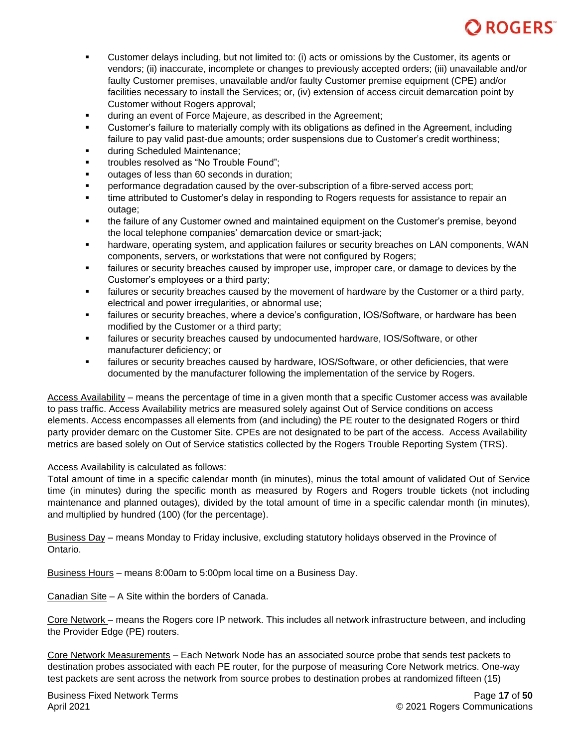- Customer delays including, but not limited to: (i) acts or omissions by the Customer, its agents or vendors; (ii) inaccurate, incomplete or changes to previously accepted orders; (iii) unavailable and/or faulty Customer premises, unavailable and/or faulty Customer premise equipment (CPE) and/or facilities necessary to install the Services; or, (iv) extension of access circuit demarcation point by Customer without Rogers approval;
- **■** during an event of Force Majeure, as described in the Agreement;
- Customer's failure to materially comply with its obligations as defined in the Agreement, including failure to pay valid past-due amounts; order suspensions due to Customer's credit worthiness;
- during Scheduled Maintenance;
- troubles resolved as "No Trouble Found":
- outages of less than 60 seconds in duration:
- performance degradation caused by the over-subscription of a fibre-served access port;
- time attributed to Customer's delay in responding to Rogers requests for assistance to repair an outage;
- **•** the failure of any Customer owned and maintained equipment on the Customer's premise, beyond the local telephone companies' demarcation device or smart-jack;
- hardware, operating system, and application failures or security breaches on LAN components, WAN components, servers, or workstations that were not configured by Rogers;
- **EXECT** failures or security breaches caused by improper use, improper care, or damage to devices by the Customer's employees or a third party;
- **EXECT** failures or security breaches caused by the movement of hardware by the Customer or a third party, electrical and power irregularities, or abnormal use;
- failures or security breaches, where a device's configuration, IOS/Software, or hardware has been modified by the Customer or a third party;
- **EXECT** failures or security breaches caused by undocumented hardware, IOS/Software, or other manufacturer deficiency; or
- **EXECT** failures or security breaches caused by hardware, IOS/Software, or other deficiencies, that were documented by the manufacturer following the implementation of the service by Rogers.

Access Availability – means the percentage of time in a given month that a specific Customer access was available to pass traffic. Access Availability metrics are measured solely against Out of Service conditions on access elements. Access encompasses all elements from (and including) the PE router to the designated Rogers or third party provider demarc on the Customer Site. CPEs are not designated to be part of the access. Access Availability metrics are based solely on Out of Service statistics collected by the Rogers Trouble Reporting System (TRS).

Access Availability is calculated as follows:

Total amount of time in a specific calendar month (in minutes), minus the total amount of validated Out of Service time (in minutes) during the specific month as measured by Rogers and Rogers trouble tickets (not including maintenance and planned outages), divided by the total amount of time in a specific calendar month (in minutes), and multiplied by hundred (100) (for the percentage).

Business Day – means Monday to Friday inclusive, excluding statutory holidays observed in the Province of Ontario.

Business Hours – means 8:00am to 5:00pm local time on a Business Day.

Canadian Site – A Site within the borders of Canada.

Core Network – means the Rogers core IP network. This includes all network infrastructure between, and including the Provider Edge (PE) routers.

Core Network Measurements – Each Network Node has an associated source probe that sends test packets to destination probes associated with each PE router, for the purpose of measuring Core Network metrics. One-way test packets are sent across the network from source probes to destination probes at randomized fifteen (15)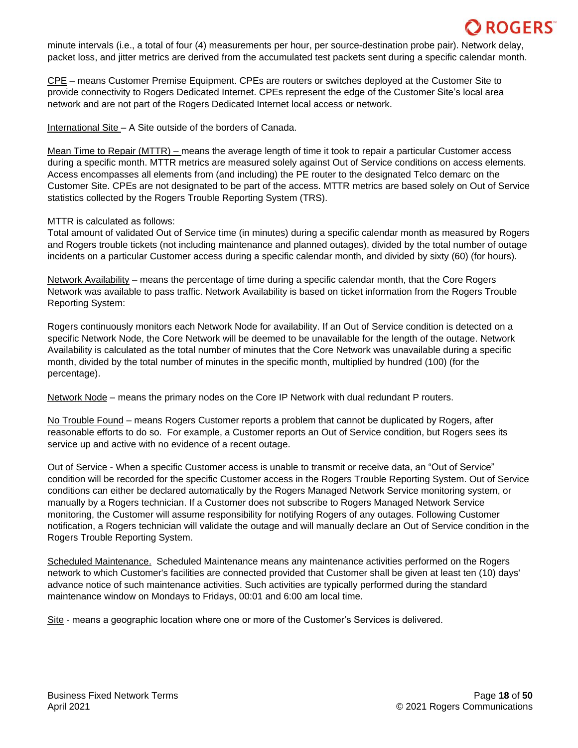minute intervals (i.e., a total of four (4) measurements per hour, per source-destination probe pair). Network delay, packet loss, and jitter metrics are derived from the accumulated test packets sent during a specific calendar month.

CPE – means Customer Premise Equipment. CPEs are routers or switches deployed at the Customer Site to provide connectivity to Rogers Dedicated Internet. CPEs represent the edge of the Customer Site's local area network and are not part of the Rogers Dedicated Internet local access or network.

International Site – A Site outside of the borders of Canada.

Mean Time to Repair (MTTR) – means the average length of time it took to repair a particular Customer access during a specific month. MTTR metrics are measured solely against Out of Service conditions on access elements. Access encompasses all elements from (and including) the PE router to the designated Telco demarc on the Customer Site. CPEs are not designated to be part of the access. MTTR metrics are based solely on Out of Service statistics collected by the Rogers Trouble Reporting System (TRS).

### MTTR is calculated as follows:

Total amount of validated Out of Service time (in minutes) during a specific calendar month as measured by Rogers and Rogers trouble tickets (not including maintenance and planned outages), divided by the total number of outage incidents on a particular Customer access during a specific calendar month, and divided by sixty (60) (for hours).

Network Availability – means the percentage of time during a specific calendar month, that the Core Rogers Network was available to pass traffic. Network Availability is based on ticket information from the Rogers Trouble Reporting System:

Rogers continuously monitors each Network Node for availability. If an Out of Service condition is detected on a specific Network Node, the Core Network will be deemed to be unavailable for the length of the outage. Network Availability is calculated as the total number of minutes that the Core Network was unavailable during a specific month, divided by the total number of minutes in the specific month, multiplied by hundred (100) (for the percentage).

Network Node – means the primary nodes on the Core IP Network with dual redundant P routers.

No Trouble Found – means Rogers Customer reports a problem that cannot be duplicated by Rogers, after reasonable efforts to do so. For example, a Customer reports an Out of Service condition, but Rogers sees its service up and active with no evidence of a recent outage.

Out of Service - When a specific Customer access is unable to transmit or receive data, an "Out of Service" condition will be recorded for the specific Customer access in the Rogers Trouble Reporting System. Out of Service conditions can either be declared automatically by the Rogers Managed Network Service monitoring system, or manually by a Rogers technician. If a Customer does not subscribe to Rogers Managed Network Service monitoring, the Customer will assume responsibility for notifying Rogers of any outages. Following Customer notification, a Rogers technician will validate the outage and will manually declare an Out of Service condition in the Rogers Trouble Reporting System.

Scheduled Maintenance. Scheduled Maintenance means any maintenance activities performed on the Rogers network to which Customer's facilities are connected provided that Customer shall be given at least ten (10) days' advance notice of such maintenance activities. Such activities are typically performed during the standard maintenance window on Mondays to Fridays, 00:01 and 6:00 am local time.

Site - means a geographic location where one or more of the Customer's Services is delivered.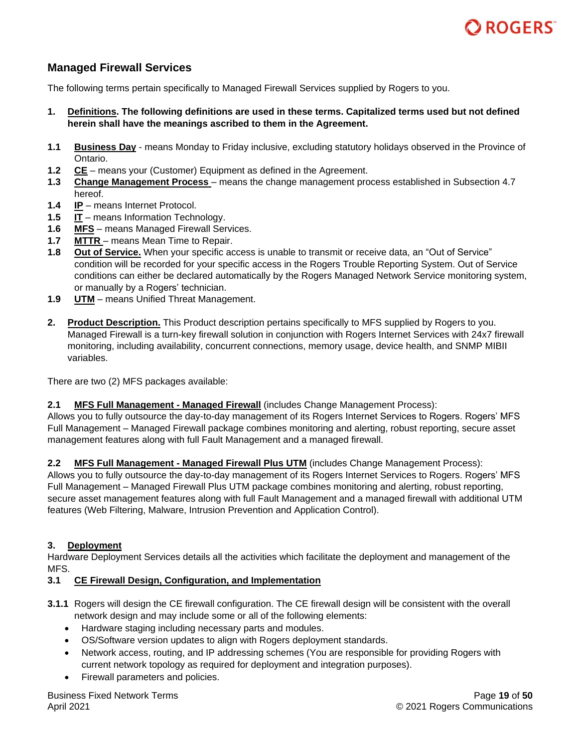

# <span id="page-18-0"></span>**Managed Firewall Services**

The following terms pertain specifically to Managed Firewall Services supplied by Rogers to you.

- **1. Definitions. The following definitions are used in these terms. Capitalized terms used but not defined herein shall have the meanings ascribed to them in the Agreement.**
- **1.1 Business Day** means Monday to Friday inclusive, excluding statutory holidays observed in the Province of Ontario.
- **1.2 CE** means your (Customer) Equipment as defined in the Agreement.
- **1.3 Change Management Process**  means the change management process established in Subsection 4.7 hereof.
- **1.4 IP** means Internet Protocol.
- **1.5 IT** means Information Technology.
- **1.6 MFS** means Managed Firewall Services.
- **1.7 MTTR**  means Mean Time to Repair.
- **1.8 Out of Service.** When your specific access is unable to transmit or receive data, an "Out of Service" condition will be recorded for your specific access in the Rogers Trouble Reporting System. Out of Service conditions can either be declared automatically by the Rogers Managed Network Service monitoring system, or manually by a Rogers' technician.
- **1.9 UTM** means Unified Threat Management.
- **2. Product Description.** This Product description pertains specifically to MFS supplied by Rogers to you. Managed Firewall is a turn-key firewall solution in conjunction with Rogers Internet Services with 24x7 firewall monitoring, including availability, concurrent connections, memory usage, device health, and SNMP MIBII variables.

There are two (2) MFS packages available:

### **2.1 MFS Full Management - Managed Firewall** (includes Change Management Process):

Allows you to fully outsource the day-to-day management of its Rogers Internet Services to Rogers. Rogers' MFS Full Management – Managed Firewall package combines monitoring and alerting, robust reporting, secure asset management features along with full Fault Management and a managed firewall.

**2.2 MFS Full Management - Managed Firewall Plus UTM** (includes Change Management Process):

Allows you to fully outsource the day-to-day management of its Rogers Internet Services to Rogers. Rogers' MFS Full Management – Managed Firewall Plus UTM package combines monitoring and alerting, robust reporting, secure asset management features along with full Fault Management and a managed firewall with additional UTM features (Web Filtering, Malware, Intrusion Prevention and Application Control).

### **3. Deployment**

Hardware Deployment Services details all the activities which facilitate the deployment and management of the MFS.

### **3.1 CE Firewall Design, Configuration, and Implementation**

- **3.1.1** Rogers will design the CE firewall configuration. The CE firewall design will be consistent with the overall network design and may include some or all of the following elements:
	- Hardware staging including necessary parts and modules.
	- OS/Software version updates to align with Rogers deployment standards.
	- Network access, routing, and IP addressing schemes (You are responsible for providing Rogers with current network topology as required for deployment and integration purposes).
	- Firewall parameters and policies.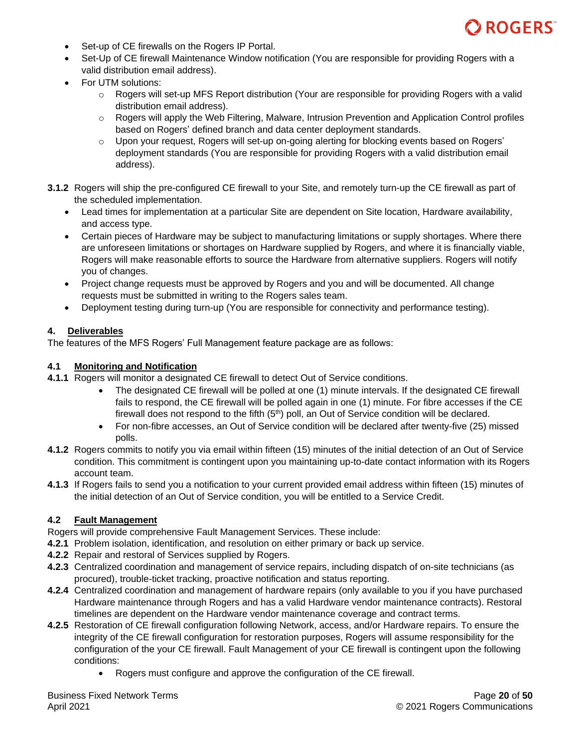

- Set-up of CE firewalls on the Rogers IP Portal.
- Set-Up of CE firewall Maintenance Window notification (You are responsible for providing Rogers with a valid distribution email address).
- For UTM solutions:
	- $\circ$  Rogers will set-up MFS Report distribution (Your are responsible for providing Rogers with a valid distribution email address).
	- $\circ$  Rogers will apply the Web Filtering, Malware, Intrusion Prevention and Application Control profiles based on Rogers' defined branch and data center deployment standards.
	- o Upon your request, Rogers will set-up on-going alerting for blocking events based on Rogers' deployment standards (You are responsible for providing Rogers with a valid distribution email address).
- **3.1.2** Rogers will ship the pre-configured CE firewall to your Site, and remotely turn-up the CE firewall as part of the scheduled implementation.
	- Lead times for implementation at a particular Site are dependent on Site location, Hardware availability, and access type.
	- Certain pieces of Hardware may be subject to manufacturing limitations or supply shortages. Where there are unforeseen limitations or shortages on Hardware supplied by Rogers, and where it is financially viable, Rogers will make reasonable efforts to source the Hardware from alternative suppliers. Rogers will notify you of changes.
	- Project change requests must be approved by Rogers and you and will be documented. All change requests must be submitted in writing to the Rogers sales team.
	- Deployment testing during turn-up (You are responsible for connectivity and performance testing).

### **4. Deliverables**

The features of the MFS Rogers' Full Management feature package are as follows:

### **4.1 Monitoring and Notification**

- **4.1.1** Rogers will monitor a designated CE firewall to detect Out of Service conditions.
	- The designated CE firewall will be polled at one (1) minute intervals. If the designated CE firewall fails to respond, the CE firewall will be polled again in one (1) minute. For fibre accesses if the CE firewall does not respond to the fifth  $(5<sup>th</sup>)$  poll, an Out of Service condition will be declared.
	- For non-fibre accesses, an Out of Service condition will be declared after twenty-five (25) missed polls.
- **4.1.2** Rogers commits to notify you via email within fifteen (15) minutes of the initial detection of an Out of Service condition. This commitment is contingent upon you maintaining up-to-date contact information with its Rogers account team.
- **4.1.3** If Rogers fails to send you a notification to your current provided email address within fifteen (15) minutes of the initial detection of an Out of Service condition, you will be entitled to a Service Credit.

## **4.2 Fault Management**

Rogers will provide comprehensive Fault Management Services. These include:

- **4.2.1** Problem isolation, identification, and resolution on either primary or back up service.
- **4.2.2** Repair and restoral of Services supplied by Rogers.
- **4.2.3** Centralized coordination and management of service repairs, including dispatch of on-site technicians (as procured), trouble-ticket tracking, proactive notification and status reporting.
- **4.2.4** Centralized coordination and management of hardware repairs (only available to you if you have purchased Hardware maintenance through Rogers and has a valid Hardware vendor maintenance contracts). Restoral timelines are dependent on the Hardware vendor maintenance coverage and contract terms.
- **4.2.5** Restoration of CE firewall configuration following Network, access, and/or Hardware repairs. To ensure the integrity of the CE firewall configuration for restoration purposes, Rogers will assume responsibility for the configuration of the your CE firewall. Fault Management of your CE firewall is contingent upon the following conditions:
	- Rogers must configure and approve the configuration of the CE firewall.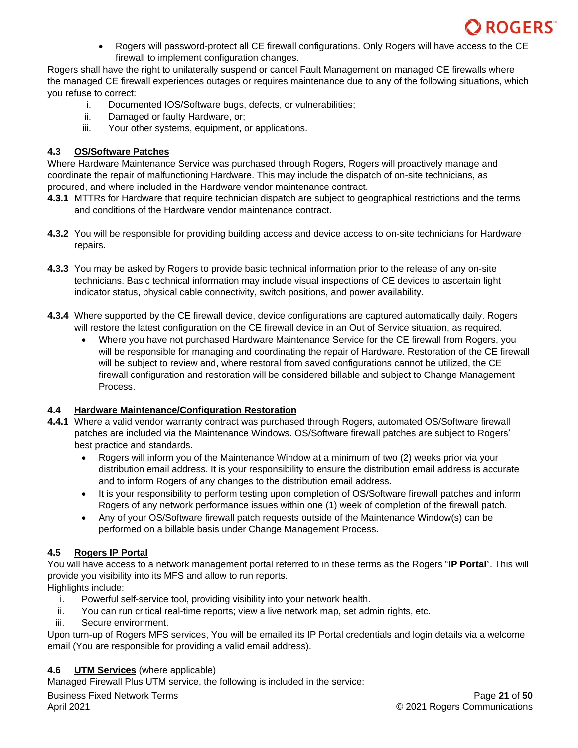

• Rogers will password-protect all CE firewall configurations. Only Rogers will have access to the CE firewall to implement configuration changes.

Rogers shall have the right to unilaterally suspend or cancel Fault Management on managed CE firewalls where the managed CE firewall experiences outages or requires maintenance due to any of the following situations, which you refuse to correct:

- i. Documented IOS/Software bugs, defects, or vulnerabilities;
- ii. Damaged or faulty Hardware, or;
- iii. Your other systems, equipment, or applications.

# **4.3 OS/Software Patches**

Where Hardware Maintenance Service was purchased through Rogers, Rogers will proactively manage and coordinate the repair of malfunctioning Hardware. This may include the dispatch of on-site technicians, as procured, and where included in the Hardware vendor maintenance contract.

- **4.3.1** MTTRs for Hardware that require technician dispatch are subject to geographical restrictions and the terms and conditions of the Hardware vendor maintenance contract.
- **4.3.2** You will be responsible for providing building access and device access to on-site technicians for Hardware repairs.
- **4.3.3** You may be asked by Rogers to provide basic technical information prior to the release of any on-site technicians. Basic technical information may include visual inspections of CE devices to ascertain light indicator status, physical cable connectivity, switch positions, and power availability.
- **4.3.4** Where supported by the CE firewall device, device configurations are captured automatically daily. Rogers will restore the latest configuration on the CE firewall device in an Out of Service situation, as required.
	- Where you have not purchased Hardware Maintenance Service for the CE firewall from Rogers, you will be responsible for managing and coordinating the repair of Hardware. Restoration of the CE firewall will be subject to review and, where restoral from saved configurations cannot be utilized, the CE firewall configuration and restoration will be considered billable and subject to Change Management Process.

# **4.4 Hardware Maintenance/Configuration Restoration**

- **4.4.1** Where a valid vendor warranty contract was purchased through Rogers, automated OS/Software firewall patches are included via the Maintenance Windows. OS/Software firewall patches are subject to Rogers' best practice and standards.
	- Rogers will inform you of the Maintenance Window at a minimum of two (2) weeks prior via your distribution email address. It is your responsibility to ensure the distribution email address is accurate and to inform Rogers of any changes to the distribution email address.
	- It is your responsibility to perform testing upon completion of OS/Software firewall patches and inform Rogers of any network performance issues within one (1) week of completion of the firewall patch.
	- Any of your OS/Software firewall patch requests outside of the Maintenance Window(s) can be performed on a billable basis under Change Management Process.

# **4.5 Rogers IP Portal**

You will have access to a network management portal referred to in these terms as the Rogers "**IP Portal**". This will provide you visibility into its MFS and allow to run reports.

Highlights include:

- i. Powerful self-service tool, providing visibility into your network health.
- ii. You can run critical real-time reports; view a live network map, set admin rights, etc.
- iii. Secure environment.

Upon turn-up of Rogers MFS services, You will be emailed its IP Portal credentials and login details via a welcome email (You are responsible for providing a valid email address).

# **4.6 UTM Services** (where applicable)

Managed Firewall Plus UTM service, the following is included in the service: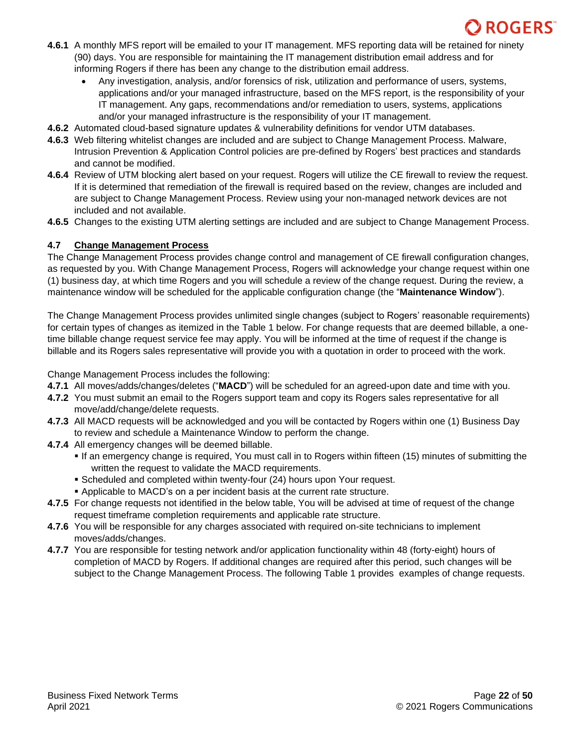- **4.6.1** A monthly MFS report will be emailed to your IT management. MFS reporting data will be retained for ninety (90) days. You are responsible for maintaining the IT management distribution email address and for informing Rogers if there has been any change to the distribution email address.
	- Any investigation, analysis, and/or forensics of risk, utilization and performance of users, systems, applications and/or your managed infrastructure, based on the MFS report, is the responsibility of your IT management. Any gaps, recommendations and/or remediation to users, systems, applications and/or your managed infrastructure is the responsibility of your IT management.
- **4.6.2** Automated cloud-based signature updates & vulnerability definitions for vendor UTM databases.
- **4.6.3** Web filtering whitelist changes are included and are subject to Change Management Process. Malware, Intrusion Prevention & Application Control policies are pre-defined by Rogers' best practices and standards and cannot be modified.
- **4.6.4** Review of UTM blocking alert based on your request. Rogers will utilize the CE firewall to review the request. If it is determined that remediation of the firewall is required based on the review, changes are included and are subject to Change Management Process. Review using your non-managed network devices are not included and not available.
- **4.6.5** Changes to the existing UTM alerting settings are included and are subject to Change Management Process.

# **4.7 Change Management Process**

The Change Management Process provides change control and management of CE firewall configuration changes, as requested by you. With Change Management Process, Rogers will acknowledge your change request within one (1) business day, at which time Rogers and you will schedule a review of the change request. During the review, a maintenance window will be scheduled for the applicable configuration change (the "**Maintenance Window**").

The Change Management Process provides unlimited single changes (subject to Rogers' reasonable requirements) for certain types of changes as itemized in the Table 1 below. For change requests that are deemed billable, a onetime billable change request service fee may apply. You will be informed at the time of request if the change is billable and its Rogers sales representative will provide you with a quotation in order to proceed with the work.

Change Management Process includes the following:

- **4.7.1** All moves/adds/changes/deletes ("**MACD**") will be scheduled for an agreed-upon date and time with you.
- **4.7.2** You must submit an email to the Rogers support team and copy its Rogers sales representative for all move/add/change/delete requests.
- **4.7.3** All MACD requests will be acknowledged and you will be contacted by Rogers within one (1) Business Day to review and schedule a Maintenance Window to perform the change.
- **4.7.4** All emergency changes will be deemed billable.
	- If an emergency change is required, You must call in to Rogers within fifteen (15) minutes of submitting the written the request to validate the MACD requirements.
	- Scheduled and completed within twenty-four (24) hours upon Your request.
	- Applicable to MACD's on a per incident basis at the current rate structure.
- **4.7.5** For change requests not identified in the below table, You will be advised at time of request of the change request timeframe completion requirements and applicable rate structure.
- **4.7.6** You will be responsible for any charges associated with required on-site technicians to implement moves/adds/changes.
- **4.7.7** You are responsible for testing network and/or application functionality within 48 (forty-eight) hours of completion of MACD by Rogers. If additional changes are required after this period, such changes will be subject to the Change Management Process. The following Table 1 provides examples of change requests.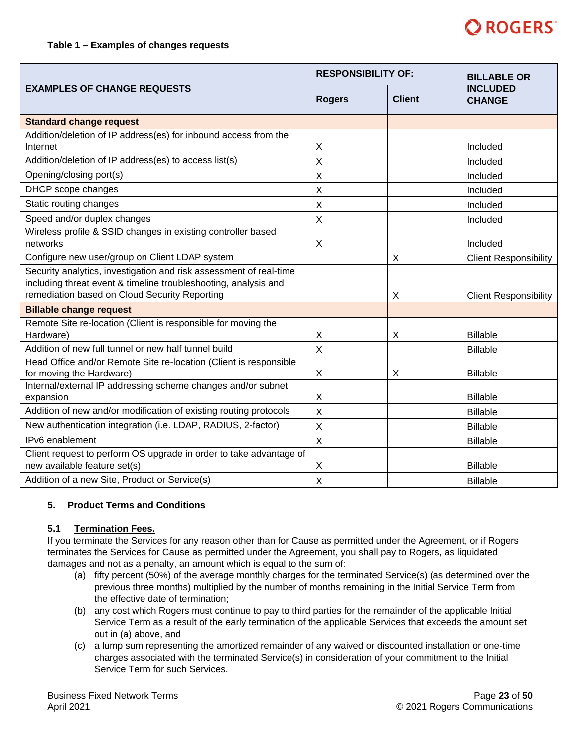

|                                                                                                                                                                                        |                           | <b>RESPONSIBILITY OF:</b> |                                  |
|----------------------------------------------------------------------------------------------------------------------------------------------------------------------------------------|---------------------------|---------------------------|----------------------------------|
| <b>EXAMPLES OF CHANGE REQUESTS</b>                                                                                                                                                     | <b>Rogers</b>             | <b>Client</b>             | <b>INCLUDED</b><br><b>CHANGE</b> |
| <b>Standard change request</b>                                                                                                                                                         |                           |                           |                                  |
| Addition/deletion of IP address(es) for inbound access from the<br>Internet                                                                                                            | X                         |                           | Included                         |
| Addition/deletion of IP address(es) to access list(s)                                                                                                                                  | $\sf X$                   |                           | Included                         |
| Opening/closing port(s)                                                                                                                                                                | $\sf X$                   |                           | Included                         |
| DHCP scope changes                                                                                                                                                                     | $\times$                  |                           | Included                         |
| Static routing changes                                                                                                                                                                 | X                         |                           | Included                         |
| Speed and/or duplex changes                                                                                                                                                            | $\times$                  |                           | Included                         |
| Wireless profile & SSID changes in existing controller based<br>networks                                                                                                               | Χ                         |                           | Included                         |
| Configure new user/group on Client LDAP system                                                                                                                                         |                           | X                         | <b>Client Responsibility</b>     |
| Security analytics, investigation and risk assessment of real-time<br>including threat event & timeline troubleshooting, analysis and<br>remediation based on Cloud Security Reporting |                           | X                         | <b>Client Responsibility</b>     |
| <b>Billable change request</b>                                                                                                                                                         |                           |                           |                                  |
| Remote Site re-location (Client is responsible for moving the<br>Hardware)                                                                                                             | X                         | Χ                         | <b>Billable</b>                  |
| Addition of new full tunnel or new half tunnel build                                                                                                                                   | $\sf X$                   |                           | <b>Billable</b>                  |
| Head Office and/or Remote Site re-location (Client is responsible<br>for moving the Hardware)                                                                                          | X                         | X                         | <b>Billable</b>                  |
| Internal/external IP addressing scheme changes and/or subnet<br>expansion                                                                                                              | X                         |                           | <b>Billable</b>                  |
| Addition of new and/or modification of existing routing protocols                                                                                                                      | $\sf X$                   |                           | <b>Billable</b>                  |
| New authentication integration (i.e. LDAP, RADIUS, 2-factor)                                                                                                                           | $\boldsymbol{\mathsf{X}}$ |                           | <b>Billable</b>                  |
| IPv6 enablement                                                                                                                                                                        | $\times$                  |                           | <b>Billable</b>                  |
| Client request to perform OS upgrade in order to take advantage of<br>new available feature set(s)                                                                                     | X                         |                           | <b>Billable</b>                  |
| Addition of a new Site, Product or Service(s)                                                                                                                                          | X                         |                           | <b>Billable</b>                  |

### **5. Product Terms and Conditions**

### **5.1 Termination Fees.**

If you terminate the Services for any reason other than for Cause as permitted under the Agreement, or if Rogers terminates the Services for Cause as permitted under the Agreement, you shall pay to Rogers, as liquidated damages and not as a penalty, an amount which is equal to the sum of:

- (a) fifty percent (50%) of the average monthly charges for the terminated Service(s) (as determined over the previous three months) multiplied by the number of months remaining in the Initial Service Term from the effective date of termination;
- (b) any cost which Rogers must continue to pay to third parties for the remainder of the applicable Initial Service Term as a result of the early termination of the applicable Services that exceeds the amount set out in (a) above, and
- (c) a lump sum representing the amortized remainder of any waived or discounted installation or one-time charges associated with the terminated Service(s) in consideration of your commitment to the Initial Service Term for such Services.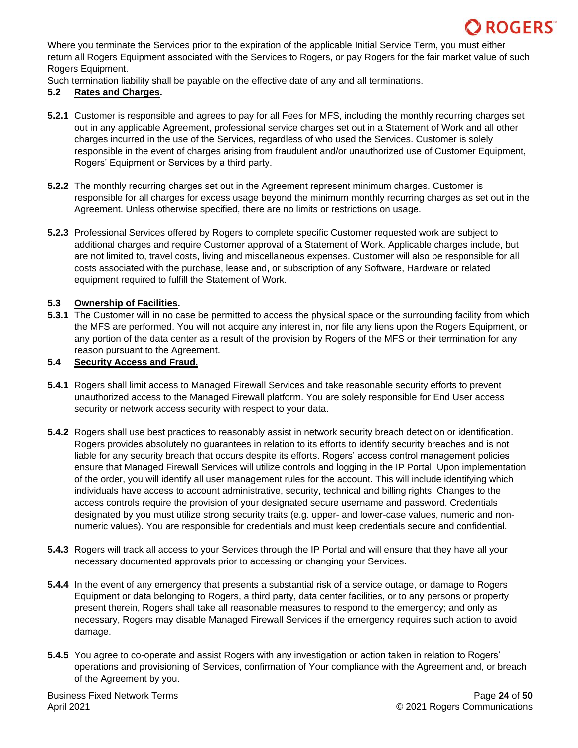Where you terminate the Services prior to the expiration of the applicable Initial Service Term, you must either return all Rogers Equipment associated with the Services to Rogers, or pay Rogers for the fair market value of such Rogers Equipment.

Such termination liability shall be payable on the effective date of any and all terminations.

## **5.2 Rates and Charges.**

- **5.2.1** Customer is responsible and agrees to pay for all Fees for MFS, including the monthly recurring charges set out in any applicable Agreement, professional service charges set out in a Statement of Work and all other charges incurred in the use of the Services, regardless of who used the Services. Customer is solely responsible in the event of charges arising from fraudulent and/or unauthorized use of Customer Equipment, Rogers' Equipment or Services by a third party.
- **5.2.2** The monthly recurring charges set out in the Agreement represent minimum charges. Customer is responsible for all charges for excess usage beyond the minimum monthly recurring charges as set out in the Agreement. Unless otherwise specified, there are no limits or restrictions on usage.
- **5.2.3** Professional Services offered by Rogers to complete specific Customer requested work are subject to additional charges and require Customer approval of a Statement of Work. Applicable charges include, but are not limited to, travel costs, living and miscellaneous expenses. Customer will also be responsible for all costs associated with the purchase, lease and, or subscription of any Software, Hardware or related equipment required to fulfill the Statement of Work.

### **5.3 Ownership of Facilities.**

**5.3.1** The Customer will in no case be permitted to access the physical space or the surrounding facility from which the MFS are performed. You will not acquire any interest in, nor file any liens upon the Rogers Equipment, or any portion of the data center as a result of the provision by Rogers of the MFS or their termination for any reason pursuant to the Agreement.

### **5.4 Security Access and Fraud.**

- **5.4.1** Rogers shall limit access to Managed Firewall Services and take reasonable security efforts to prevent unauthorized access to the Managed Firewall platform. You are solely responsible for End User access security or network access security with respect to your data.
- **5.4.2** Rogers shall use best practices to reasonably assist in network security breach detection or identification. Rogers provides absolutely no guarantees in relation to its efforts to identify security breaches and is not liable for any security breach that occurs despite its efforts. Rogers' access control management policies ensure that Managed Firewall Services will utilize controls and logging in the IP Portal. Upon implementation of the order, you will identify all user management rules for the account. This will include identifying which individuals have access to account administrative, security, technical and billing rights. Changes to the access controls require the provision of your designated secure username and password. Credentials designated by you must utilize strong security traits (e.g. upper- and lower-case values, numeric and nonnumeric values). You are responsible for credentials and must keep credentials secure and confidential.
- **5.4.3** Rogers will track all access to your Services through the IP Portal and will ensure that they have all your necessary documented approvals prior to accessing or changing your Services.
- **5.4.4** In the event of any emergency that presents a substantial risk of a service outage, or damage to Rogers Equipment or data belonging to Rogers, a third party, data center facilities, or to any persons or property present therein, Rogers shall take all reasonable measures to respond to the emergency; and only as necessary, Rogers may disable Managed Firewall Services if the emergency requires such action to avoid damage.
- **5.4.5** You agree to co-operate and assist Rogers with any investigation or action taken in relation to Rogers' operations and provisioning of Services, confirmation of Your compliance with the Agreement and, or breach of the Agreement by you.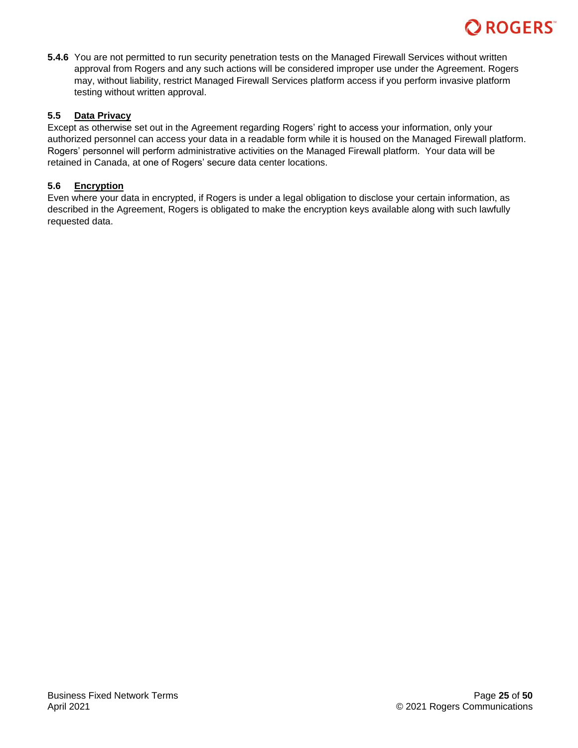# ROGERS<sup>®</sup>

**5.4.6** You are not permitted to run security penetration tests on the Managed Firewall Services without written approval from Rogers and any such actions will be considered improper use under the Agreement. Rogers may, without liability, restrict Managed Firewall Services platform access if you perform invasive platform testing without written approval.

## **5.5 Data Privacy**

Except as otherwise set out in the Agreement regarding Rogers' right to access your information, only your authorized personnel can access your data in a readable form while it is housed on the Managed Firewall platform. Rogers' personnel will perform administrative activities on the Managed Firewall platform. Your data will be retained in Canada, at one of Rogers' secure data center locations.

# **5.6 Encryption**

Even where your data in encrypted, if Rogers is under a legal obligation to disclose your certain information, as described in the Agreement, Rogers is obligated to make the encryption keys available along with such lawfully requested data.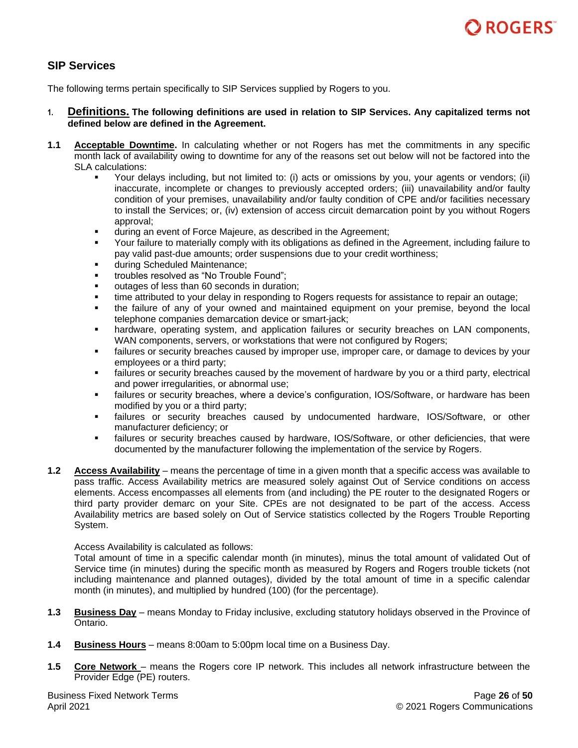# <span id="page-25-0"></span>**SIP Services**

The following terms pertain specifically to SIP Services supplied by Rogers to you.

- **1. Definitions. The following definitions are used in relation to SIP Services. Any capitalized terms not defined below are defined in the Agreement.**
- **1.1 Acceptable Downtime.** In calculating whether or not Rogers has met the commitments in any specific month lack of availability owing to downtime for any of the reasons set out below will not be factored into the SLA calculations:
	- Your delays including, but not limited to: (i) acts or omissions by you, your agents or vendors; (ii) inaccurate, incomplete or changes to previously accepted orders; (iii) unavailability and/or faulty condition of your premises, unavailability and/or faulty condition of CPE and/or facilities necessary to install the Services; or, (iv) extension of access circuit demarcation point by you without Rogers approval;
	- during an event of Force Majeure, as described in the Agreement;
	- Your failure to materially comply with its obligations as defined in the Agreement, including failure to pay valid past-due amounts; order suspensions due to your credit worthiness;
	- during Scheduled Maintenance;
	- troubles resolved as "No Trouble Found";
	- outages of less than 60 seconds in duration;
	- time attributed to your delay in responding to Rogers requests for assistance to repair an outage;
	- the failure of any of your owned and maintained equipment on your premise, beyond the local telephone companies demarcation device or smart-jack;
	- hardware, operating system, and application failures or security breaches on LAN components, WAN components, servers, or workstations that were not configured by Rogers;
	- failures or security breaches caused by improper use, improper care, or damage to devices by your employees or a third party;
	- failures or security breaches caused by the movement of hardware by you or a third party, electrical and power irregularities, or abnormal use;
	- failures or security breaches, where a device's configuration, IOS/Software, or hardware has been modified by you or a third party;
	- failures or security breaches caused by undocumented hardware, IOS/Software, or other manufacturer deficiency; or
	- **.** failures or security breaches caused by hardware, IOS/Software, or other deficiencies, that were documented by the manufacturer following the implementation of the service by Rogers.
- **1.2 Access Availability** means the percentage of time in a given month that a specific access was available to pass traffic. Access Availability metrics are measured solely against Out of Service conditions on access elements. Access encompasses all elements from (and including) the PE router to the designated Rogers or third party provider demarc on your Site. CPEs are not designated to be part of the access. Access Availability metrics are based solely on Out of Service statistics collected by the Rogers Trouble Reporting System.

Access Availability is calculated as follows:

Total amount of time in a specific calendar month (in minutes), minus the total amount of validated Out of Service time (in minutes) during the specific month as measured by Rogers and Rogers trouble tickets (not including maintenance and planned outages), divided by the total amount of time in a specific calendar month (in minutes), and multiplied by hundred (100) (for the percentage).

- **1.3 Business Day** means Monday to Friday inclusive, excluding statutory holidays observed in the Province of Ontario.
- **1.4 Business Hours** means 8:00am to 5:00pm local time on a Business Day.
- **1.5 Core Network** means the Rogers core IP network. This includes all network infrastructure between the Provider Edge (PE) routers.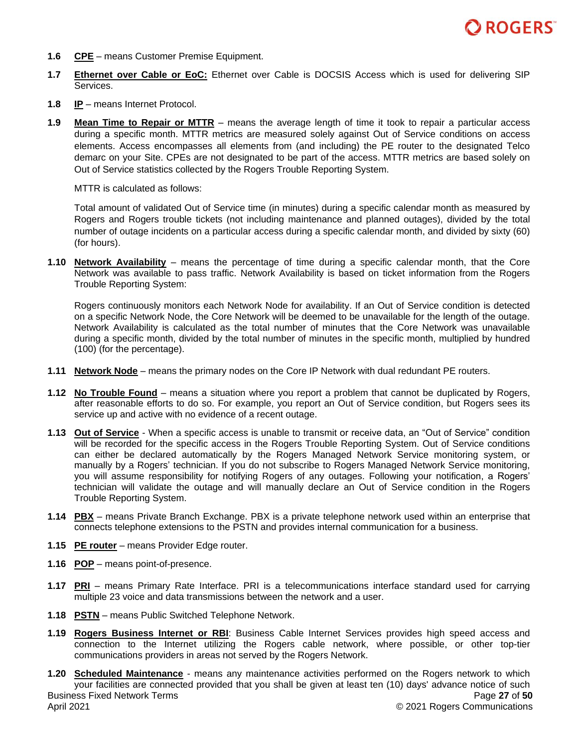

- **1.6 CPE** means Customer Premise Equipment.
- **1.7 Ethernet over Cable or EoC:** Ethernet over Cable is DOCSIS Access which is used for delivering SIP Services.
- **1.8 IP** means Internet Protocol.
- **1.9 Mean Time to Repair or MTTR** means the average length of time it took to repair a particular access during a specific month. MTTR metrics are measured solely against Out of Service conditions on access elements. Access encompasses all elements from (and including) the PE router to the designated Telco demarc on your Site. CPEs are not designated to be part of the access. MTTR metrics are based solely on Out of Service statistics collected by the Rogers Trouble Reporting System.

MTTR is calculated as follows:

Total amount of validated Out of Service time (in minutes) during a specific calendar month as measured by Rogers and Rogers trouble tickets (not including maintenance and planned outages), divided by the total number of outage incidents on a particular access during a specific calendar month, and divided by sixty (60) (for hours).

**1.10 Network Availability** – means the percentage of time during a specific calendar month, that the Core Network was available to pass traffic. Network Availability is based on ticket information from the Rogers Trouble Reporting System:

Rogers continuously monitors each Network Node for availability. If an Out of Service condition is detected on a specific Network Node, the Core Network will be deemed to be unavailable for the length of the outage. Network Availability is calculated as the total number of minutes that the Core Network was unavailable during a specific month, divided by the total number of minutes in the specific month, multiplied by hundred (100) (for the percentage).

- **1.11 Network Node** means the primary nodes on the Core IP Network with dual redundant PE routers.
- **1.12 No Trouble Found** means a situation where you report a problem that cannot be duplicated by Rogers, after reasonable efforts to do so. For example, you report an Out of Service condition, but Rogers sees its service up and active with no evidence of a recent outage.
- **1.13 Out of Service** When a specific access is unable to transmit or receive data, an "Out of Service" condition will be recorded for the specific access in the Rogers Trouble Reporting System. Out of Service conditions can either be declared automatically by the Rogers Managed Network Service monitoring system, or manually by a Rogers' technician. If you do not subscribe to Rogers Managed Network Service monitoring, you will assume responsibility for notifying Rogers of any outages. Following your notification, a Rogers' technician will validate the outage and will manually declare an Out of Service condition in the Rogers Trouble Reporting System.
- **1.14 PBX** means Private Branch Exchange. PBX is a private telephone network used within an enterprise that connects telephone extensions to the PSTN and provides internal communication for a business.
- **1.15 PE router** means Provider Edge router.
- **1.16 POP** means point-of-presence.
- **1.17 PRI** means Primary Rate Interface. PRI is a telecommunications interface standard used for carrying multiple 23 voice and data transmissions between the network and a user.
- **1.18 PSTN** means Public Switched Telephone Network.
- **1.19 Rogers Business Internet or RBI**: Business Cable Internet Services provides high speed access and connection to the Internet utilizing the Rogers cable network, where possible, or other top-tier communications providers in areas not served by the Rogers Network.
- Business Fixed Network Terms April 2021 Page **27** of **50** © 2021 Rogers Communications **1.20 Scheduled Maintenance** - means any maintenance activities performed on the Rogers network to which your facilities are connected provided that you shall be given at least ten (10) days' advance notice of such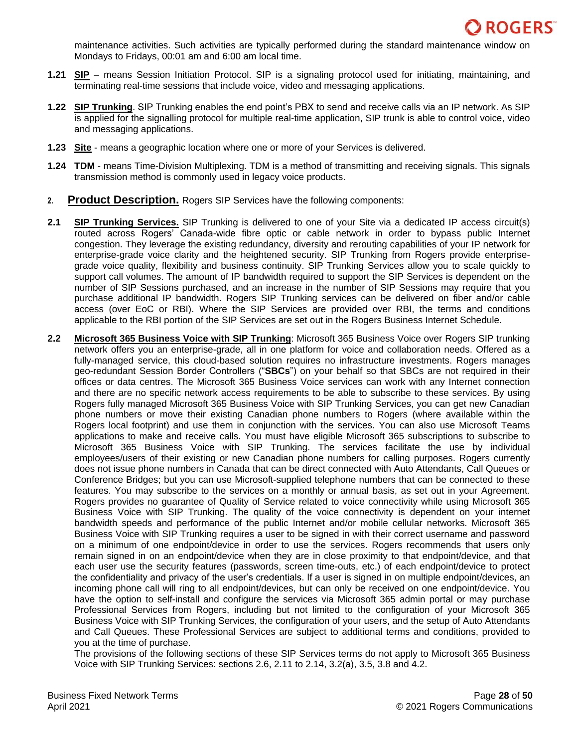

maintenance activities. Such activities are typically performed during the standard maintenance window on Mondays to Fridays, 00:01 am and 6:00 am local time.

- **1.21 SIP** means Session Initiation Protocol. SIP is a signaling protocol used for initiating, maintaining, and terminating real-time sessions that include voice, video and messaging applications.
- **1.22 SIP Trunking**. SIP Trunking enables the end point's PBX to send and receive calls via an IP network. As SIP is applied for the signalling protocol for multiple real-time application, SIP trunk is able to control voice, video and messaging applications.
- **1.23 Site** means a geographic location where one or more of your Services is delivered.
- **1.24 TDM** means Time-Division Multiplexing. TDM is a method of transmitting and receiving signals. This signals transmission method is commonly used in legacy voice products.
- **2. Product Description.** Rogers SIP Services have the following components:
- **2.1 SIP Trunking Services.** SIP Trunking is delivered to one of your Site via a dedicated IP access circuit(s) routed across Rogers' Canada-wide fibre optic or cable network in order to bypass public Internet congestion. They leverage the existing redundancy, diversity and rerouting capabilities of your IP network for enterprise-grade voice clarity and the heightened security. SIP Trunking from Rogers provide enterprisegrade voice quality, flexibility and business continuity. SIP Trunking Services allow you to scale quickly to support call volumes. The amount of IP bandwidth required to support the SIP Services is dependent on the number of SIP Sessions purchased, and an increase in the number of SIP Sessions may require that you purchase additional IP bandwidth. Rogers SIP Trunking services can be delivered on fiber and/or cable access (over EoC or RBI). Where the SIP Services are provided over RBI, the terms and conditions applicable to the RBI portion of the SIP Services are set out in the Rogers Business Internet Schedule.
- **2.2 Microsoft 365 Business Voice with SIP Trunking**: Microsoft 365 Business Voice over Rogers SIP trunking network offers you an enterprise-grade, all in one platform for voice and collaboration needs. Offered as a fully-managed service, this cloud-based solution requires no infrastructure investments. Rogers manages geo-redundant Session Border Controllers ("**SBCs**") on your behalf so that SBCs are not required in their offices or data centres. The Microsoft 365 Business Voice services can work with any Internet connection and there are no specific network access requirements to be able to subscribe to these services. By using Rogers fully managed Microsoft 365 Business Voice with SIP Trunking Services, you can get new Canadian phone numbers or move their existing Canadian phone numbers to Rogers (where available within the Rogers local footprint) and use them in conjunction with the services. You can also use Microsoft Teams applications to make and receive calls. You must have eligible Microsoft 365 subscriptions to subscribe to Microsoft 365 Business Voice with SIP Trunking. The services facilitate the use by individual employees/users of their existing or new Canadian phone numbers for calling purposes. Rogers currently does not issue phone numbers in Canada that can be direct connected with Auto Attendants, Call Queues or Conference Bridges; but you can use Microsoft-supplied telephone numbers that can be connected to these features. You may subscribe to the services on a monthly or annual basis, as set out in your Agreement. Rogers provides no guarantee of Quality of Service related to voice connectivity while using Microsoft 365 Business Voice with SIP Trunking. The quality of the voice connectivity is dependent on your internet bandwidth speeds and performance of the public Internet and/or mobile cellular networks. Microsoft 365 Business Voice with SIP Trunking requires a user to be signed in with their correct username and password on a minimum of one endpoint/device in order to use the services. Rogers recommends that users only remain signed in on an endpoint/device when they are in close proximity to that endpoint/device, and that each user use the security features (passwords, screen time-outs, etc.) of each endpoint/device to protect the confidentiality and privacy of the user's credentials. If a user is signed in on multiple endpoint/devices, an incoming phone call will ring to all endpoint/devices, but can only be received on one endpoint/device. You have the option to self-install and configure the services via Microsoft 365 admin portal or may purchase Professional Services from Rogers, including but not limited to the configuration of your Microsoft 365 Business Voice with SIP Trunking Services, the configuration of your users, and the setup of Auto Attendants and Call Queues. These Professional Services are subject to additional terms and conditions, provided to you at the time of purchase.

The provisions of the following sections of these SIP Services terms do not apply to Microsoft 365 Business Voice with SIP Trunking Services: sections 2.6, 2.11 to 2.14, 3.2(a), 3.5, 3.8 and 4.2.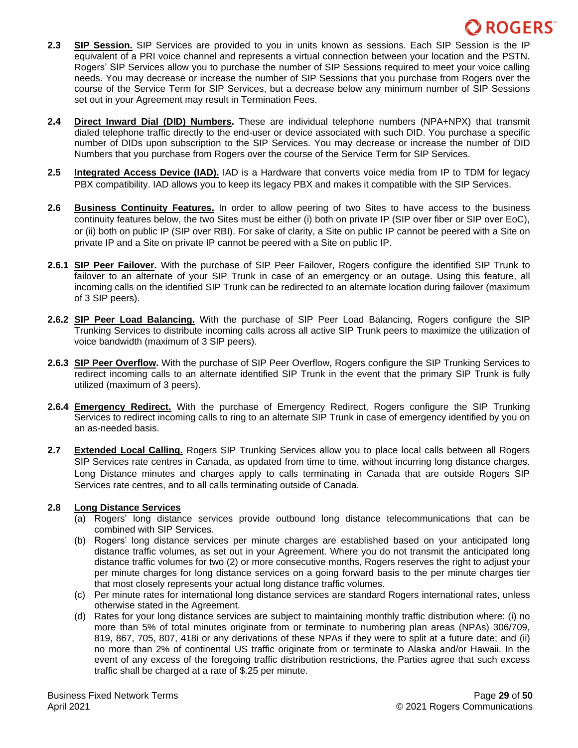- **2.3 SIP Session.** SIP Services are provided to you in units known as sessions. Each SIP Session is the IP equivalent of a PRI voice channel and represents a virtual connection between your location and the PSTN. Rogers' SIP Services allow you to purchase the number of SIP Sessions required to meet your voice calling needs. You may decrease or increase the number of SIP Sessions that you purchase from Rogers over the course of the Service Term for SIP Services, but a decrease below any minimum number of SIP Sessions set out in your Agreement may result in Termination Fees.
- **2.4 Direct Inward Dial (DID) Numbers.** These are individual telephone numbers (NPA+NPX) that transmit dialed telephone traffic directly to the end-user or device associated with such DID. You purchase a specific number of DIDs upon subscription to the SIP Services. You may decrease or increase the number of DID Numbers that you purchase from Rogers over the course of the Service Term for SIP Services.
- **2.5 Integrated Access Device (IAD).** IAD is a Hardware that converts voice media from IP to TDM for legacy PBX compatibility. IAD allows you to keep its legacy PBX and makes it compatible with the SIP Services.
- **2.6 Business Continuity Features.** In order to allow peering of two Sites to have access to the business continuity features below, the two Sites must be either (i) both on private IP (SIP over fiber or SIP over EoC), or (ii) both on public IP (SIP over RBI). For sake of clarity, a Site on public IP cannot be peered with a Site on private IP and a Site on private IP cannot be peered with a Site on public IP.
- **2.6.1 SIP Peer Failover.** With the purchase of SIP Peer Failover, Rogers configure the identified SIP Trunk to failover to an alternate of your SIP Trunk in case of an emergency or an outage. Using this feature, all incoming calls on the identified SIP Trunk can be redirected to an alternate location during failover (maximum of 3 SIP peers).
- **2.6.2 SIP Peer Load Balancing.** With the purchase of SIP Peer Load Balancing, Rogers configure the SIP Trunking Services to distribute incoming calls across all active SIP Trunk peers to maximize the utilization of voice bandwidth (maximum of 3 SIP peers).
- **2.6.3 SIP Peer Overflow.** With the purchase of SIP Peer Overflow, Rogers configure the SIP Trunking Services to redirect incoming calls to an alternate identified SIP Trunk in the event that the primary SIP Trunk is fully utilized (maximum of 3 peers).
- **2.6.4 Emergency Redirect.** With the purchase of Emergency Redirect, Rogers configure the SIP Trunking Services to redirect incoming calls to ring to an alternate SIP Trunk in case of emergency identified by you on an as-needed basis.
- **2.7 Extended Local Calling.** Rogers SIP Trunking Services allow you to place local calls between all Rogers SIP Services rate centres in Canada, as updated from time to time, without incurring long distance charges. Long Distance minutes and charges apply to calls terminating in Canada that are outside Rogers SIP Services rate centres, and to all calls terminating outside of Canada.

## **2.8 Long Distance Services**

- (a) Rogers' long distance services provide outbound long distance telecommunications that can be combined with SIP Services.
- (b) Rogers' long distance services per minute charges are established based on your anticipated long distance traffic volumes, as set out in your Agreement. Where you do not transmit the anticipated long distance traffic volumes for two (2) or more consecutive months, Rogers reserves the right to adjust your per minute charges for long distance services on a going forward basis to the per minute charges tier that most closely represents your actual long distance traffic volumes.
- (c) Per minute rates for international long distance services are standard Rogers international rates, unless otherwise stated in the Agreement.
- (d) Rates for your long distance services are subject to maintaining monthly traffic distribution where: (i) no more than 5% of total minutes originate from or terminate to numbering plan areas (NPAs) 306/709, 819, 867, 705, 807, 418i or any derivations of these NPAs if they were to split at a future date; and (ii) no more than 2% of continental US traffic originate from or terminate to Alaska and/or Hawaii. In the event of any excess of the foregoing traffic distribution restrictions, the Parties agree that such excess traffic shall be charged at a rate of \$.25 per minute.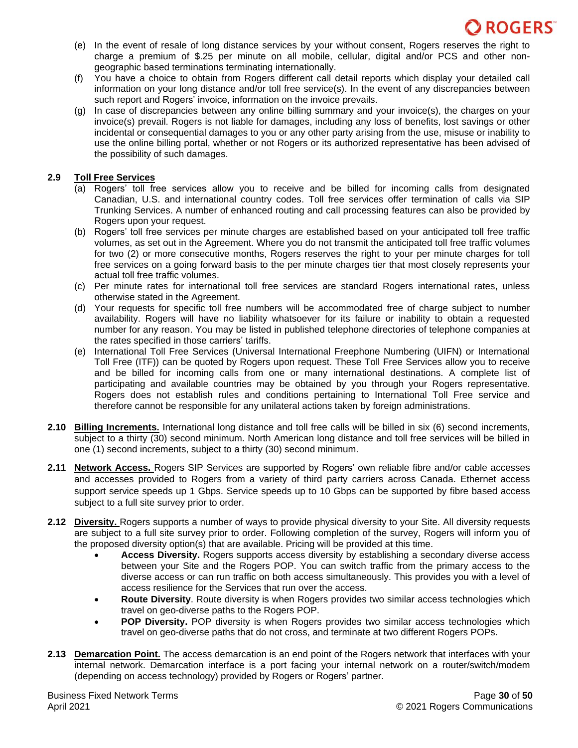

- (e) In the event of resale of long distance services by your without consent, Rogers reserves the right to charge a premium of \$.25 per minute on all mobile, cellular, digital and/or PCS and other nongeographic based terminations terminating internationally.
- (f) You have a choice to obtain from Rogers different call detail reports which display your detailed call information on your long distance and/or toll free service(s). In the event of any discrepancies between such report and Rogers' invoice, information on the invoice prevails.
- (g) In case of discrepancies between any online billing summary and your invoice(s), the charges on your invoice(s) prevail. Rogers is not liable for damages, including any loss of benefits, lost savings or other incidental or consequential damages to you or any other party arising from the use, misuse or inability to use the online billing portal, whether or not Rogers or its authorized representative has been advised of the possibility of such damages.

### **2.9 Toll Free Services**

- (a) Rogers' toll free services allow you to receive and be billed for incoming calls from designated Canadian, U.S. and international country codes. Toll free services offer termination of calls via SIP Trunking Services. A number of enhanced routing and call processing features can also be provided by Rogers upon your request.
- (b) Rogers' toll free services per minute charges are established based on your anticipated toll free traffic volumes, as set out in the Agreement. Where you do not transmit the anticipated toll free traffic volumes for two (2) or more consecutive months, Rogers reserves the right to your per minute charges for toll free services on a going forward basis to the per minute charges tier that most closely represents your actual toll free traffic volumes.
- (c) Per minute rates for international toll free services are standard Rogers international rates, unless otherwise stated in the Agreement.
- (d) Your requests for specific toll free numbers will be accommodated free of charge subject to number availability. Rogers will have no liability whatsoever for its failure or inability to obtain a requested number for any reason. You may be listed in published telephone directories of telephone companies at the rates specified in those carriers' tariffs.
- (e) International Toll Free Services (Universal International Freephone Numbering (UIFN) or International Toll Free (ITF)) can be quoted by Rogers upon request. These Toll Free Services allow you to receive and be billed for incoming calls from one or many international destinations. A complete list of participating and available countries may be obtained by you through your Rogers representative. Rogers does not establish rules and conditions pertaining to International Toll Free service and therefore cannot be responsible for any unilateral actions taken by foreign administrations.
- **2.10 Billing Increments.** International long distance and toll free calls will be billed in six (6) second increments, subject to a thirty (30) second minimum. North American long distance and toll free services will be billed in one (1) second increments, subject to a thirty (30) second minimum.
- **2.11 Network Access.** Rogers SIP Services are supported by Rogers' own reliable fibre and/or cable accesses and accesses provided to Rogers from a variety of third party carriers across Canada. Ethernet access support service speeds up 1 Gbps. Service speeds up to 10 Gbps can be supported by fibre based access subject to a full site survey prior to order.
- **2.12 Diversity.** Rogers supports a number of ways to provide physical diversity to your Site. All diversity requests are subject to a full site survey prior to order. Following completion of the survey, Rogers will inform you of the proposed diversity option(s) that are available. Pricing will be provided at this time.
	- **Access Diversity.** Rogers supports access diversity by establishing a secondary diverse access between your Site and the Rogers POP. You can switch traffic from the primary access to the diverse access or can run traffic on both access simultaneously. This provides you with a level of access resilience for the Services that run over the access.
	- **Route Diversity**. Route diversity is when Rogers provides two similar access technologies which travel on geo-diverse paths to the Rogers POP.
	- **POP Diversity.** POP diversity is when Rogers provides two similar access technologies which travel on geo-diverse paths that do not cross, and terminate at two different Rogers POPs.
- **2.13 Demarcation Point.** The access demarcation is an end point of the Rogers network that interfaces with your internal network. Demarcation interface is a port facing your internal network on a router/switch/modem (depending on access technology) provided by Rogers or Rogers' partner.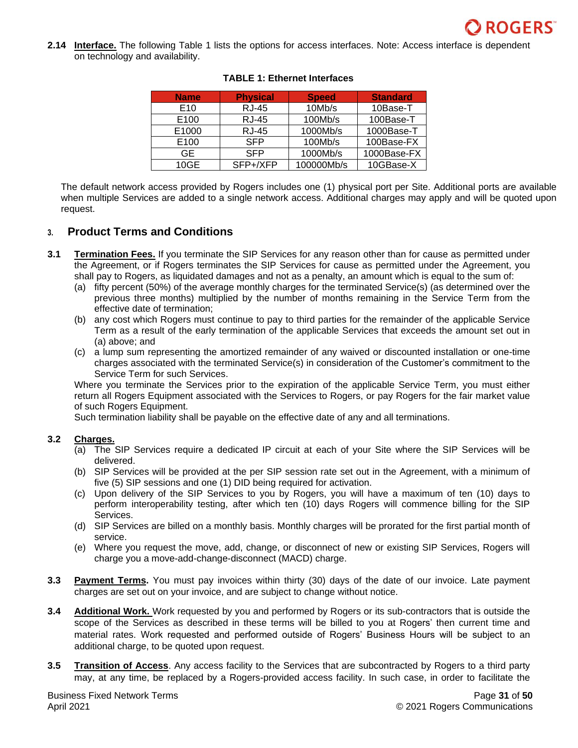**2.14 Interface.** The following Table 1 lists the options for access interfaces. Note: Access interface is dependent on technology and availability.

| <b>Name</b>      | <b>Physical</b> | <b>Speed</b> | <b>Standard</b> |
|------------------|-----------------|--------------|-----------------|
| E <sub>10</sub>  | <b>RJ-45</b>    | 10Mb/s       | 10Base-T        |
| E <sub>100</sub> | <b>RJ-45</b>    | 100Mb/s      | 100Base-T       |
| E1000            | <b>RJ-45</b>    | 1000Mb/s     | 1000Base-T      |
| E100             | <b>SFP</b>      | 100Mb/s      | 100Base-FX      |
| GE.              | <b>SFP</b>      | 1000Mb/s     | 1000Base-FX     |
| 10GE             | SFP+/XFP        | 100000Mb/s   | 10GBase-X       |

### **TABLE 1: Ethernet Interfaces**

The default network access provided by Rogers includes one (1) physical port per Site. Additional ports are available when multiple Services are added to a single network access. Additional charges may apply and will be quoted upon request.

# **3. Product Terms and Conditions**

- **3.1 Termination Fees.** If you terminate the SIP Services for any reason other than for cause as permitted under the Agreement, or if Rogers terminates the SIP Services for cause as permitted under the Agreement, you shall pay to Rogers, as liquidated damages and not as a penalty, an amount which is equal to the sum of:
	- (a) fifty percent (50%) of the average monthly charges for the terminated Service(s) (as determined over the previous three months) multiplied by the number of months remaining in the Service Term from the effective date of termination;
	- (b) any cost which Rogers must continue to pay to third parties for the remainder of the applicable Service Term as a result of the early termination of the applicable Services that exceeds the amount set out in (a) above; and
	- (c) a lump sum representing the amortized remainder of any waived or discounted installation or one-time charges associated with the terminated Service(s) in consideration of the Customer's commitment to the Service Term for such Services.

Where you terminate the Services prior to the expiration of the applicable Service Term, you must either return all Rogers Equipment associated with the Services to Rogers, or pay Rogers for the fair market value of such Rogers Equipment.

Such termination liability shall be payable on the effective date of any and all terminations.

### **3.2 Charges.**

- (a) The SIP Services require a dedicated IP circuit at each of your Site where the SIP Services will be delivered.
- (b) SIP Services will be provided at the per SIP session rate set out in the Agreement, with a minimum of five (5) SIP sessions and one (1) DID being required for activation.
- (c) Upon delivery of the SIP Services to you by Rogers, you will have a maximum of ten (10) days to perform interoperability testing, after which ten (10) days Rogers will commence billing for the SIP Services.
- (d) SIP Services are billed on a monthly basis. Monthly charges will be prorated for the first partial month of service.
- (e) Where you request the move, add, change, or disconnect of new or existing SIP Services, Rogers will charge you a move-add-change-disconnect (MACD) charge.
- **3.3 Payment Terms.** You must pay invoices within thirty (30) days of the date of our invoice. Late payment charges are set out on your invoice, and are subject to change without notice.
- **3.4 Additional Work.** Work requested by you and performed by Rogers or its sub-contractors that is outside the scope of the Services as described in these terms will be billed to you at Rogers' then current time and material rates. Work requested and performed outside of Rogers' Business Hours will be subject to an additional charge, to be quoted upon request.
- **3.5 Transition of Access**. Any access facility to the Services that are subcontracted by Rogers to a third party may, at any time, be replaced by a Rogers-provided access facility. In such case, in order to facilitate the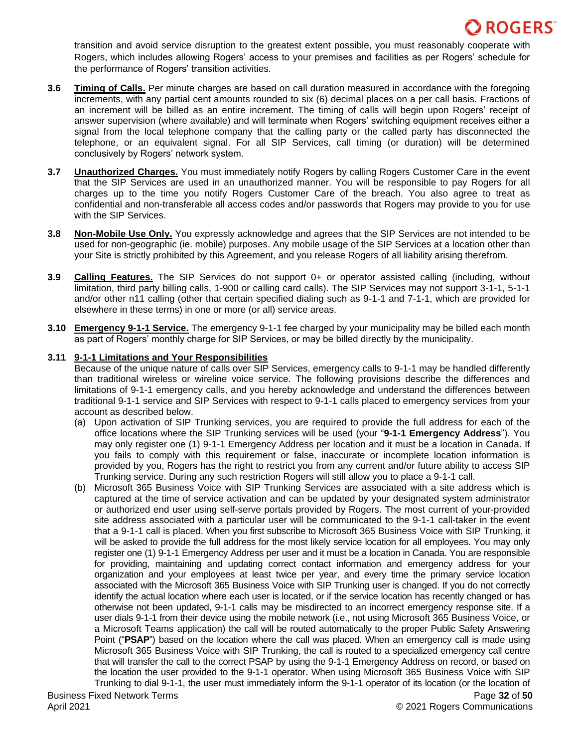transition and avoid service disruption to the greatest extent possible, you must reasonably cooperate with Rogers, which includes allowing Rogers' access to your premises and facilities as per Rogers' schedule for the performance of Rogers' transition activities.

- **3.6 Timing of Calls.** Per minute charges are based on call duration measured in accordance with the foregoing increments, with any partial cent amounts rounded to six (6) decimal places on a per call basis. Fractions of an increment will be billed as an entire increment. The timing of calls will begin upon Rogers' receipt of answer supervision (where available) and will terminate when Rogers' switching equipment receives either a signal from the local telephone company that the calling party or the called party has disconnected the telephone, or an equivalent signal. For all SIP Services, call timing (or duration) will be determined conclusively by Rogers' network system.
- **3.7 Unauthorized Charges.** You must immediately notify Rogers by calling Rogers Customer Care in the event that the SIP Services are used in an unauthorized manner. You will be responsible to pay Rogers for all charges up to the time you notify Rogers Customer Care of the breach. You also agree to treat as confidential and non-transferable all access codes and/or passwords that Rogers may provide to you for use with the SIP Services.
- **3.8 Non-Mobile Use Only.** You expressly acknowledge and agrees that the SIP Services are not intended to be used for non-geographic (ie. mobile) purposes. Any mobile usage of the SIP Services at a location other than your Site is strictly prohibited by this Agreement, and you release Rogers of all liability arising therefrom.
- **3.9 Calling Features.** The SIP Services do not support 0+ or operator assisted calling (including, without limitation, third party billing calls, 1-900 or calling card calls). The SIP Services may not support 3-1-1, 5-1-1 and/or other n11 calling (other that certain specified dialing such as 9-1-1 and 7-1-1, which are provided for elsewhere in these terms) in one or more (or all) service areas.
- **3.10 Emergency 9-1-1 Service.** The emergency 9-1-1 fee charged by your municipality may be billed each month as part of Rogers' monthly charge for SIP Services, or may be billed directly by the municipality.

### **3.11 9-1-1 Limitations and Your Responsibilities**

Because of the unique nature of calls over SIP Services, emergency calls to 9-1-1 may be handled differently than traditional wireless or wireline voice service. The following provisions describe the differences and limitations of 9-1-1 emergency calls, and you hereby acknowledge and understand the differences between traditional 9-1-1 service and SIP Services with respect to 9-1-1 calls placed to emergency services from your account as described below.

- (a) Upon activation of SIP Trunking services, you are required to provide the full address for each of the office locations where the SIP Trunking services will be used (your "**9-1-1 Emergency Address**"). You may only register one (1) 9-1-1 Emergency Address per location and it must be a location in Canada. If you fails to comply with this requirement or false, inaccurate or incomplete location information is provided by you, Rogers has the right to restrict you from any current and/or future ability to access SIP Trunking service. During any such restriction Rogers will still allow you to place a 9-1-1 call.
- (b) Microsoft 365 Business Voice with SIP Trunking Services are associated with a site address which is captured at the time of service activation and can be updated by your designated system administrator or authorized end user using self-serve portals provided by Rogers. The most current of your-provided site address associated with a particular user will be communicated to the 9-1-1 call-taker in the event that a 9-1-1 call is placed. When you first subscribe to Microsoft 365 Business Voice with SIP Trunking, it will be asked to provide the full address for the most likely service location for all employees. You may only register one (1) 9-1-1 Emergency Address per user and it must be a location in Canada. You are responsible for providing, maintaining and updating correct contact information and emergency address for your organization and your employees at least twice per year, and every time the primary service location associated with the Microsoft 365 Business Voice with SIP Trunking user is changed. If you do not correctly identify the actual location where each user is located, or if the service location has recently changed or has otherwise not been updated, 9-1-1 calls may be misdirected to an incorrect emergency response site. If a user dials 9-1-1 from their device using the mobile network (i.e., not using Microsoft 365 Business Voice, or a Microsoft Teams application) the call will be routed automatically to the proper Public Safety Answering Point ("**PSAP**") based on the location where the call was placed. When an emergency call is made using Microsoft 365 Business Voice with SIP Trunking, the call is routed to a specialized emergency call centre that will transfer the call to the correct PSAP by using the 9-1-1 Emergency Address on record, or based on the location the user provided to the 9-1-1 operator. When using Microsoft 365 Business Voice with SIP Trunking to dial 9-1-1, the user must immediately inform the 9-1-1 operator of its location (or the location of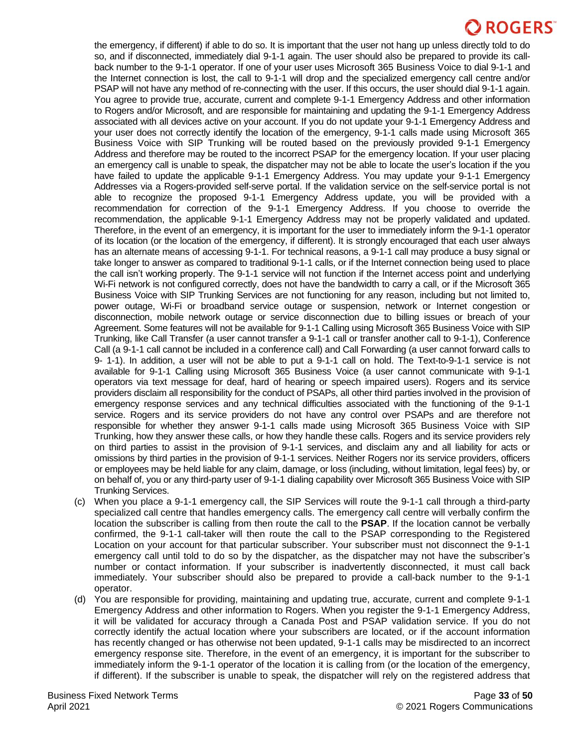the emergency, if different) if able to do so. It is important that the user not hang up unless directly told to do so, and if disconnected, immediately dial 9-1-1 again. The user should also be prepared to provide its callback number to the 9-1-1 operator. If one of your user uses Microsoft 365 Business Voice to dial 9-1-1 and the Internet connection is lost, the call to 9-1-1 will drop and the specialized emergency call centre and/or PSAP will not have any method of re-connecting with the user. If this occurs, the user should dial 9-1-1 again. You agree to provide true, accurate, current and complete 9-1-1 Emergency Address and other information to Rogers and/or Microsoft, and are responsible for maintaining and updating the 9-1-1 Emergency Address associated with all devices active on your account. If you do not update your 9-1-1 Emergency Address and your user does not correctly identify the location of the emergency, 9-1-1 calls made using Microsoft 365 Business Voice with SIP Trunking will be routed based on the previously provided 9-1-1 Emergency Address and therefore may be routed to the incorrect PSAP for the emergency location. If your user placing an emergency call is unable to speak, the dispatcher may not be able to locate the user's location if the you have failed to update the applicable 9-1-1 Emergency Address. You may update your 9-1-1 Emergency Addresses via a Rogers-provided self-serve portal. If the validation service on the self-service portal is not able to recognize the proposed 9-1-1 Emergency Address update, you will be provided with a recommendation for correction of the 9-1-1 Emergency Address. If you choose to override the recommendation, the applicable 9-1-1 Emergency Address may not be properly validated and updated. Therefore, in the event of an emergency, it is important for the user to immediately inform the 9-1-1 operator of its location (or the location of the emergency, if different). It is strongly encouraged that each user always has an alternate means of accessing 9-1-1. For technical reasons, a 9-1-1 call may produce a busy signal or take longer to answer as compared to traditional 9-1-1 calls, or if the Internet connection being used to place the call isn't working properly. The 9-1-1 service will not function if the Internet access point and underlying Wi-Fi network is not configured correctly, does not have the bandwidth to carry a call, or if the Microsoft 365 Business Voice with SIP Trunking Services are not functioning for any reason, including but not limited to, power outage, Wi-Fi or broadband service outage or suspension, network or Internet congestion or disconnection, mobile network outage or service disconnection due to billing issues or breach of your Agreement. Some features will not be available for 9-1-1 Calling using Microsoft 365 Business Voice with SIP Trunking, like Call Transfer (a user cannot transfer a 9-1-1 call or transfer another call to 9-1-1), Conference Call (a 9-1-1 call cannot be included in a conference call) and Call Forwarding (a user cannot forward calls to 9- 1-1). In addition, a user will not be able to put a 9-1-1 call on hold. The Text-to-9-1-1 service is not available for 9-1-1 Calling using Microsoft 365 Business Voice (a user cannot communicate with 9-1-1 operators via text message for deaf, hard of hearing or speech impaired users). Rogers and its service providers disclaim all responsibility for the conduct of PSAPs, all other third parties involved in the provision of emergency response services and any technical difficulties associated with the functioning of the 9-1-1 service. Rogers and its service providers do not have any control over PSAPs and are therefore not responsible for whether they answer 9-1-1 calls made using Microsoft 365 Business Voice with SIP Trunking, how they answer these calls, or how they handle these calls. Rogers and its service providers rely on third parties to assist in the provision of 9-1-1 services, and disclaim any and all liability for acts or omissions by third parties in the provision of 9-1-1 services. Neither Rogers nor its service providers, officers or employees may be held liable for any claim, damage, or loss (including, without limitation, legal fees) by, or on behalf of, you or any third-party user of 9-1-1 dialing capability over Microsoft 365 Business Voice with SIP Trunking Services.

- (c) When you place a 9-1-1 emergency call, the SIP Services will route the 9-1-1 call through a third-party specialized call centre that handles emergency calls. The emergency call centre will verbally confirm the location the subscriber is calling from then route the call to the **PSAP**. If the location cannot be verbally confirmed, the 9-1-1 call-taker will then route the call to the PSAP corresponding to the Registered Location on your account for that particular subscriber. Your subscriber must not disconnect the 9-1-1 emergency call until told to do so by the dispatcher, as the dispatcher may not have the subscriber's number or contact information. If your subscriber is inadvertently disconnected, it must call back immediately. Your subscriber should also be prepared to provide a call-back number to the 9-1-1 operator.
- (d) You are responsible for providing, maintaining and updating true, accurate, current and complete 9-1-1 Emergency Address and other information to Rogers. When you register the 9-1-1 Emergency Address, it will be validated for accuracy through a Canada Post and PSAP validation service. If you do not correctly identify the actual location where your subscribers are located, or if the account information has recently changed or has otherwise not been updated, 9-1-1 calls may be misdirected to an incorrect emergency response site. Therefore, in the event of an emergency, it is important for the subscriber to immediately inform the 9-1-1 operator of the location it is calling from (or the location of the emergency, if different). If the subscriber is unable to speak, the dispatcher will rely on the registered address that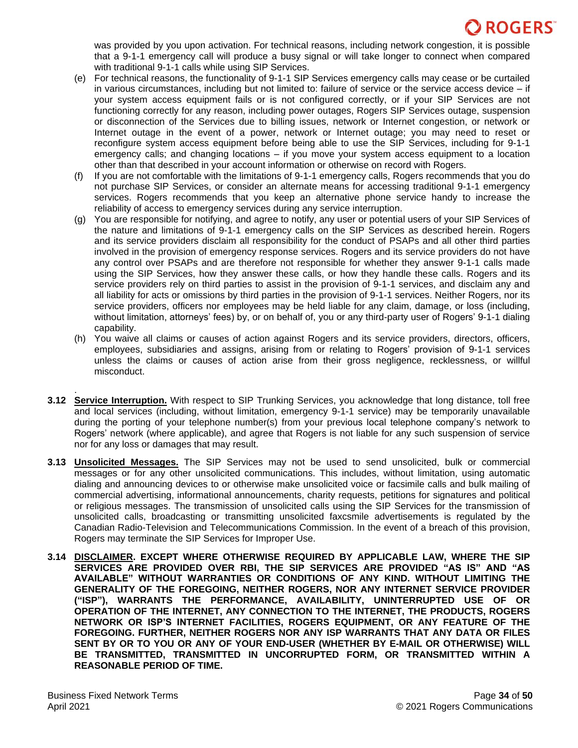was provided by you upon activation. For technical reasons, including network congestion, it is possible that a 9-1-1 emergency call will produce a busy signal or will take longer to connect when compared with traditional 9-1-1 calls while using SIP Services.

- (e) For technical reasons, the functionality of 9-1-1 SIP Services emergency calls may cease or be curtailed in various circumstances, including but not limited to: failure of service or the service access device – if your system access equipment fails or is not configured correctly, or if your SIP Services are not functioning correctly for any reason, including power outages, Rogers SIP Services outage, suspension or disconnection of the Services due to billing issues, network or Internet congestion, or network or Internet outage in the event of a power, network or Internet outage; you may need to reset or reconfigure system access equipment before being able to use the SIP Services, including for 9-1-1 emergency calls; and changing locations – if you move your system access equipment to a location other than that described in your account information or otherwise on record with Rogers.
- (f) If you are not comfortable with the limitations of 9-1-1 emergency calls, Rogers recommends that you do not purchase SIP Services, or consider an alternate means for accessing traditional 9-1-1 emergency services. Rogers recommends that you keep an alternative phone service handy to increase the reliability of access to emergency services during any service interruption.
- (g) You are responsible for notifying, and agree to notify, any user or potential users of your SIP Services of the nature and limitations of 9-1-1 emergency calls on the SIP Services as described herein. Rogers and its service providers disclaim all responsibility for the conduct of PSAPs and all other third parties involved in the provision of emergency response services. Rogers and its service providers do not have any control over PSAPs and are therefore not responsible for whether they answer 9-1-1 calls made using the SIP Services, how they answer these calls, or how they handle these calls. Rogers and its service providers rely on third parties to assist in the provision of 9-1-1 services, and disclaim any and all liability for acts or omissions by third parties in the provision of 9-1-1 services. Neither Rogers, nor its service providers, officers nor employees may be held liable for any claim, damage, or loss (including, without limitation, attorneys' fees) by, or on behalf of, you or any third-party user of Rogers' 9-1-1 dialing capability.
- (h) You waive all claims or causes of action against Rogers and its service providers, directors, officers, employees, subsidiaries and assigns, arising from or relating to Rogers' provision of 9-1-1 services unless the claims or causes of action arise from their gross negligence, recklessness, or willful misconduct.
- . **3.12 Service Interruption.** With respect to SIP Trunking Services, you acknowledge that long distance, toll free and local services (including, without limitation, emergency 9-1-1 service) may be temporarily unavailable during the porting of your telephone number(s) from your previous local telephone company's network to Rogers' network (where applicable), and agree that Rogers is not liable for any such suspension of service nor for any loss or damages that may result.
- **3.13 Unsolicited Messages.** The SIP Services may not be used to send unsolicited, bulk or commercial messages or for any other unsolicited communications. This includes, without limitation, using automatic dialing and announcing devices to or otherwise make unsolicited voice or facsimile calls and bulk mailing of commercial advertising, informational announcements, charity requests, petitions for signatures and political or religious messages. The transmission of unsolicited calls using the SIP Services for the transmission of unsolicited calls, broadcasting or transmitting unsolicited faxcsmile advertisements is regulated by the Canadian Radio-Television and Telecommunications Commission. In the event of a breach of this provision, Rogers may terminate the SIP Services for Improper Use.
- **3.14 DISCLAIMER. EXCEPT WHERE OTHERWISE REQUIRED BY APPLICABLE LAW, WHERE THE SIP SERVICES ARE PROVIDED OVER RBI, THE SIP SERVICES ARE PROVIDED "AS IS" AND "AS AVAILABLE" WITHOUT WARRANTIES OR CONDITIONS OF ANY KIND. WITHOUT LIMITING THE GENERALITY OF THE FOREGOING, NEITHER ROGERS, NOR ANY INTERNET SERVICE PROVIDER ("ISP"), WARRANTS THE PERFORMANCE, AVAILABILITY, UNINTERRUPTED USE OF OR OPERATION OF THE INTERNET, ANY CONNECTION TO THE INTERNET, THE PRODUCTS, ROGERS NETWORK OR ISP'S INTERNET FACILITIES, ROGERS EQUIPMENT, OR ANY FEATURE OF THE FOREGOING. FURTHER, NEITHER ROGERS NOR ANY ISP WARRANTS THAT ANY DATA OR FILES SENT BY OR TO YOU OR ANY OF YOUR END-USER (WHETHER BY E-MAIL OR OTHERWISE) WILL BE TRANSMITTED, TRANSMITTED IN UNCORRUPTED FORM, OR TRANSMITTED WITHIN A REASONABLE PERIOD OF TIME.**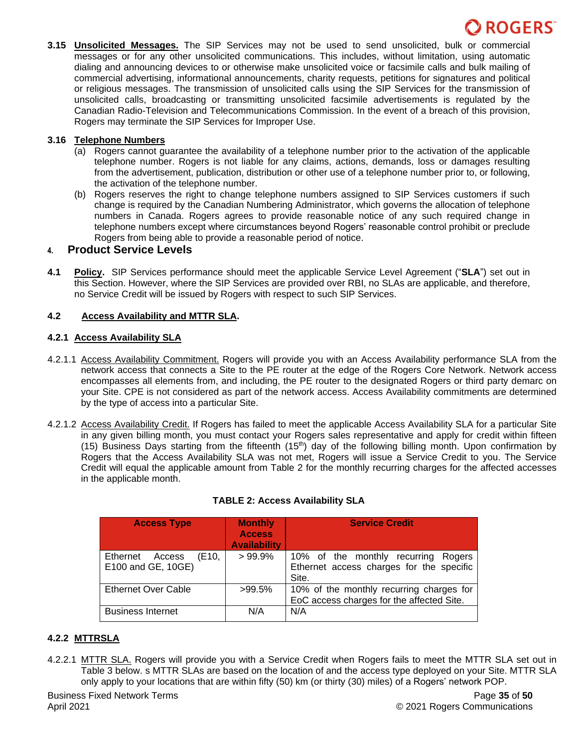**3.15 Unsolicited Messages.** The SIP Services may not be used to send unsolicited, bulk or commercial messages or for any other unsolicited communications. This includes, without limitation, using automatic dialing and announcing devices to or otherwise make unsolicited voice or facsimile calls and bulk mailing of commercial advertising, informational announcements, charity requests, petitions for signatures and political or religious messages. The transmission of unsolicited calls using the SIP Services for the transmission of unsolicited calls, broadcasting or transmitting unsolicited facsimile advertisements is regulated by the Canadian Radio-Television and Telecommunications Commission. In the event of a breach of this provision, Rogers may terminate the SIP Services for Improper Use.

### **3.16 Telephone Numbers**

- (a) Rogers cannot guarantee the availability of a telephone number prior to the activation of the applicable telephone number. Rogers is not liable for any claims, actions, demands, loss or damages resulting from the advertisement, publication, distribution or other use of a telephone number prior to, or following, the activation of the telephone number.
- (b) Rogers reserves the right to change telephone numbers assigned to SIP Services customers if such change is required by the Canadian Numbering Administrator, which governs the allocation of telephone numbers in Canada. Rogers agrees to provide reasonable notice of any such required change in telephone numbers except where circumstances beyond Rogers' reasonable control prohibit or preclude Rogers from being able to provide a reasonable period of notice.

## **4. Product Service Levels**

**4.1 Policy.** SIP Services performance should meet the applicable Service Level Agreement ("**SLA**") set out in this Section. However, where the SIP Services are provided over RBI, no SLAs are applicable, and therefore, no Service Credit will be issued by Rogers with respect to such SIP Services.

### **4.2 Access Availability and MTTR SLA.**

### **4.2.1 Access Availability SLA**

- 4.2.1.1 Access Availability Commitment. Rogers will provide you with an Access Availability performance SLA from the network access that connects a Site to the PE router at the edge of the Rogers Core Network. Network access encompasses all elements from, and including, the PE router to the designated Rogers or third party demarc on your Site. CPE is not considered as part of the network access. Access Availability commitments are determined by the type of access into a particular Site.
- 4.2.1.2 Access Availability Credit. If Rogers has failed to meet the applicable Access Availability SLA for a particular Site in any given billing month, you must contact your Rogers sales representative and apply for credit within fifteen (15) Business Days starting from the fifteenth (15<sup>th</sup>) day of the following billing month. Upon confirmation by Rogers that the Access Availability SLA was not met, Rogers will issue a Service Credit to you. The Service Credit will equal the applicable amount from Table 2 for the monthly recurring charges for the affected accesses in the applicable month.

| <b>Access Type</b>                                | <b>Monthly</b><br><b>Access</b><br><b>Availability</b> | <b>Service Credit</b>                                                                       |
|---------------------------------------------------|--------------------------------------------------------|---------------------------------------------------------------------------------------------|
| Ethernet<br>Access<br>(E10.<br>E100 and GE, 10GE) | $>99.9\%$                                              | 10% of the monthly recurring<br>Rogers<br>Ethernet access charges for the specific<br>Site. |
| <b>Ethernet Over Cable</b>                        | $>99.5\%$                                              | 10% of the monthly recurring charges for<br>EoC access charges for the affected Site.       |
| <b>Business Internet</b>                          | N/A                                                    | N/A                                                                                         |

## **TABLE 2: Access Availability SLA**

## **4.2.2 MTTRSLA**

4.2.2.1 MTTR SLA. Rogers will provide you with a Service Credit when Rogers fails to meet the MTTR SLA set out in Table 3 below. s MTTR SLAs are based on the location of and the access type deployed on your Site. MTTR SLA only apply to your locations that are within fifty (50) km (or thirty (30) miles) of a Rogers' network POP.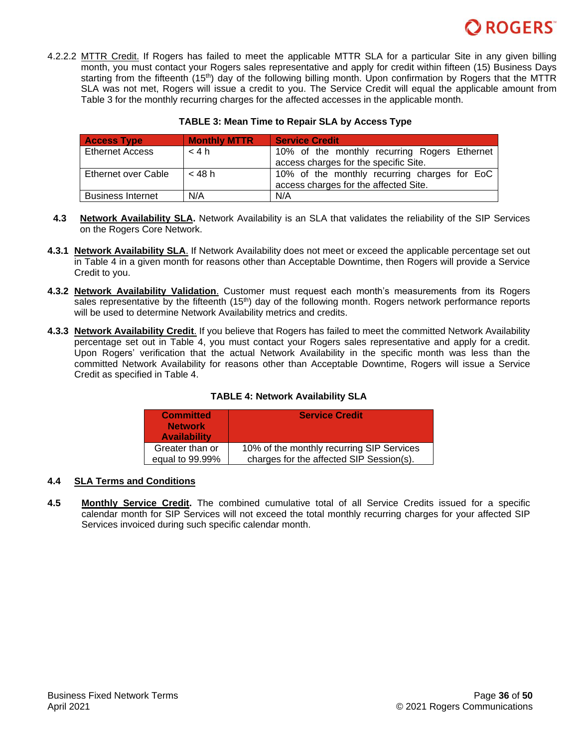

4.2.2.2 MTTR Credit. If Rogers has failed to meet the applicable MTTR SLA for a particular Site in any given billing month, you must contact your Rogers sales representative and apply for credit within fifteen (15) Business Days starting from the fifteenth (15<sup>th</sup>) day of the following billing month. Upon confirmation by Rogers that the MTTR SLA was not met, Rogers will issue a credit to you. The Service Credit will equal the applicable amount from Table 3 for the monthly recurring charges for the affected accesses in the applicable month.

| <b>Access Type</b>       | <b>Monthly MTTR</b> | <b>Service Credit</b>                        |
|--------------------------|---------------------|----------------------------------------------|
| <b>Ethernet Access</b>   | < 4 h               | 10% of the monthly recurring Rogers Ethernet |
|                          |                     | access charges for the specific Site.        |
| Ethernet over Cable      | < 48 h              | 10% of the monthly recurring charges for EoC |
|                          |                     | access charges for the affected Site.        |
| <b>Business Internet</b> | N/A                 | N/A                                          |

#### **TABLE 3: Mean Time to Repair SLA by Access Type**

- **4.3 Network Availability SLA.** Network Availability is an SLA that validates the reliability of the SIP Services on the Rogers Core Network.
- **4.3.1 Network Availability SLA**. If Network Availability does not meet or exceed the applicable percentage set out in Table 4 in a given month for reasons other than Acceptable Downtime, then Rogers will provide a Service Credit to you.
- **4.3.2 Network Availability Validation**. Customer must request each month's measurements from its Rogers sales representative by the fifteenth  $(15<sup>th</sup>)$  day of the following month. Rogers network performance reports will be used to determine Network Availability metrics and credits.
- **4.3.3 Network Availability Credit**. If you believe that Rogers has failed to meet the committed Network Availability percentage set out in Table 4, you must contact your Rogers sales representative and apply for a credit. Upon Rogers' verification that the actual Network Availability in the specific month was less than the committed Network Availability for reasons other than Acceptable Downtime, Rogers will issue a Service Credit as specified in Table 4.

### **TABLE 4: Network Availability SLA**

| <b>Committed</b><br><b>Network</b><br><b>Availability</b> | <b>Service Credit</b>                     |
|-----------------------------------------------------------|-------------------------------------------|
| Greater than or                                           | 10% of the monthly recurring SIP Services |
| equal to 99.99%                                           | charges for the affected SIP Session(s).  |

### **4.4 SLA Terms and Conditions**

**4.5 Monthly Service Credit.** The combined cumulative total of all Service Credits issued for a specific calendar month for SIP Services will not exceed the total monthly recurring charges for your affected SIP Services invoiced during such specific calendar month.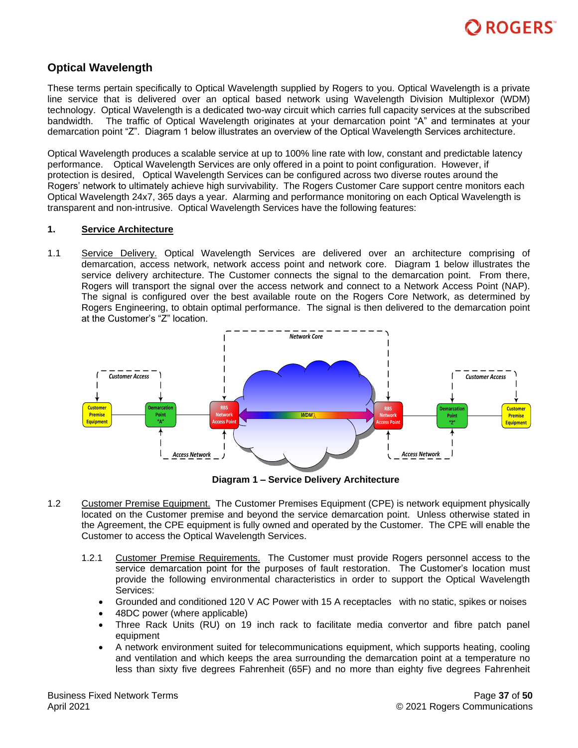

# <span id="page-36-0"></span>**Optical Wavelength**

These terms pertain specifically to Optical Wavelength supplied by Rogers to you. Optical Wavelength is a private line service that is delivered over an optical based network using Wavelength Division Multiplexor (WDM) technology. Optical Wavelength is a dedicated two-way circuit which carries full capacity services at the subscribed bandwidth. The traffic of Optical Wavelength originates at your demarcation point "A" and terminates at your demarcation point "Z". Diagram 1 below illustrates an overview of the Optical Wavelength Services architecture.

Optical Wavelength produces a scalable service at up to 100% line rate with low, constant and predictable latency performance. Optical Wavelength Services are only offered in a point to point configuration. However, if protection is desired, Optical Wavelength Services can be configured across two diverse routes around the Rogers' network to ultimately achieve high survivability. The Rogers Customer Care support centre monitors each Optical Wavelength 24x7, 365 days a year. Alarming and performance monitoring on each Optical Wavelength is transparent and non-intrusive. Optical Wavelength Services have the following features:

#### **1. Service Architecture**

1.1 Service Delivery. Optical Wavelength Services are delivered over an architecture comprising of demarcation, access network, network access point and network core. Diagram 1 below illustrates the service delivery architecture. The Customer connects the signal to the demarcation point. From there, Rogers will transport the signal over the access network and connect to a Network Access Point (NAP). The signal is configured over the best available route on the Rogers Core Network, as determined by Rogers Engineering, to obtain optimal performance. The signal is then delivered to the demarcation point at the Customer's "Z" location.



**Diagram 1 – Service Delivery Architecture**

- 1.2 Customer Premise Equipment. The Customer Premises Equipment (CPE) is network equipment physically located on the Customer premise and beyond the service demarcation point. Unless otherwise stated in the Agreement, the CPE equipment is fully owned and operated by the Customer. The CPE will enable the Customer to access the Optical Wavelength Services.
	- 1.2.1 Customer Premise Requirements. The Customer must provide Rogers personnel access to the service demarcation point for the purposes of fault restoration. The Customer's location must provide the following environmental characteristics in order to support the Optical Wavelength Services:
		- Grounded and conditioned 120 V AC Power with 15 A receptacles with no static, spikes or noises
		- 48DC power (where applicable)
		- Three Rack Units (RU) on 19 inch rack to facilitate media convertor and fibre patch panel equipment
		- A network environment suited for telecommunications equipment, which supports heating, cooling and ventilation and which keeps the area surrounding the demarcation point at a temperature no less than sixty five degrees Fahrenheit (65F) and no more than eighty five degrees Fahrenheit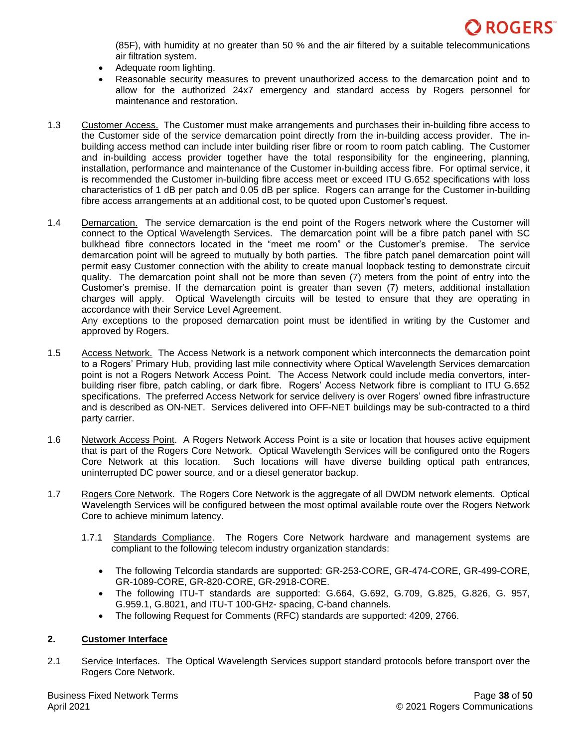

(85F), with humidity at no greater than 50 % and the air filtered by a suitable telecommunications air filtration system.

- Adequate room lighting.
- Reasonable security measures to prevent unauthorized access to the demarcation point and to allow for the authorized 24x7 emergency and standard access by Rogers personnel for maintenance and restoration.
- 1.3 Customer Access. The Customer must make arrangements and purchases their in-building fibre access to the Customer side of the service demarcation point directly from the in-building access provider. The inbuilding access method can include inter building riser fibre or room to room patch cabling. The Customer and in-building access provider together have the total responsibility for the engineering, planning, installation, performance and maintenance of the Customer in-building access fibre. For optimal service, it is recommended the Customer in-building fibre access meet or exceed ITU G.652 specifications with loss characteristics of 1 dB per patch and 0.05 dB per splice. Rogers can arrange for the Customer in-building fibre access arrangements at an additional cost, to be quoted upon Customer's request.
- 1.4 Demarcation. The service demarcation is the end point of the Rogers network where the Customer will connect to the Optical Wavelength Services. The demarcation point will be a fibre patch panel with SC bulkhead fibre connectors located in the "meet me room" or the Customer's premise. The service demarcation point will be agreed to mutually by both parties. The fibre patch panel demarcation point will permit easy Customer connection with the ability to create manual loopback testing to demonstrate circuit quality. The demarcation point shall not be more than seven (7) meters from the point of entry into the Customer's premise. If the demarcation point is greater than seven (7) meters, additional installation charges will apply. Optical Wavelength circuits will be tested to ensure that they are operating in accordance with their Service Level Agreement.

Any exceptions to the proposed demarcation point must be identified in writing by the Customer and approved by Rogers.

- 1.5 Access Network. The Access Network is a network component which interconnects the demarcation point to a Rogers' Primary Hub, providing last mile connectivity where Optical Wavelength Services demarcation point is not a Rogers Network Access Point. The Access Network could include media convertors, interbuilding riser fibre, patch cabling, or dark fibre. Rogers' Access Network fibre is compliant to ITU G.652 specifications. The preferred Access Network for service delivery is over Rogers' owned fibre infrastructure and is described as ON-NET. Services delivered into OFF-NET buildings may be sub-contracted to a third party carrier.
- 1.6 Network Access Point. A Rogers Network Access Point is a site or location that houses active equipment that is part of the Rogers Core Network. Optical Wavelength Services will be configured onto the Rogers Core Network at this location. Such locations will have diverse building optical path entrances, uninterrupted DC power source, and or a diesel generator backup.
- 1.7 Rogers Core Network. The Rogers Core Network is the aggregate of all DWDM network elements. Optical Wavelength Services will be configured between the most optimal available route over the Rogers Network Core to achieve minimum latency.
	- 1.7.1 Standards Compliance. The Rogers Core Network hardware and management systems are compliant to the following telecom industry organization standards:
		- The following Telcordia standards are supported: GR-253-CORE, GR-474-CORE, GR-499-CORE, GR-1089-CORE, GR-820-CORE, GR-2918-CORE.
		- The following ITU-T standards are supported: G.664, G.692, G.709, G.825, G.826, G. 957, G.959.1, G.8021, and ITU-T 100-GHz- spacing, C-band channels.
		- The following Request for Comments (RFC) standards are supported: 4209, 2766.

### **2. Customer Interface**

2.1 Service Interfaces. The Optical Wavelength Services support standard protocols before transport over the Rogers Core Network.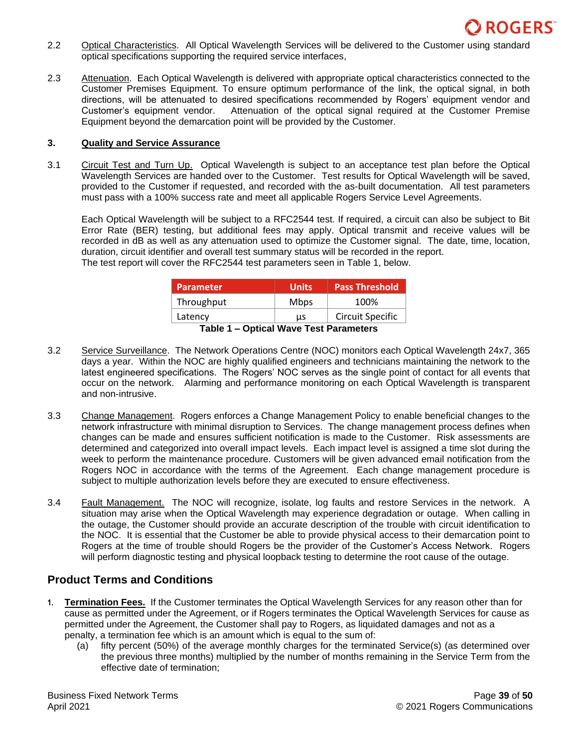

- 2.2 Optical Characteristics. All Optical Wavelength Services will be delivered to the Customer using standard optical specifications supporting the required service interfaces,
- 2.3 Attenuation. Each Optical Wavelength is delivered with appropriate optical characteristics connected to the Customer Premises Equipment. To ensure optimum performance of the link, the optical signal, in both directions, will be attenuated to desired specifications recommended by Rogers' equipment vendor and Customer's equipment vendor. Attenuation of the optical signal required at the Customer Premise Equipment beyond the demarcation point will be provided by the Customer.

### **3. Quality and Service Assurance**

3.1 Circuit Test and Turn Up. Optical Wavelength is subject to an acceptance test plan before the Optical Wavelength Services are handed over to the Customer. Test results for Optical Wavelength will be saved, provided to the Customer if requested, and recorded with the as-built documentation. All test parameters must pass with a 100% success rate and meet all applicable Rogers Service Level Agreements.

Each Optical Wavelength will be subject to a RFC2544 test. If required, a circuit can also be subject to Bit Error Rate (BER) testing, but additional fees may apply. Optical transmit and receive values will be recorded in dB as well as any attenuation used to optimize the Customer signal. The date, time, location, duration, circuit identifier and overall test summary status will be recorded in the report. The test report will cover the RFC2544 test parameters seen in Table 1, below.

| <b>Parameter</b> | <b>Units</b> | <b>Pass Threshold</b> |
|------------------|--------------|-----------------------|
| Throughput       | <b>Mbps</b>  | 100%                  |
| Latency          | us           | Circuit Specific      |

**Table 1 – Optical Wave Test Parameters**

- 3.2 Service Surveillance. The Network Operations Centre (NOC) monitors each Optical Wavelength 24x7, 365 days a year. Within the NOC are highly qualified engineers and technicians maintaining the network to the latest engineered specifications. The Rogers' NOC serves as the single point of contact for all events that occur on the network. Alarming and performance monitoring on each Optical Wavelength is transparent and non-intrusive.
- 3.3 Change Management. Rogers enforces a Change Management Policy to enable beneficial changes to the network infrastructure with minimal disruption to Services. The change management process defines when changes can be made and ensures sufficient notification is made to the Customer. Risk assessments are determined and categorized into overall impact levels. Each impact level is assigned a time slot during the week to perform the maintenance procedure. Customers will be given advanced email notification from the Rogers NOC in accordance with the terms of the Agreement. Each change management procedure is subject to multiple authorization levels before they are executed to ensure effectiveness.
- 3.4 Fault Management. The NOC will recognize, isolate, log faults and restore Services in the network. A situation may arise when the Optical Wavelength may experience degradation or outage. When calling in the outage, the Customer should provide an accurate description of the trouble with circuit identification to the NOC. It is essential that the Customer be able to provide physical access to their demarcation point to Rogers at the time of trouble should Rogers be the provider of the Customer's Access Network. Rogers will perform diagnostic testing and physical loopback testing to determine the root cause of the outage.

# **Product Terms and Conditions**

- **1. Termination Fees.** If the Customer terminates the Optical Wavelength Services for any reason other than for cause as permitted under the Agreement, or if Rogers terminates the Optical Wavelength Services for cause as permitted under the Agreement, the Customer shall pay to Rogers, as liquidated damages and not as a penalty, a termination fee which is an amount which is equal to the sum of:
	- (a) fifty percent (50%) of the average monthly charges for the terminated Service(s) (as determined over the previous three months) multiplied by the number of months remaining in the Service Term from the effective date of termination;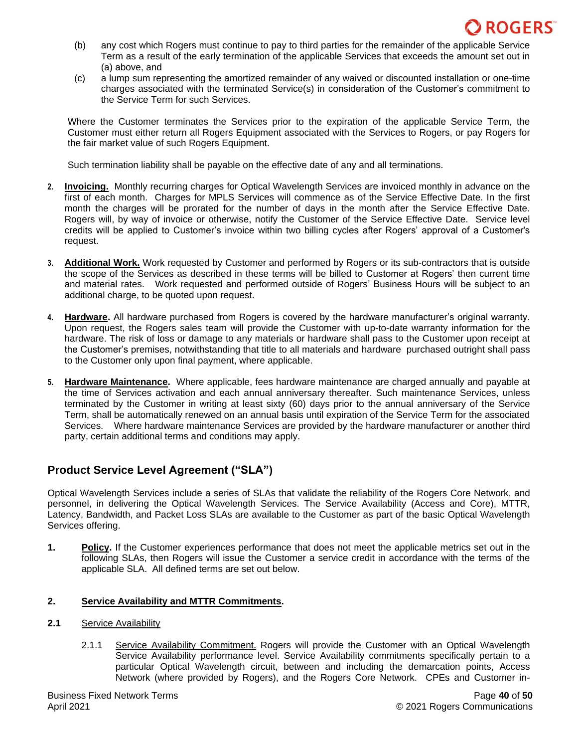

- (b) any cost which Rogers must continue to pay to third parties for the remainder of the applicable Service Term as a result of the early termination of the applicable Services that exceeds the amount set out in (a) above, and
- (c) a lump sum representing the amortized remainder of any waived or discounted installation or one-time charges associated with the terminated Service(s) in consideration of the Customer's commitment to the Service Term for such Services.

Where the Customer terminates the Services prior to the expiration of the applicable Service Term, the Customer must either return all Rogers Equipment associated with the Services to Rogers, or pay Rogers for the fair market value of such Rogers Equipment.

Such termination liability shall be payable on the effective date of any and all terminations.

- **2. Invoicing.** Monthly recurring charges for Optical Wavelength Services are invoiced monthly in advance on the first of each month. Charges for MPLS Services will commence as of the Service Effective Date. In the first month the charges will be prorated for the number of days in the month after the Service Effective Date. Rogers will, by way of invoice or otherwise, notify the Customer of the Service Effective Date. Service level credits will be applied to Customer's invoice within two billing cycles after Rogers' approval of a Customer's request.
- **3. Additional Work.** Work requested by Customer and performed by Rogers or its sub-contractors that is outside the scope of the Services as described in these terms will be billed to Customer at Rogers' then current time and material rates. Work requested and performed outside of Rogers' Business Hours will be subject to an additional charge, to be quoted upon request.
- **4. Hardware.** All hardware purchased from Rogers is covered by the hardware manufacturer's original warranty. Upon request, the Rogers sales team will provide the Customer with up-to-date warranty information for the hardware. The risk of loss or damage to any materials or hardware shall pass to the Customer upon receipt at the Customer's premises, notwithstanding that title to all materials and hardware purchased outright shall pass to the Customer only upon final payment, where applicable.
- **5. Hardware Maintenance.** Where applicable, fees hardware maintenance are charged annually and payable at the time of Services activation and each annual anniversary thereafter. Such maintenance Services, unless terminated by the Customer in writing at least sixty (60) days prior to the annual anniversary of the Service Term, shall be automatically renewed on an annual basis until expiration of the Service Term for the associated Services. Where hardware maintenance Services are provided by the hardware manufacturer or another third party, certain additional terms and conditions may apply.

# **Product Service Level Agreement ("SLA")**

Optical Wavelength Services include a series of SLAs that validate the reliability of the Rogers Core Network, and personnel, in delivering the Optical Wavelength Services. The Service Availability (Access and Core), MTTR, Latency, Bandwidth, and Packet Loss SLAs are available to the Customer as part of the basic Optical Wavelength Services offering.

**1. Policy.** If the Customer experiences performance that does not meet the applicable metrics set out in the following SLAs, then Rogers will issue the Customer a service credit in accordance with the terms of the applicable SLA. All defined terms are set out below.

### **2. Service Availability and MTTR Commitments.**

- **2.1** Service Availability
	- 2.1.1 Service Availability Commitment. Rogers will provide the Customer with an Optical Wavelength Service Availability performance level. Service Availability commitments specifically pertain to a particular Optical Wavelength circuit, between and including the demarcation points, Access Network (where provided by Rogers), and the Rogers Core Network. CPEs and Customer in-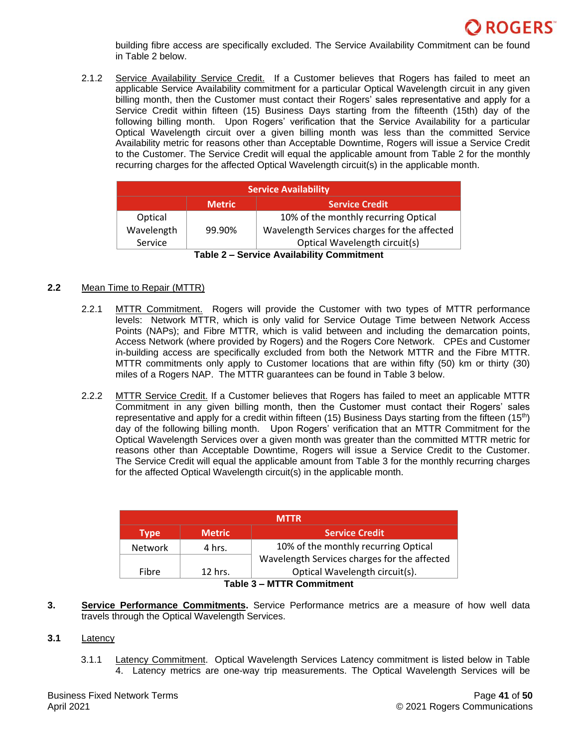

building fibre access are specifically excluded. The Service Availability Commitment can be found in Table 2 below.

2.1.2 Service Availability Service Credit. If a Customer believes that Rogers has failed to meet an applicable Service Availability commitment for a particular Optical Wavelength circuit in any given billing month, then the Customer must contact their Rogers' sales representative and apply for a Service Credit within fifteen (15) Business Days starting from the fifteenth (15th) day of the following billing month. Upon Rogers' verification that the Service Availability for a particular Optical Wavelength circuit over a given billing month was less than the committed Service Availability metric for reasons other than Acceptable Downtime, Rogers will issue a Service Credit to the Customer. The Service Credit will equal the applicable amount from Table 2 for the monthly recurring charges for the affected Optical Wavelength circuit(s) in the applicable month.

| <b>Service Availability</b>             |               |                                              |  |
|-----------------------------------------|---------------|----------------------------------------------|--|
|                                         | <b>Metric</b> | <b>Service Credit</b>                        |  |
| Optical                                 |               | 10% of the monthly recurring Optical         |  |
| Wavelength                              | 99.90%        | Wavelength Services charges for the affected |  |
| Service                                 |               | Optical Wavelength circuit(s)                |  |
| Table 2 Carvina Availability Cammitmant |               |                                              |  |

### **2.2** Mean Time to Repair (MTTR)

- 2.2.1 MTTR Commitment. Rogers will provide the Customer with two types of MTTR performance levels: Network MTTR, which is only valid for Service Outage Time between Network Access Points (NAPs); and Fibre MTTR, which is valid between and including the demarcation points, Access Network (where provided by Rogers) and the Rogers Core Network. CPEs and Customer in-building access are specifically excluded from both the Network MTTR and the Fibre MTTR. MTTR commitments only apply to Customer locations that are within fifty (50) km or thirty (30) miles of a Rogers NAP. The MTTR guarantees can be found in Table 3 below.
- 2.2.2. MTTR Service Credit. If a Customer believes that Rogers has failed to meet an applicable MTTR Commitment in any given billing month, then the Customer must contact their Rogers' sales representative and apply for a credit within fifteen (15) Business Days starting from the fifteen (15<sup>th</sup>) day of the following billing month. Upon Rogers' verification that an MTTR Commitment for the Optical Wavelength Services over a given month was greater than the committed MTTR metric for reasons other than Acceptable Downtime, Rogers will issue a Service Credit to the Customer. The Service Credit will equal the applicable amount from Table 3 for the monthly recurring charges for the affected Optical Wavelength circuit(s) in the applicable month.

| <b>MTTR</b>    |                                              |                                      |
|----------------|----------------------------------------------|--------------------------------------|
| <b>Type</b>    | <b>Metric</b>                                | <b>Service Credit</b>                |
| <b>Network</b> | 4 hrs.                                       | 10% of the monthly recurring Optical |
|                | Wavelength Services charges for the affected |                                      |
| Fibre          | 12 hrs.                                      | Optical Wavelength circuit(s).       |
| $\blacksquare$ |                                              |                                      |

### **Table 3 – MTTR Commitment**

**3. Service Performance Commitments.** Service Performance metrics are a measure of how well data travels through the Optical Wavelength Services.

### **3.1** Latency

3.1.1 Latency Commitment. Optical Wavelength Services Latency commitment is listed below in Table 4. Latency metrics are one-way trip measurements. The Optical Wavelength Services will be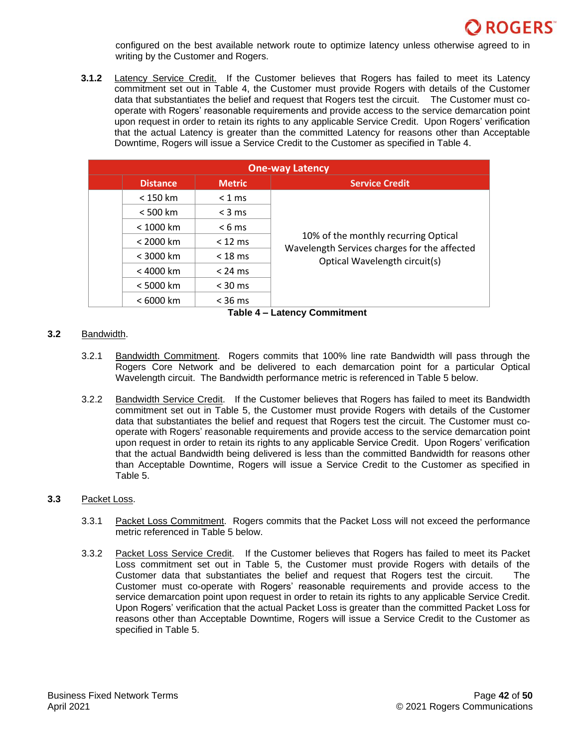

configured on the best available network route to optimize latency unless otherwise agreed to in writing by the Customer and Rogers.

**3.1.2** Latency Service Credit. If the Customer believes that Rogers has failed to meet its Latency commitment set out in Table 4, the Customer must provide Rogers with details of the Customer data that substantiates the belief and request that Rogers test the circuit. The Customer must cooperate with Rogers' reasonable requirements and provide access to the service demarcation point upon request in order to retain its rights to any applicable Service Credit. Upon Rogers' verification that the actual Latency is greater than the committed Latency for reasons other than Acceptable Downtime, Rogers will issue a Service Credit to the Customer as specified in Table 4.

| <b>One-way Latency</b> |                 |                   |                                                                               |
|------------------------|-----------------|-------------------|-------------------------------------------------------------------------------|
|                        | <b>Distance</b> | <b>Metric</b>     | <b>Service Credit</b>                                                         |
|                        | $< 150$ km      | $< 1$ ms          |                                                                               |
|                        | < 500 km        | $<$ 3 ms          |                                                                               |
|                        | < 1000 km       | $< 6 \text{ ms}$  |                                                                               |
|                        | < 2000 km       | $<$ 12 ms         | 10% of the monthly recurring Optical                                          |
|                        | $<$ 3000 km     | $<$ 18 ms         | Wavelength Services charges for the affected<br>Optical Wavelength circuit(s) |
|                        | < 4000 km       | $< 24 \text{ ms}$ |                                                                               |
|                        | < 5000 km       | $<$ 30 ms         |                                                                               |
|                        | < 6000 km       | $<$ 36 ms         |                                                                               |

**Table 4 – Latency Commitment**

### **3.2** Bandwidth.

- 3.2.1 Bandwidth Commitment. Rogers commits that 100% line rate Bandwidth will pass through the Rogers Core Network and be delivered to each demarcation point for a particular Optical Wavelength circuit. The Bandwidth performance metric is referenced in Table 5 below.
- 3.2.2 **Bandwidth Service Credit.** If the Customer believes that Rogers has failed to meet its Bandwidth commitment set out in Table 5, the Customer must provide Rogers with details of the Customer data that substantiates the belief and request that Rogers test the circuit. The Customer must cooperate with Rogers' reasonable requirements and provide access to the service demarcation point upon request in order to retain its rights to any applicable Service Credit. Upon Rogers' verification that the actual Bandwidth being delivered is less than the committed Bandwidth for reasons other than Acceptable Downtime, Rogers will issue a Service Credit to the Customer as specified in Table 5.

### **3.3** Packet Loss.

- 3.3.1 Packet Loss Commitment. Rogers commits that the Packet Loss will not exceed the performance metric referenced in Table 5 below.
- 3.3.2 Packet Loss Service Credit. If the Customer believes that Rogers has failed to meet its Packet Loss commitment set out in Table 5, the Customer must provide Rogers with details of the Customer data that substantiates the belief and request that Rogers test the circuit. The Customer must co-operate with Rogers' reasonable requirements and provide access to the service demarcation point upon request in order to retain its rights to any applicable Service Credit. Upon Rogers' verification that the actual Packet Loss is greater than the committed Packet Loss for reasons other than Acceptable Downtime, Rogers will issue a Service Credit to the Customer as specified in Table 5.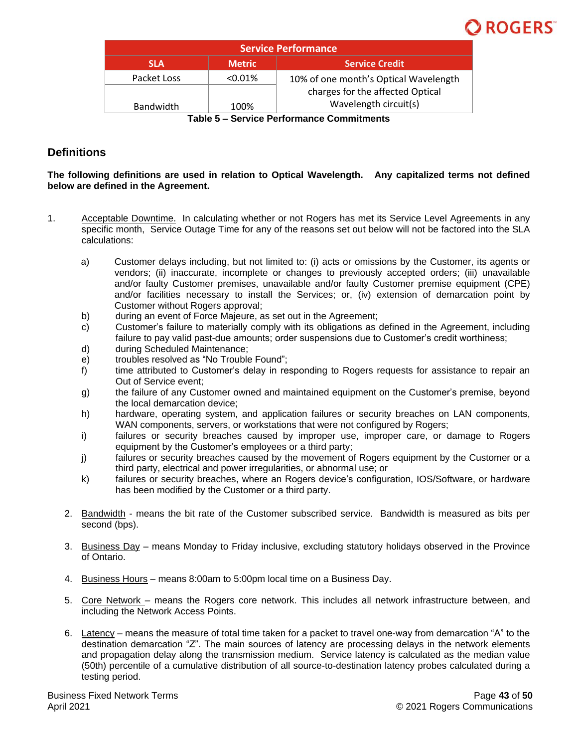

| <b>Service Performance</b>                    |               |                                       |  |
|-----------------------------------------------|---------------|---------------------------------------|--|
| <b>SLA</b>                                    | <b>Metric</b> | <b>Service Credit</b>                 |  |
| Packet Loss                                   | $< 0.01\%$    | 10% of one month's Optical Wavelength |  |
|                                               |               | charges for the affected Optical      |  |
| <b>Bandwidth</b>                              | 100%          | Wavelength circuit(s)                 |  |
| Camilae Deufouseauer Commitmente<br>$T - L L$ |               |                                       |  |

**Table 5 – Service Performance Commitments**

# **Definitions**

**The following definitions are used in relation to Optical Wavelength. Any capitalized terms not defined below are defined in the Agreement.**

- 1. Acceptable Downtime. In calculating whether or not Rogers has met its Service Level Agreements in any specific month, Service Outage Time for any of the reasons set out below will not be factored into the SLA calculations:
	- a) Customer delays including, but not limited to: (i) acts or omissions by the Customer, its agents or vendors; (ii) inaccurate, incomplete or changes to previously accepted orders; (iii) unavailable and/or faulty Customer premises, unavailable and/or faulty Customer premise equipment (CPE) and/or facilities necessary to install the Services; or, (iv) extension of demarcation point by Customer without Rogers approval;
	- b) during an event of Force Majeure, as set out in the Agreement;
	- c) Customer's failure to materially comply with its obligations as defined in the Agreement, including failure to pay valid past-due amounts; order suspensions due to Customer's credit worthiness;
	- d) during Scheduled Maintenance;
	- e) troubles resolved as "No Trouble Found";
	- f) time attributed to Customer's delay in responding to Rogers requests for assistance to repair an Out of Service event;
	- g) the failure of any Customer owned and maintained equipment on the Customer's premise, beyond the local demarcation device;
	- h) hardware, operating system, and application failures or security breaches on LAN components, WAN components, servers, or workstations that were not configured by Rogers;
	- i) failures or security breaches caused by improper use, improper care, or damage to Rogers equipment by the Customer's employees or a third party;
	- j) failures or security breaches caused by the movement of Rogers equipment by the Customer or a third party, electrical and power irregularities, or abnormal use; or
	- k) failures or security breaches, where an Rogers device's configuration, IOS/Software, or hardware has been modified by the Customer or a third party.
	- 2. Bandwidth means the bit rate of the Customer subscribed service. Bandwidth is measured as bits per second (bps).
	- 3. Business Day means Monday to Friday inclusive, excluding statutory holidays observed in the Province of Ontario.
	- 4. Business Hours means 8:00am to 5:00pm local time on a Business Day.
	- 5. Core Network means the Rogers core network. This includes all network infrastructure between, and including the Network Access Points.
	- 6. Latency means the measure of total time taken for a packet to travel one-way from demarcation "A" to the destination demarcation "Z". The main sources of latency are processing delays in the network elements and propagation delay along the transmission medium. Service latency is calculated as the median value (50th) percentile of a cumulative distribution of all source-to-destination latency probes calculated during a testing period.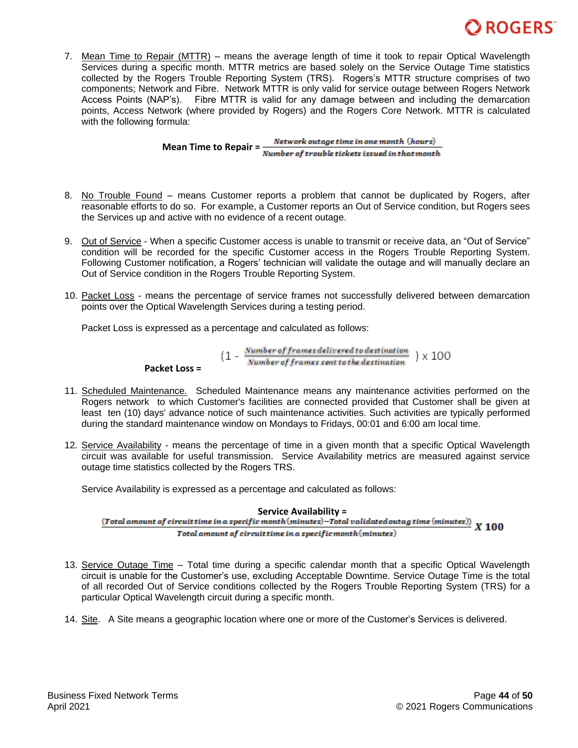

7. Mean Time to Repair (MTTR) – means the average length of time it took to repair Optical Wavelength Services during a specific month. MTTR metrics are based solely on the Service Outage Time statistics collected by the Rogers Trouble Reporting System (TRS). Rogers's MTTR structure comprises of two components; Network and Fibre. Network MTTR is only valid for service outage between Rogers Network Access Points (NAP's). Fibre MTTR is valid for any damage between and including the demarcation points, Access Network (where provided by Rogers) and the Rogers Core Network. MTTR is calculated with the following formula:

> **Mean Time to Repair =** <u>*Number of trouble tickets issued in that month*<br> *Number of trouble tickets issued in that month*</u> Network outage time in one month (hours)

- 8. No Trouble Found means Customer reports a problem that cannot be duplicated by Rogers, after reasonable efforts to do so. For example, a Customer reports an Out of Service condition, but Rogers sees the Services up and active with no evidence of a recent outage.
- 9. Out of Service When a specific Customer access is unable to transmit or receive data, an "Out of Service" condition will be recorded for the specific Customer access in the Rogers Trouble Reporting System. Following Customer notification, a Rogers' technician will validate the outage and will manually declare an Out of Service condition in the Rogers Trouble Reporting System.
- 10. Packet Loss means the percentage of service frames not successfully delivered between demarcation points over the Optical Wavelength Services during a testing period.

Packet Loss is expressed as a percentage and calculated as follows:

$$
(1 - \frac{Number\ of\ frames\ delivered\ to\ destination}{Number\ of\ frames\ sent\ to\ the\ destination}) \times 100
$$

#### **Packet Loss =**

- 11. Scheduled Maintenance. Scheduled Maintenance means any maintenance activities performed on the Rogers network to which Customer's facilities are connected provided that Customer shall be given at least ten (10) days' advance notice of such maintenance activities. Such activities are typically performed during the standard maintenance window on Mondays to Fridays, 00:01 and 6:00 am local time.
- 12. Service Availability means the percentage of time in a given month that a specific Optical Wavelength circuit was available for useful transmission. Service Availability metrics are measured against service outage time statistics collected by the Rogers TRS.

Service Availability is expressed as a percentage and calculated as follows:

Service Availability =<br>(*Total amount of circuit time in a specific month* (*minutes*)–Total validated outag time (minutes)) X 100 Total amount of circuit time in a specific month (minutes)

- 13. Service Outage Time Total time during a specific calendar month that a specific Optical Wavelength circuit is unable for the Customer's use, excluding Acceptable Downtime. Service Outage Time is the total of all recorded Out of Service conditions collected by the Rogers Trouble Reporting System (TRS) for a particular Optical Wavelength circuit during a specific month.
- 14. Site. A Site means a geographic location where one or more of the Customer's Services is delivered.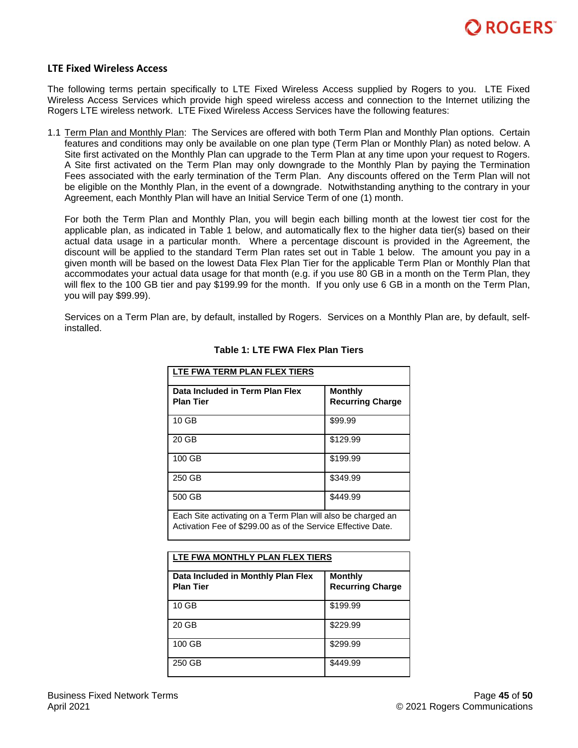

### <span id="page-44-0"></span>**LTE Fixed Wireless Access**

The following terms pertain specifically to LTE Fixed Wireless Access supplied by Rogers to you. LTE Fixed Wireless Access Services which provide high speed wireless access and connection to the Internet utilizing the Rogers LTE wireless network. LTE Fixed Wireless Access Services have the following features:

1.1 Term Plan and Monthly Plan: The Services are offered with both Term Plan and Monthly Plan options. Certain features and conditions may only be available on one plan type (Term Plan or Monthly Plan) as noted below. A Site first activated on the Monthly Plan can upgrade to the Term Plan at any time upon your request to Rogers. A Site first activated on the Term Plan may only downgrade to the Monthly Plan by paying the Termination Fees associated with the early termination of the Term Plan. Any discounts offered on the Term Plan will not be eligible on the Monthly Plan, in the event of a downgrade. Notwithstanding anything to the contrary in your Agreement, each Monthly Plan will have an Initial Service Term of one (1) month.

For both the Term Plan and Monthly Plan, you will begin each billing month at the lowest tier cost for the applicable plan, as indicated in Table 1 below, and automatically flex to the higher data tier(s) based on their actual data usage in a particular month. Where a percentage discount is provided in the Agreement, the discount will be applied to the standard Term Plan rates set out in Table 1 below. The amount you pay in a given month will be based on the lowest Data Flex Plan Tier for the applicable Term Plan or Monthly Plan that accommodates your actual data usage for that month (e.g. if you use 80 GB in a month on the Term Plan, they will flex to the 100 GB tier and pay \$199.99 for the month. If you only use 6 GB in a month on the Term Plan, you will pay \$99.99).

Services on a Term Plan are, by default, installed by Rogers. Services on a Monthly Plan are, by default, selfinstalled.

| LTE FWA TERM PLAN FLEX TIERS                                                                                                |                                           |  |
|-----------------------------------------------------------------------------------------------------------------------------|-------------------------------------------|--|
| Data Included in Term Plan Flex<br><b>Plan Tier</b>                                                                         | <b>Monthly</b><br><b>Recurring Charge</b> |  |
| 10 GB                                                                                                                       | \$99.99                                   |  |
| 20 GB                                                                                                                       | \$129.99                                  |  |
| 100 GB                                                                                                                      | \$199.99                                  |  |
| 250 GB                                                                                                                      | \$349.99                                  |  |
| 500 GB                                                                                                                      | \$449.99                                  |  |
| Each Site activating on a Term Plan will also be charged an<br>Activation Fee of \$299.00 as of the Service Effective Date. |                                           |  |

### **Table 1: LTE FWA Flex Plan Tiers**

| LTE FWA MONTHLY PLAN FLEX TIERS                        |                                           |  |
|--------------------------------------------------------|-------------------------------------------|--|
| Data Included in Monthly Plan Flex<br><b>Plan Tier</b> | <b>Monthly</b><br><b>Recurring Charge</b> |  |
| 10 GB                                                  | \$199.99                                  |  |
| 20 GB                                                  | \$229.99                                  |  |
| 100 GB                                                 | \$299.99                                  |  |
| 250 GB                                                 | \$449.99                                  |  |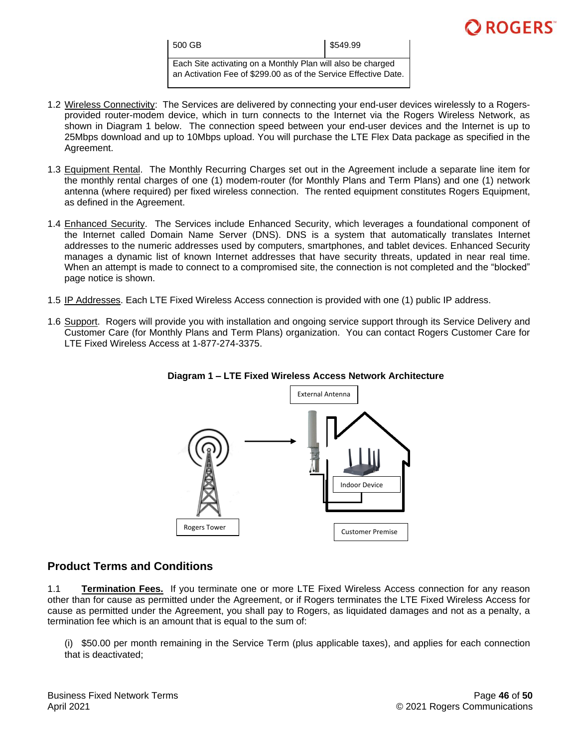| 500 GB                                                          | \$549.99 |
|-----------------------------------------------------------------|----------|
| Each Site activating on a Monthly Plan will also be charged     |          |
| an Activation Fee of \$299.00 as of the Service Effective Date. |          |

- 1.2 Wireless Connectivity: The Services are delivered by connecting your end-user devices wirelessly to a Rogersprovided router-modem device, which in turn connects to the Internet via the Rogers Wireless Network, as shown in Diagram 1 below. The connection speed between your end-user devices and the Internet is up to 25Mbps download and up to 10Mbps upload. You will purchase the LTE Flex Data package as specified in the Agreement.
- 1.3 Equipment Rental. The Monthly Recurring Charges set out in the Agreement include a separate line item for the monthly rental charges of one (1) modem-router (for Monthly Plans and Term Plans) and one (1) network antenna (where required) per fixed wireless connection. The rented equipment constitutes Rogers Equipment, as defined in the Agreement.
- 1.4 Enhanced Security. The Services include Enhanced Security, which leverages a foundational component of the Internet called Domain Name Server (DNS). DNS is a system that automatically translates Internet addresses to the numeric addresses used by computers, smartphones, and tablet devices. Enhanced Security manages a dynamic list of known Internet addresses that have security threats, updated in near real time. When an attempt is made to connect to a compromised site, the connection is not completed and the "blocked" page notice is shown.
- 1.5 IP Addresses. Each LTE Fixed Wireless Access connection is provided with one (1) public IP address.
- 1.6 Support. Rogers will provide you with installation and ongoing service support through its Service Delivery and Customer Care (for Monthly Plans and Term Plans) organization. You can contact Rogers Customer Care for LTE Fixed Wireless Access at 1-877-274-3375.





# **Product Terms and Conditions**

1.1 **Termination Fees.** If you terminate one or more LTE Fixed Wireless Access connection for any reason other than for cause as permitted under the Agreement, or if Rogers terminates the LTE Fixed Wireless Access for cause as permitted under the Agreement, you shall pay to Rogers, as liquidated damages and not as a penalty, a termination fee which is an amount that is equal to the sum of:

(i) \$50.00 per month remaining in the Service Term (plus applicable taxes), and applies for each connection that is deactivated;

**ROGERS**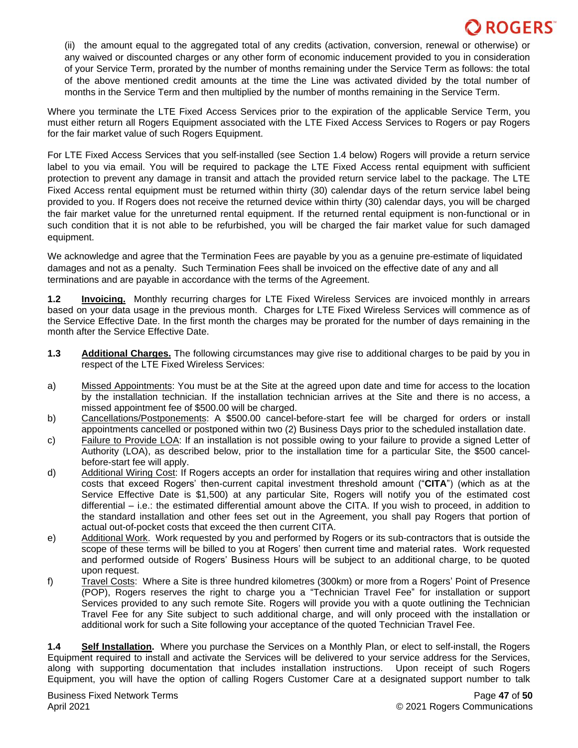(ii) the amount equal to the aggregated total of any credits (activation, conversion, renewal or otherwise) or any waived or discounted charges or any other form of economic inducement provided to you in consideration of your Service Term, prorated by the number of months remaining under the Service Term as follows: the total of the above mentioned credit amounts at the time the Line was activated divided by the total number of months in the Service Term and then multiplied by the number of months remaining in the Service Term.

Where you terminate the LTE Fixed Access Services prior to the expiration of the applicable Service Term, you must either return all Rogers Equipment associated with the LTE Fixed Access Services to Rogers or pay Rogers for the fair market value of such Rogers Equipment.

For LTE Fixed Access Services that you self-installed (see Section 1.4 below) Rogers will provide a return service label to you via email. You will be required to package the LTE Fixed Access rental equipment with sufficient protection to prevent any damage in transit and attach the provided return service label to the package. The LTE Fixed Access rental equipment must be returned within thirty (30) calendar days of the return service label being provided to you. If Rogers does not receive the returned device within thirty (30) calendar days, you will be charged the fair market value for the unreturned rental equipment. If the returned rental equipment is non-functional or in such condition that it is not able to be refurbished, you will be charged the fair market value for such damaged equipment.

We acknowledge and agree that the Termination Fees are payable by you as a genuine pre-estimate of liquidated damages and not as a penalty. Such Termination Fees shall be invoiced on the effective date of any and all terminations and are payable in accordance with the terms of the Agreement.

**1.2 Invoicing.** Monthly recurring charges for LTE Fixed Wireless Services are invoiced monthly in arrears based on your data usage in the previous month. Charges for LTE Fixed Wireless Services will commence as of the Service Effective Date. In the first month the charges may be prorated for the number of days remaining in the month after the Service Effective Date.

- **1.3 Additional Charges.** The following circumstances may give rise to additional charges to be paid by you in respect of the LTE Fixed Wireless Services:
- a) Missed Appointments: You must be at the Site at the agreed upon date and time for access to the location by the installation technician. If the installation technician arrives at the Site and there is no access, a missed appointment fee of \$500.00 will be charged.
- b) Cancellations/Postponements: A \$500.00 cancel-before-start fee will be charged for orders or install appointments cancelled or postponed within two (2) Business Days prior to the scheduled installation date.
- c) Failure to Provide LOA: If an installation is not possible owing to your failure to provide a signed Letter of Authority (LOA), as described below, prior to the installation time for a particular Site, the \$500 cancelbefore-start fee will apply.
- d) Additional Wiring Cost: If Rogers accepts an order for installation that requires wiring and other installation costs that exceed Rogers' then-current capital investment threshold amount ("**CITA**") (which as at the Service Effective Date is \$1,500) at any particular Site, Rogers will notify you of the estimated cost differential – i.e.: the estimated differential amount above the CITA. If you wish to proceed, in addition to the standard installation and other fees set out in the Agreement, you shall pay Rogers that portion of actual out-of-pocket costs that exceed the then current CITA.
- e) Additional Work. Work requested by you and performed by Rogers or its sub-contractors that is outside the scope of these terms will be billed to you at Rogers' then current time and material rates. Work requested and performed outside of Rogers' Business Hours will be subject to an additional charge, to be quoted upon request.
- f) Travel Costs: Where a Site is three hundred kilometres (300km) or more from a Rogers' Point of Presence (POP), Rogers reserves the right to charge you a "Technician Travel Fee" for installation or support Services provided to any such remote Site. Rogers will provide you with a quote outlining the Technician Travel Fee for any Site subject to such additional charge, and will only proceed with the installation or additional work for such a Site following your acceptance of the quoted Technician Travel Fee.

**1.4 Self Installation.** Where you purchase the Services on a Monthly Plan, or elect to self-install, the Rogers Equipment required to install and activate the Services will be delivered to your service address for the Services, along with supporting documentation that includes installation instructions. Upon receipt of such Rogers Equipment, you will have the option of calling Rogers Customer Care at a designated support number to talk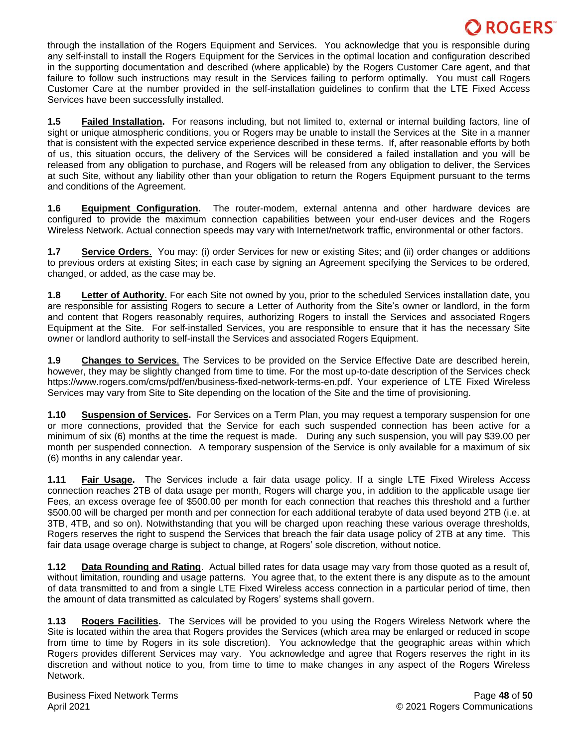through the installation of the Rogers Equipment and Services. You acknowledge that you is responsible during any self-install to install the Rogers Equipment for the Services in the optimal location and configuration described in the supporting documentation and described (where applicable) by the Rogers Customer Care agent, and that failure to follow such instructions may result in the Services failing to perform optimally. You must call Rogers Customer Care at the number provided in the self-installation guidelines to confirm that the LTE Fixed Access Services have been successfully installed.

**1.5 Failed Installation.** For reasons including, but not limited to, external or internal building factors, line of sight or unique atmospheric conditions, you or Rogers may be unable to install the Services at the Site in a manner that is consistent with the expected service experience described in these terms. If, after reasonable efforts by both of us, this situation occurs, the delivery of the Services will be considered a failed installation and you will be released from any obligation to purchase, and Rogers will be released from any obligation to deliver, the Services at such Site, without any liability other than your obligation to return the Rogers Equipment pursuant to the terms and conditions of the Agreement.

**1.6 Equipment Configuration.** The router-modem, external antenna and other hardware devices are configured to provide the maximum connection capabilities between your end-user devices and the Rogers Wireless Network. Actual connection speeds may vary with Internet/network traffic, environmental or other factors.

**1.7 Service Orders**. You may: (i) order Services for new or existing Sites; and (ii) order changes or additions to previous orders at existing Sites; in each case by signing an Agreement specifying the Services to be ordered, changed, or added, as the case may be.

**1.8 Letter of Authority**. For each Site not owned by you, prior to the scheduled Services installation date, you are responsible for assisting Rogers to secure a Letter of Authority from the Site's owner or landlord, in the form and content that Rogers reasonably requires, authorizing Rogers to install the Services and associated Rogers Equipment at the Site. For self-installed Services, you are responsible to ensure that it has the necessary Site owner or landlord authority to self-install the Services and associated Rogers Equipment.

**1.9 Changes to Services**. The Services to be provided on the Service Effective Date are described herein, however, they may be slightly changed from time to time. For the most up-to-date description of the Services check https://www.rogers.com/cms/pdf/en/business-fixed-network-terms-en.pdf. Your experience of LTE Fixed Wireless Services may vary from Site to Site depending on the location of the Site and the time of provisioning.

**1.10 Suspension of Services.** For Services on a Term Plan, you may request a temporary suspension for one or more connections, provided that the Service for each such suspended connection has been active for a minimum of six (6) months at the time the request is made. During any such suspension, you will pay \$39.00 per month per suspended connection. A temporary suspension of the Service is only available for a maximum of six (6) months in any calendar year.

**1.11 Fair Usage.** The Services include a fair data usage policy. If a single LTE Fixed Wireless Access connection reaches 2TB of data usage per month, Rogers will charge you, in addition to the applicable usage tier Fees, an excess overage fee of \$500.00 per month for each connection that reaches this threshold and a further \$500.00 will be charged per month and per connection for each additional terabyte of data used beyond 2TB (i.e. at 3TB, 4TB, and so on). Notwithstanding that you will be charged upon reaching these various overage thresholds, Rogers reserves the right to suspend the Services that breach the fair data usage policy of 2TB at any time. This fair data usage overage charge is subject to change, at Rogers' sole discretion, without notice.

**1.12 Data Rounding and Rating**. Actual billed rates for data usage may vary from those quoted as a result of, without limitation, rounding and usage patterns. You agree that, to the extent there is any dispute as to the amount of data transmitted to and from a single LTE Fixed Wireless access connection in a particular period of time, then the amount of data transmitted as calculated by Rogers' systems shall govern.

**1.13 Rogers Facilities.** The Services will be provided to you using the Rogers Wireless Network where the Site is located within the area that Rogers provides the Services (which area may be enlarged or reduced in scope from time to time by Rogers in its sole discretion). You acknowledge that the geographic areas within which Rogers provides different Services may vary. You acknowledge and agree that Rogers reserves the right in its discretion and without notice to you, from time to time to make changes in any aspect of the Rogers Wireless Network.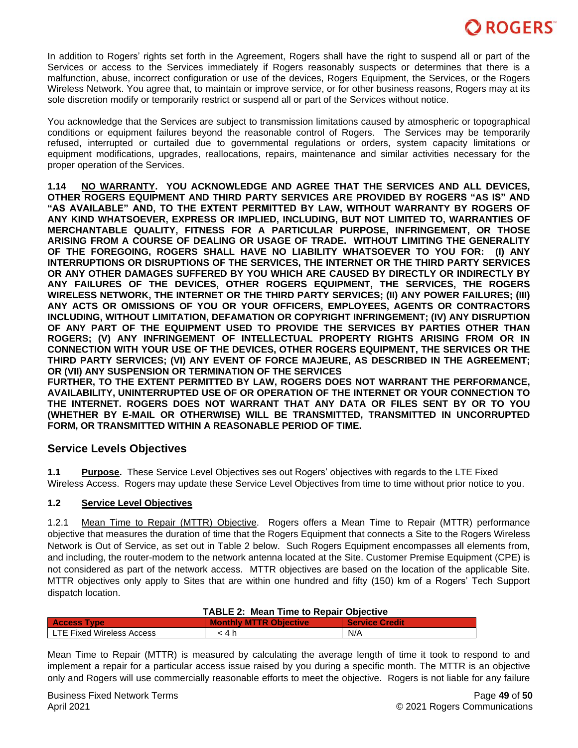In addition to Rogers' rights set forth in the Agreement, Rogers shall have the right to suspend all or part of the Services or access to the Services immediately if Rogers reasonably suspects or determines that there is a malfunction, abuse, incorrect configuration or use of the devices, Rogers Equipment, the Services, or the Rogers Wireless Network. You agree that, to maintain or improve service, or for other business reasons, Rogers may at its sole discretion modify or temporarily restrict or suspend all or part of the Services without notice.

You acknowledge that the Services are subject to transmission limitations caused by atmospheric or topographical conditions or equipment failures beyond the reasonable control of Rogers. The Services may be temporarily refused, interrupted or curtailed due to governmental regulations or orders, system capacity limitations or equipment modifications, upgrades, reallocations, repairs, maintenance and similar activities necessary for the proper operation of the Services.

**1.14 NO WARRANTY. YOU ACKNOWLEDGE AND AGREE THAT THE SERVICES AND ALL DEVICES, OTHER ROGERS EQUIPMENT AND THIRD PARTY SERVICES ARE PROVIDED BY ROGERS "AS IS" AND "AS AVAILABLE" AND, TO THE EXTENT PERMITTED BY LAW, WITHOUT WARRANTY BY ROGERS OF ANY KIND WHATSOEVER, EXPRESS OR IMPLIED, INCLUDING, BUT NOT LIMITED TO, WARRANTIES OF MERCHANTABLE QUALITY, FITNESS FOR A PARTICULAR PURPOSE, INFRINGEMENT, OR THOSE ARISING FROM A COURSE OF DEALING OR USAGE OF TRADE. WITHOUT LIMITING THE GENERALITY OF THE FOREGOING, ROGERS SHALL HAVE NO LIABILITY WHATSOEVER TO YOU FOR: (I) ANY INTERRUPTIONS OR DISRUPTIONS OF THE SERVICES, THE INTERNET OR THE THIRD PARTY SERVICES OR ANY OTHER DAMAGES SUFFERED BY YOU WHICH ARE CAUSED BY DIRECTLY OR INDIRECTLY BY ANY FAILURES OF THE DEVICES, OTHER ROGERS EQUIPMENT, THE SERVICES, THE ROGERS WIRELESS NETWORK, THE INTERNET OR THE THIRD PARTY SERVICES; (II) ANY POWER FAILURES; (III) ANY ACTS OR OMISSIONS OF YOU OR YOUR OFFICERS, EMPLOYEES, AGENTS OR CONTRACTORS INCLUDING, WITHOUT LIMITATION, DEFAMATION OR COPYRIGHT INFRINGEMENT; (IV) ANY DISRUPTION OF ANY PART OF THE EQUIPMENT USED TO PROVIDE THE SERVICES BY PARTIES OTHER THAN ROGERS; (V) ANY INFRINGEMENT OF INTELLECTUAL PROPERTY RIGHTS ARISING FROM OR IN CONNECTION WITH YOUR USE OF THE DEVICES, OTHER ROGERS EQUIPMENT, THE SERVICES OR THE THIRD PARTY SERVICES; (VI) ANY EVENT OF FORCE MAJEURE, AS DESCRIBED IN THE AGREEMENT; OR (VII) ANY SUSPENSION OR TERMINATION OF THE SERVICES**

**FURTHER, TO THE EXTENT PERMITTED BY LAW, ROGERS DOES NOT WARRANT THE PERFORMANCE, AVAILABILITY, UNINTERRUPTED USE OF OR OPERATION OF THE INTERNET OR YOUR CONNECTION TO THE INTERNET. ROGERS DOES NOT WARRANT THAT ANY DATA OR FILES SENT BY OR TO YOU (WHETHER BY E-MAIL OR OTHERWISE) WILL BE TRANSMITTED, TRANSMITTED IN UNCORRUPTED FORM, OR TRANSMITTED WITHIN A REASONABLE PERIOD OF TIME.**

# **Service Levels Objectives**

**1.1 Purpose.** These Service Level Objectives ses out Rogers' objectives with regards to the LTE Fixed Wireless Access.Rogers may update these Service Level Objectives from time to time without prior notice to you.

## **1.2 Service Level Objectives**

1.2.1 Mean Time to Repair (MTTR) Objective.Rogers offers a Mean Time to Repair (MTTR) performance objective that measures the duration of time that the Rogers Equipment that connects a Site to the Rogers Wireless Network is Out of Service, as set out in Table 2 below. Such Rogers Equipment encompasses all elements from, and including, the router-modem to the network antenna located at the Site. Customer Premise Equipment (CPE) is not considered as part of the network access. MTTR objectives are based on the location of the applicable Site. MTTR objectives only apply to Sites that are within one hundred and fifty (150) km of a Rogers' Tech Support dispatch location.

| <b>TABLE 2: Mean Time to Repair Objective</b> |                               |                |
|-----------------------------------------------|-------------------------------|----------------|
| <b>Access Type</b>                            | <b>Monthly MTTR Objective</b> | Service Credit |
| LTE Fixed Wireless Access                     | ∸4 h                          | N/A            |

Mean Time to Repair (MTTR) is measured by calculating the average length of time it took to respond to and implement a repair for a particular access issue raised by you during a specific month. The MTTR is an objective only and Rogers will use commercially reasonable efforts to meet the objective. Rogers is not liable for any failure